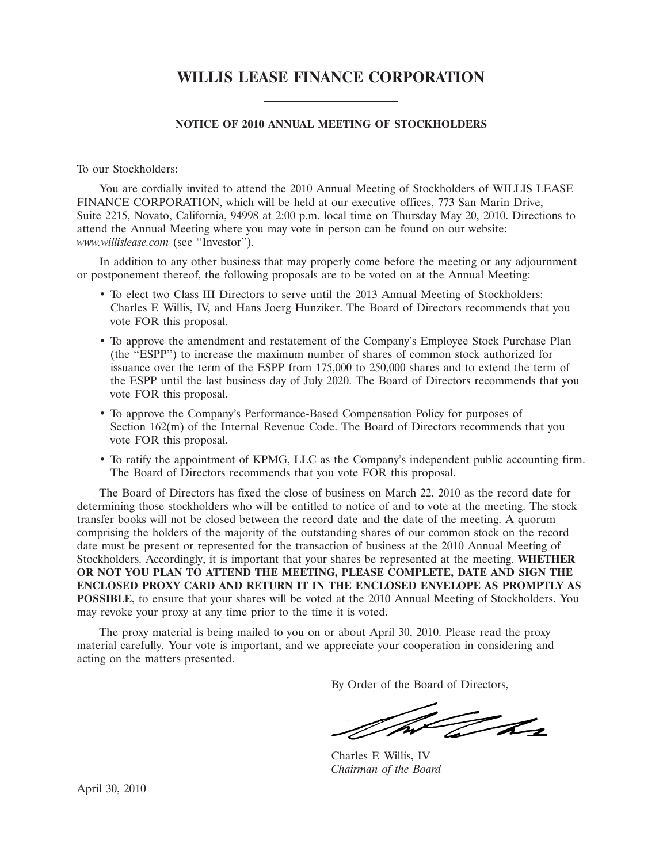# **WILLIS LEASE FINANCE CORPORATION**

## **NOTICE OF 2010 ANNUAL MEETING OF STOCKHOLDERS**

To our Stockholders:

You are cordially invited to attend the 2010 Annual Meeting of Stockholders of WILLIS LEASE FINANCE CORPORATION, which will be held at our executive offices, 773 San Marin Drive, Suite 2215, Novato, California, 94998 at 2:00 p.m. local time on Thursday May 20, 2010. Directions to attend the Annual Meeting where you may vote in person can be found on our website: *www.willislease.com* (see ''Investor'').

In addition to any other business that may properly come before the meeting or any adjournment or postponement thereof, the following proposals are to be voted on at the Annual Meeting:

- To elect two Class III Directors to serve until the 2013 Annual Meeting of Stockholders: Charles F. Willis, IV, and Hans Joerg Hunziker. The Board of Directors recommends that you vote FOR this proposal.
- To approve the amendment and restatement of the Company's Employee Stock Purchase Plan (the ''ESPP'') to increase the maximum number of shares of common stock authorized for issuance over the term of the ESPP from 175,000 to 250,000 shares and to extend the term of the ESPP until the last business day of July 2020. The Board of Directors recommends that you vote FOR this proposal.
- To approve the Company's Performance-Based Compensation Policy for purposes of Section 162(m) of the Internal Revenue Code. The Board of Directors recommends that you vote FOR this proposal.
- To ratify the appointment of KPMG, LLC as the Company's independent public accounting firm. The Board of Directors recommends that you vote FOR this proposal.

The Board of Directors has fixed the close of business on March 22, 2010 as the record date for determining those stockholders who will be entitled to notice of and to vote at the meeting. The stock transfer books will not be closed between the record date and the date of the meeting. A quorum comprising the holders of the majority of the outstanding shares of our common stock on the record date must be present or represented for the transaction of business at the 2010 Annual Meeting of Stockholders. Accordingly, it is important that your shares be represented at the meeting. **WHETHER OR NOT YOU PLAN TO ATTEND THE MEETING, PLEASE COMPLETE, DATE AND SIGN THE ENCLOSED PROXY CARD AND RETURN IT IN THE ENCLOSED ENVELOPE AS PROMPTLY AS POSSIBLE**, to ensure that your shares will be voted at the 2010 Annual Meeting of Stockholders. You may revoke your proxy at any time prior to the time it is voted.

The proxy material is being mailed to you on or about April 30, 2010. Please read the proxy material carefully. Your vote is important, and we appreciate your cooperation in considering and acting on the matters presented.

By Order of the Board of Directors,

W John

Charles F. Willis, IV *Chairman of the Board*

April 30, 2010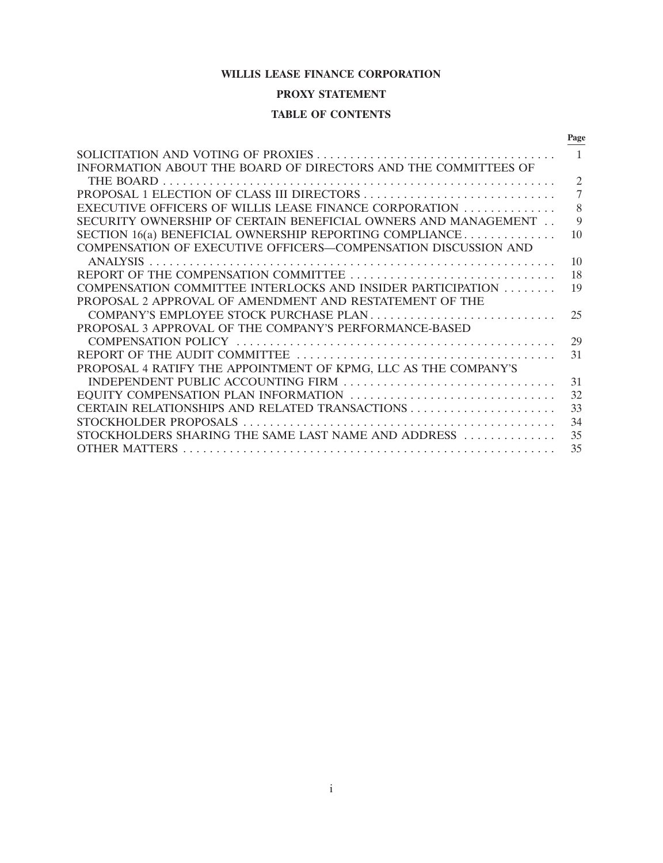## **WILLIS LEASE FINANCE CORPORATION**

# **PROXY STATEMENT**

## **TABLE OF CONTENTS**

|                                                                 | Page           |
|-----------------------------------------------------------------|----------------|
|                                                                 | $\sim$ 1       |
| INFORMATION ABOUT THE BOARD OF DIRECTORS AND THE COMMITTEES OF  |                |
|                                                                 | $\overline{2}$ |
|                                                                 | $\overline{7}$ |
| EXECUTIVE OFFICERS OF WILLIS LEASE FINANCE CORPORATION          | 8              |
| SECURITY OWNERSHIP OF CERTAIN BENEFICIAL OWNERS AND MANAGEMENT  | 9              |
| SECTION $16(a)$ BENEFICIAL OWNERSHIP REPORTING COMPLIANCE       | 10             |
| COMPENSATION OF EXECUTIVE OFFICERS—COMPENSATION DISCUSSION AND  |                |
| <b>ANALYSIS</b>                                                 | 10             |
|                                                                 | 18             |
| COMPENSATION COMMITTEE INTERLOCKS AND INSIDER PARTICIPATION     | 19             |
| PROPOSAL 2 APPROVAL OF AMENDMENT AND RESTATEMENT OF THE         |                |
| COMPANY'S EMPLOYEE STOCK PURCHASE PLAN                          | 25             |
| PROPOSAL 3 APPROVAL OF THE COMPANY'S PERFORMANCE-BASED          |                |
|                                                                 | 29             |
|                                                                 | 31             |
| PROPOSAL 4 RATIFY THE APPOINTMENT OF KPMG, LLC AS THE COMPANY'S |                |
| INDEPENDENT PUBLIC ACCOUNTING FIRM                              | 31             |
| EQUITY COMPENSATION PLAN INFORMATION                            | 32             |
|                                                                 | 33             |
|                                                                 | 34             |
| STOCKHOLDERS SHARING THE SAME LAST NAME AND ADDRESS             | 35             |
|                                                                 | 35             |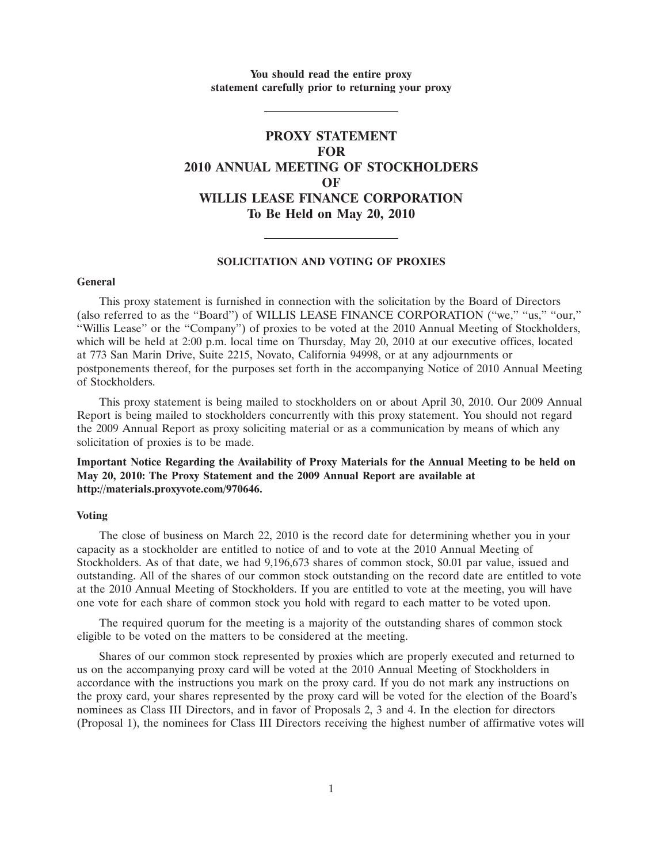**You should read the entire proxy statement carefully prior to returning your proxy**

# **PROXY STATEMENT FOR 2010 ANNUAL MEETING OF STOCKHOLDERS OF WILLIS LEASE FINANCE CORPORATION To Be Held on May 20, 2010**

#### **SOLICITATION AND VOTING OF PROXIES**

#### **General**

This proxy statement is furnished in connection with the solicitation by the Board of Directors (also referred to as the ''Board'') of WILLIS LEASE FINANCE CORPORATION (''we,'' ''us,'' ''our,'' ''Willis Lease'' or the ''Company'') of proxies to be voted at the 2010 Annual Meeting of Stockholders, which will be held at 2:00 p.m. local time on Thursday, May 20, 2010 at our executive offices, located at 773 San Marin Drive, Suite 2215, Novato, California 94998, or at any adjournments or postponements thereof, for the purposes set forth in the accompanying Notice of 2010 Annual Meeting of Stockholders.

This proxy statement is being mailed to stockholders on or about April 30, 2010. Our 2009 Annual Report is being mailed to stockholders concurrently with this proxy statement. You should not regard the 2009 Annual Report as proxy soliciting material or as a communication by means of which any solicitation of proxies is to be made.

## **Important Notice Regarding the Availability of Proxy Materials for the Annual Meeting to be held on May 20, 2010: The Proxy Statement and the 2009 Annual Report are available at http://materials.proxyvote.com/970646.**

## **Voting**

The close of business on March 22, 2010 is the record date for determining whether you in your capacity as a stockholder are entitled to notice of and to vote at the 2010 Annual Meeting of Stockholders. As of that date, we had 9,196,673 shares of common stock, \$0.01 par value, issued and outstanding. All of the shares of our common stock outstanding on the record date are entitled to vote at the 2010 Annual Meeting of Stockholders. If you are entitled to vote at the meeting, you will have one vote for each share of common stock you hold with regard to each matter to be voted upon.

The required quorum for the meeting is a majority of the outstanding shares of common stock eligible to be voted on the matters to be considered at the meeting.

Shares of our common stock represented by proxies which are properly executed and returned to us on the accompanying proxy card will be voted at the 2010 Annual Meeting of Stockholders in accordance with the instructions you mark on the proxy card. If you do not mark any instructions on the proxy card, your shares represented by the proxy card will be voted for the election of the Board's nominees as Class III Directors, and in favor of Proposals 2, 3 and 4. In the election for directors (Proposal 1), the nominees for Class III Directors receiving the highest number of affirmative votes will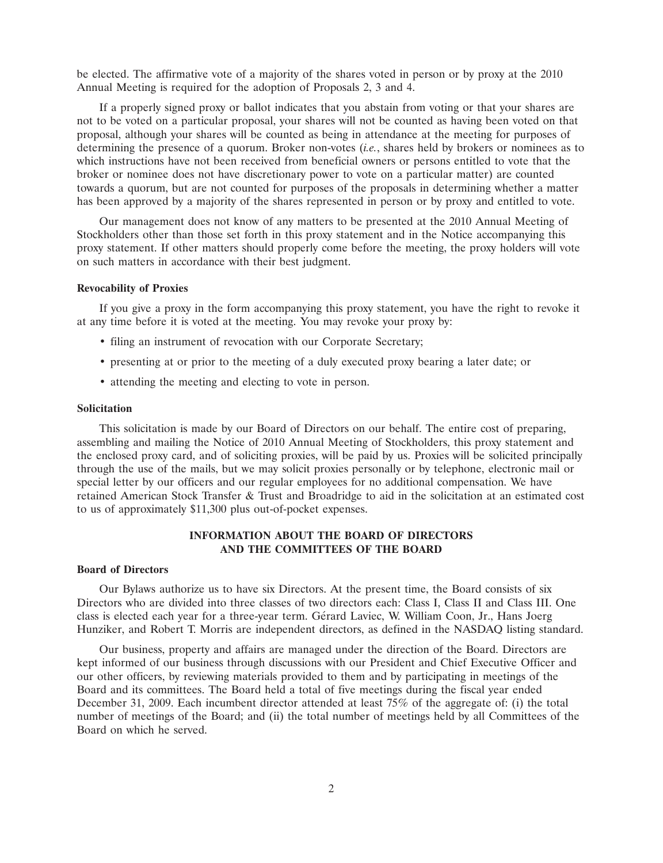be elected. The affirmative vote of a majority of the shares voted in person or by proxy at the 2010 Annual Meeting is required for the adoption of Proposals 2, 3 and 4.

If a properly signed proxy or ballot indicates that you abstain from voting or that your shares are not to be voted on a particular proposal, your shares will not be counted as having been voted on that proposal, although your shares will be counted as being in attendance at the meeting for purposes of determining the presence of a quorum. Broker non-votes (*i.e.*, shares held by brokers or nominees as to which instructions have not been received from beneficial owners or persons entitled to vote that the broker or nominee does not have discretionary power to vote on a particular matter) are counted towards a quorum, but are not counted for purposes of the proposals in determining whether a matter has been approved by a majority of the shares represented in person or by proxy and entitled to vote.

Our management does not know of any matters to be presented at the 2010 Annual Meeting of Stockholders other than those set forth in this proxy statement and in the Notice accompanying this proxy statement. If other matters should properly come before the meeting, the proxy holders will vote on such matters in accordance with their best judgment.

## **Revocability of Proxies**

If you give a proxy in the form accompanying this proxy statement, you have the right to revoke it at any time before it is voted at the meeting. You may revoke your proxy by:

- filing an instrument of revocation with our Corporate Secretary;
- presenting at or prior to the meeting of a duly executed proxy bearing a later date; or
- attending the meeting and electing to vote in person.

#### **Solicitation**

This solicitation is made by our Board of Directors on our behalf. The entire cost of preparing, assembling and mailing the Notice of 2010 Annual Meeting of Stockholders, this proxy statement and the enclosed proxy card, and of soliciting proxies, will be paid by us. Proxies will be solicited principally through the use of the mails, but we may solicit proxies personally or by telephone, electronic mail or special letter by our officers and our regular employees for no additional compensation. We have retained American Stock Transfer & Trust and Broadridge to aid in the solicitation at an estimated cost to us of approximately \$11,300 plus out-of-pocket expenses.

## **INFORMATION ABOUT THE BOARD OF DIRECTORS AND THE COMMITTEES OF THE BOARD**

## **Board of Directors**

Our Bylaws authorize us to have six Directors. At the present time, the Board consists of six Directors who are divided into three classes of two directors each: Class I, Class II and Class III. One class is elected each year for a three-year term. Gérard Laviec, W. William Coon, Jr., Hans Joerg Hunziker, and Robert T. Morris are independent directors, as defined in the NASDAQ listing standard.

Our business, property and affairs are managed under the direction of the Board. Directors are kept informed of our business through discussions with our President and Chief Executive Officer and our other officers, by reviewing materials provided to them and by participating in meetings of the Board and its committees. The Board held a total of five meetings during the fiscal year ended December 31, 2009. Each incumbent director attended at least 75% of the aggregate of: (i) the total number of meetings of the Board; and (ii) the total number of meetings held by all Committees of the Board on which he served.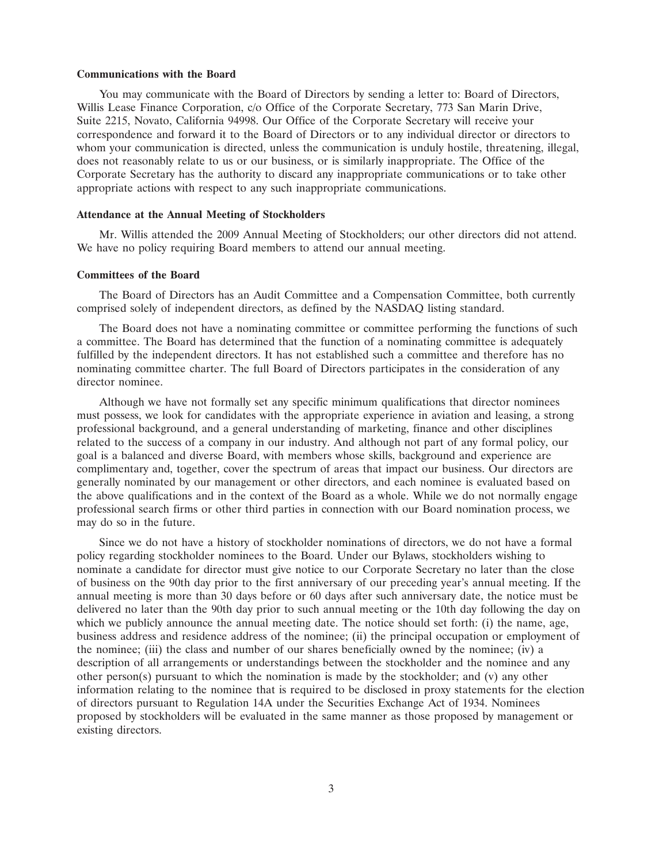#### **Communications with the Board**

You may communicate with the Board of Directors by sending a letter to: Board of Directors, Willis Lease Finance Corporation, c/o Office of the Corporate Secretary, 773 San Marin Drive, Suite 2215, Novato, California 94998. Our Office of the Corporate Secretary will receive your correspondence and forward it to the Board of Directors or to any individual director or directors to whom your communication is directed, unless the communication is unduly hostile, threatening, illegal, does not reasonably relate to us or our business, or is similarly inappropriate. The Office of the Corporate Secretary has the authority to discard any inappropriate communications or to take other appropriate actions with respect to any such inappropriate communications.

#### **Attendance at the Annual Meeting of Stockholders**

Mr. Willis attended the 2009 Annual Meeting of Stockholders; our other directors did not attend. We have no policy requiring Board members to attend our annual meeting.

#### **Committees of the Board**

The Board of Directors has an Audit Committee and a Compensation Committee, both currently comprised solely of independent directors, as defined by the NASDAQ listing standard.

The Board does not have a nominating committee or committee performing the functions of such a committee. The Board has determined that the function of a nominating committee is adequately fulfilled by the independent directors. It has not established such a committee and therefore has no nominating committee charter. The full Board of Directors participates in the consideration of any director nominee.

Although we have not formally set any specific minimum qualifications that director nominees must possess, we look for candidates with the appropriate experience in aviation and leasing, a strong professional background, and a general understanding of marketing, finance and other disciplines related to the success of a company in our industry. And although not part of any formal policy, our goal is a balanced and diverse Board, with members whose skills, background and experience are complimentary and, together, cover the spectrum of areas that impact our business. Our directors are generally nominated by our management or other directors, and each nominee is evaluated based on the above qualifications and in the context of the Board as a whole. While we do not normally engage professional search firms or other third parties in connection with our Board nomination process, we may do so in the future.

Since we do not have a history of stockholder nominations of directors, we do not have a formal policy regarding stockholder nominees to the Board. Under our Bylaws, stockholders wishing to nominate a candidate for director must give notice to our Corporate Secretary no later than the close of business on the 90th day prior to the first anniversary of our preceding year's annual meeting. If the annual meeting is more than 30 days before or 60 days after such anniversary date, the notice must be delivered no later than the 90th day prior to such annual meeting or the 10th day following the day on which we publicly announce the annual meeting date. The notice should set forth: (i) the name, age, business address and residence address of the nominee; (ii) the principal occupation or employment of the nominee; (iii) the class and number of our shares beneficially owned by the nominee; (iv) a description of all arrangements or understandings between the stockholder and the nominee and any other person(s) pursuant to which the nomination is made by the stockholder; and (v) any other information relating to the nominee that is required to be disclosed in proxy statements for the election of directors pursuant to Regulation 14A under the Securities Exchange Act of 1934. Nominees proposed by stockholders will be evaluated in the same manner as those proposed by management or existing directors.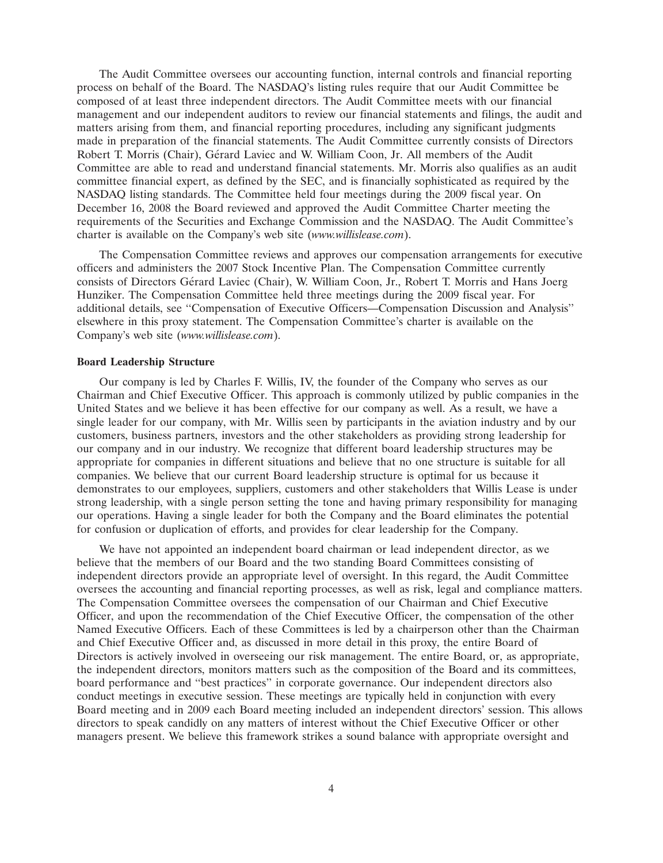The Audit Committee oversees our accounting function, internal controls and financial reporting process on behalf of the Board. The NASDAQ's listing rules require that our Audit Committee be composed of at least three independent directors. The Audit Committee meets with our financial management and our independent auditors to review our financial statements and filings, the audit and matters arising from them, and financial reporting procedures, including any significant judgments made in preparation of the financial statements. The Audit Committee currently consists of Directors Robert T. Morris (Chair), Gérard Laviec and W. William Coon, Jr. All members of the Audit Committee are able to read and understand financial statements. Mr. Morris also qualifies as an audit committee financial expert, as defined by the SEC, and is financially sophisticated as required by the NASDAQ listing standards. The Committee held four meetings during the 2009 fiscal year. On December 16, 2008 the Board reviewed and approved the Audit Committee Charter meeting the requirements of the Securities and Exchange Commission and the NASDAQ. The Audit Committee's charter is available on the Company's web site (*www.willislease.com*).

The Compensation Committee reviews and approves our compensation arrangements for executive officers and administers the 2007 Stock Incentive Plan. The Compensation Committee currently consists of Directors Gérard Laviec (Chair), W. William Coon, Jr., Robert T. Morris and Hans Joerg Hunziker. The Compensation Committee held three meetings during the 2009 fiscal year. For additional details, see ''Compensation of Executive Officers—Compensation Discussion and Analysis'' elsewhere in this proxy statement. The Compensation Committee's charter is available on the Company's web site (*www.willislease.com*).

### **Board Leadership Structure**

Our company is led by Charles F. Willis, IV, the founder of the Company who serves as our Chairman and Chief Executive Officer. This approach is commonly utilized by public companies in the United States and we believe it has been effective for our company as well. As a result, we have a single leader for our company, with Mr. Willis seen by participants in the aviation industry and by our customers, business partners, investors and the other stakeholders as providing strong leadership for our company and in our industry. We recognize that different board leadership structures may be appropriate for companies in different situations and believe that no one structure is suitable for all companies. We believe that our current Board leadership structure is optimal for us because it demonstrates to our employees, suppliers, customers and other stakeholders that Willis Lease is under strong leadership, with a single person setting the tone and having primary responsibility for managing our operations. Having a single leader for both the Company and the Board eliminates the potential for confusion or duplication of efforts, and provides for clear leadership for the Company.

We have not appointed an independent board chairman or lead independent director, as we believe that the members of our Board and the two standing Board Committees consisting of independent directors provide an appropriate level of oversight. In this regard, the Audit Committee oversees the accounting and financial reporting processes, as well as risk, legal and compliance matters. The Compensation Committee oversees the compensation of our Chairman and Chief Executive Officer, and upon the recommendation of the Chief Executive Officer, the compensation of the other Named Executive Officers. Each of these Committees is led by a chairperson other than the Chairman and Chief Executive Officer and, as discussed in more detail in this proxy, the entire Board of Directors is actively involved in overseeing our risk management. The entire Board, or, as appropriate, the independent directors, monitors matters such as the composition of the Board and its committees, board performance and ''best practices'' in corporate governance. Our independent directors also conduct meetings in executive session. These meetings are typically held in conjunction with every Board meeting and in 2009 each Board meeting included an independent directors' session. This allows directors to speak candidly on any matters of interest without the Chief Executive Officer or other managers present. We believe this framework strikes a sound balance with appropriate oversight and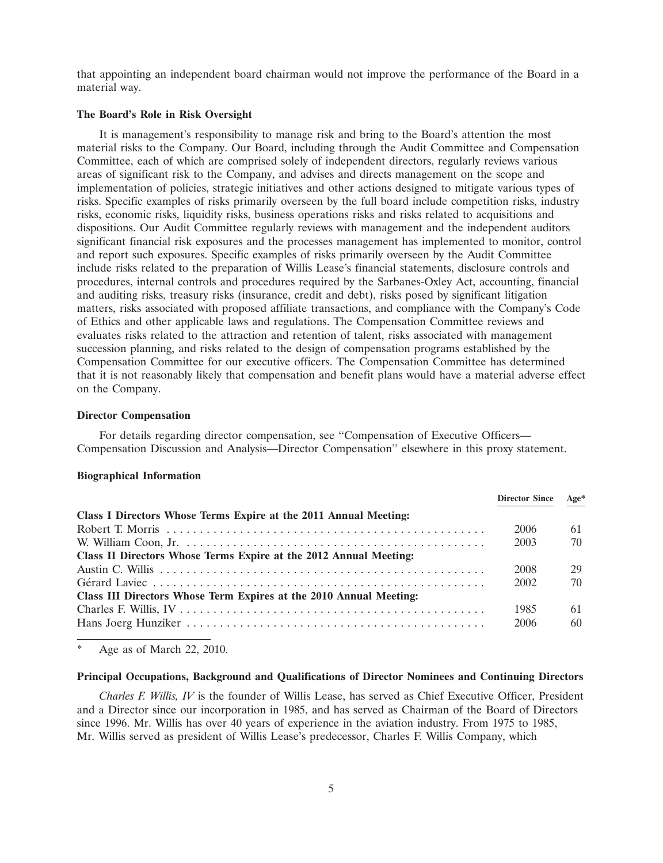that appointing an independent board chairman would not improve the performance of the Board in a material way.

#### **The Board's Role in Risk Oversight**

It is management's responsibility to manage risk and bring to the Board's attention the most material risks to the Company. Our Board, including through the Audit Committee and Compensation Committee, each of which are comprised solely of independent directors, regularly reviews various areas of significant risk to the Company, and advises and directs management on the scope and implementation of policies, strategic initiatives and other actions designed to mitigate various types of risks. Specific examples of risks primarily overseen by the full board include competition risks, industry risks, economic risks, liquidity risks, business operations risks and risks related to acquisitions and dispositions. Our Audit Committee regularly reviews with management and the independent auditors significant financial risk exposures and the processes management has implemented to monitor, control and report such exposures. Specific examples of risks primarily overseen by the Audit Committee include risks related to the preparation of Willis Lease's financial statements, disclosure controls and procedures, internal controls and procedures required by the Sarbanes-Oxley Act, accounting, financial and auditing risks, treasury risks (insurance, credit and debt), risks posed by significant litigation matters, risks associated with proposed affiliate transactions, and compliance with the Company's Code of Ethics and other applicable laws and regulations. The Compensation Committee reviews and evaluates risks related to the attraction and retention of talent, risks associated with management succession planning, and risks related to the design of compensation programs established by the Compensation Committee for our executive officers. The Compensation Committee has determined that it is not reasonably likely that compensation and benefit plans would have a material adverse effect on the Company.

#### **Director Compensation**

For details regarding director compensation, see "Compensation of Executive Officers— Compensation Discussion and Analysis—Director Compensation'' elsewhere in this proxy statement.

## **Biographical Information**

|                                                                                                                        | <b>Director Since</b> | Age* |
|------------------------------------------------------------------------------------------------------------------------|-----------------------|------|
| Class I Directors Whose Terms Expire at the 2011 Annual Meeting:                                                       |                       |      |
|                                                                                                                        | 2006                  | 61   |
| W. William Coon, Jr. $\dots \dots \dots \dots \dots \dots \dots \dots \dots \dots \dots \dots \dots \dots \dots \dots$ | 2003                  | 70   |
| Class II Directors Whose Terms Expire at the 2012 Annual Meeting:                                                      |                       |      |
|                                                                                                                        | 2008                  | 29   |
|                                                                                                                        | 2002                  | 70   |
| Class III Directors Whose Term Expires at the 2010 Annual Meeting:                                                     |                       |      |
|                                                                                                                        | 1985                  | 61   |
|                                                                                                                        | 2006                  | 60   |

Age as of March 22, 2010.

#### **Principal Occupations, Background and Qualifications of Director Nominees and Continuing Directors**

*Charles F. Willis, IV* is the founder of Willis Lease, has served as Chief Executive Officer, President and a Director since our incorporation in 1985, and has served as Chairman of the Board of Directors since 1996. Mr. Willis has over 40 years of experience in the aviation industry. From 1975 to 1985, Mr. Willis served as president of Willis Lease's predecessor, Charles F. Willis Company, which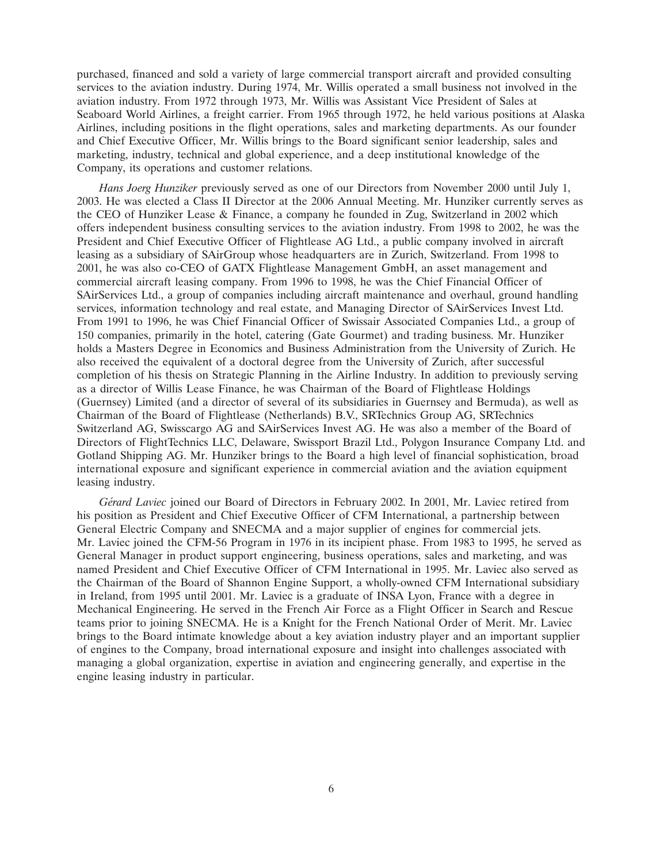purchased, financed and sold a variety of large commercial transport aircraft and provided consulting services to the aviation industry. During 1974, Mr. Willis operated a small business not involved in the aviation industry. From 1972 through 1973, Mr. Willis was Assistant Vice President of Sales at Seaboard World Airlines, a freight carrier. From 1965 through 1972, he held various positions at Alaska Airlines, including positions in the flight operations, sales and marketing departments. As our founder and Chief Executive Officer, Mr. Willis brings to the Board significant senior leadership, sales and marketing, industry, technical and global experience, and a deep institutional knowledge of the Company, its operations and customer relations.

*Hans Joerg Hunziker* previously served as one of our Directors from November 2000 until July 1, 2003. He was elected a Class II Director at the 2006 Annual Meeting. Mr. Hunziker currently serves as the CEO of Hunziker Lease & Finance, a company he founded in Zug, Switzerland in 2002 which offers independent business consulting services to the aviation industry. From 1998 to 2002, he was the President and Chief Executive Officer of Flightlease AG Ltd., a public company involved in aircraft leasing as a subsidiary of SAirGroup whose headquarters are in Zurich, Switzerland. From 1998 to 2001, he was also co-CEO of GATX Flightlease Management GmbH, an asset management and commercial aircraft leasing company. From 1996 to 1998, he was the Chief Financial Officer of SAirServices Ltd., a group of companies including aircraft maintenance and overhaul, ground handling services, information technology and real estate, and Managing Director of SAirServices Invest Ltd. From 1991 to 1996, he was Chief Financial Officer of Swissair Associated Companies Ltd., a group of 150 companies, primarily in the hotel, catering (Gate Gourmet) and trading business. Mr. Hunziker holds a Masters Degree in Economics and Business Administration from the University of Zurich. He also received the equivalent of a doctoral degree from the University of Zurich, after successful completion of his thesis on Strategic Planning in the Airline Industry. In addition to previously serving as a director of Willis Lease Finance, he was Chairman of the Board of Flightlease Holdings (Guernsey) Limited (and a director of several of its subsidiaries in Guernsey and Bermuda), as well as Chairman of the Board of Flightlease (Netherlands) B.V., SRTechnics Group AG, SRTechnics Switzerland AG, Swisscargo AG and SAirServices Invest AG. He was also a member of the Board of Directors of FlightTechnics LLC, Delaware, Swissport Brazil Ltd., Polygon Insurance Company Ltd. and Gotland Shipping AG. Mr. Hunziker brings to the Board a high level of financial sophistication, broad international exposure and significant experience in commercial aviation and the aviation equipment leasing industry.

*G´erard Laviec* joined our Board of Directors in February 2002. In 2001, Mr. Laviec retired from his position as President and Chief Executive Officer of CFM International, a partnership between General Electric Company and SNECMA and a major supplier of engines for commercial jets. Mr. Laviec joined the CFM-56 Program in 1976 in its incipient phase. From 1983 to 1995, he served as General Manager in product support engineering, business operations, sales and marketing, and was named President and Chief Executive Officer of CFM International in 1995. Mr. Laviec also served as the Chairman of the Board of Shannon Engine Support, a wholly-owned CFM International subsidiary in Ireland, from 1995 until 2001. Mr. Laviec is a graduate of INSA Lyon, France with a degree in Mechanical Engineering. He served in the French Air Force as a Flight Officer in Search and Rescue teams prior to joining SNECMA. He is a Knight for the French National Order of Merit. Mr. Laviec brings to the Board intimate knowledge about a key aviation industry player and an important supplier of engines to the Company, broad international exposure and insight into challenges associated with managing a global organization, expertise in aviation and engineering generally, and expertise in the engine leasing industry in particular.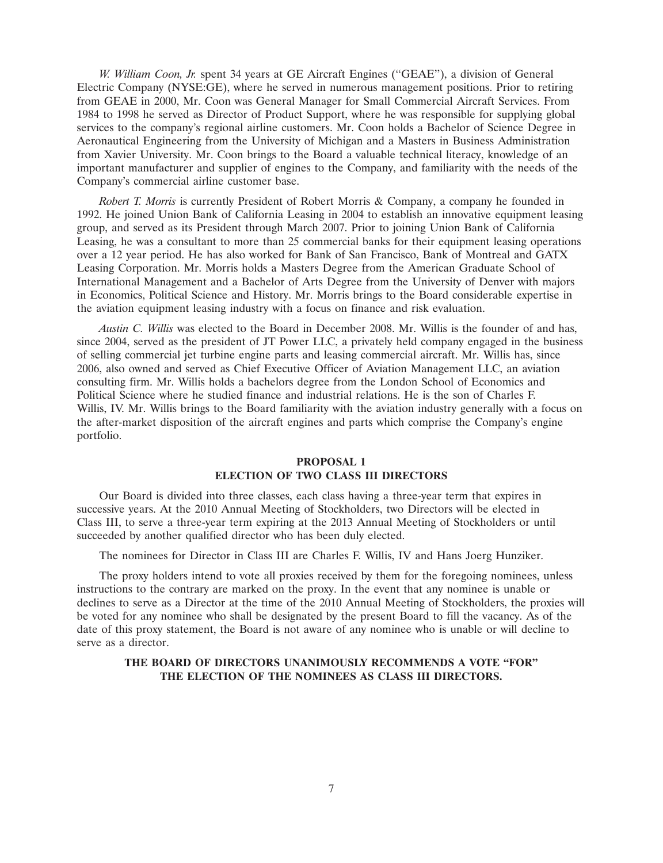*W. William Coon, Jr.* spent 34 years at GE Aircraft Engines (''GEAE''), a division of General Electric Company (NYSE:GE), where he served in numerous management positions. Prior to retiring from GEAE in 2000, Mr. Coon was General Manager for Small Commercial Aircraft Services. From 1984 to 1998 he served as Director of Product Support, where he was responsible for supplying global services to the company's regional airline customers. Mr. Coon holds a Bachelor of Science Degree in Aeronautical Engineering from the University of Michigan and a Masters in Business Administration from Xavier University. Mr. Coon brings to the Board a valuable technical literacy, knowledge of an important manufacturer and supplier of engines to the Company, and familiarity with the needs of the Company's commercial airline customer base.

*Robert T. Morris* is currently President of Robert Morris & Company, a company he founded in 1992. He joined Union Bank of California Leasing in 2004 to establish an innovative equipment leasing group, and served as its President through March 2007. Prior to joining Union Bank of California Leasing, he was a consultant to more than 25 commercial banks for their equipment leasing operations over a 12 year period. He has also worked for Bank of San Francisco, Bank of Montreal and GATX Leasing Corporation. Mr. Morris holds a Masters Degree from the American Graduate School of International Management and a Bachelor of Arts Degree from the University of Denver with majors in Economics, Political Science and History. Mr. Morris brings to the Board considerable expertise in the aviation equipment leasing industry with a focus on finance and risk evaluation.

*Austin C. Willis* was elected to the Board in December 2008. Mr. Willis is the founder of and has, since 2004, served as the president of JT Power LLC, a privately held company engaged in the business of selling commercial jet turbine engine parts and leasing commercial aircraft. Mr. Willis has, since 2006, also owned and served as Chief Executive Officer of Aviation Management LLC, an aviation consulting firm. Mr. Willis holds a bachelors degree from the London School of Economics and Political Science where he studied finance and industrial relations. He is the son of Charles F. Willis, IV. Mr. Willis brings to the Board familiarity with the aviation industry generally with a focus on the after-market disposition of the aircraft engines and parts which comprise the Company's engine portfolio.

## **PROPOSAL 1 ELECTION OF TWO CLASS III DIRECTORS**

Our Board is divided into three classes, each class having a three-year term that expires in successive years. At the 2010 Annual Meeting of Stockholders, two Directors will be elected in Class III, to serve a three-year term expiring at the 2013 Annual Meeting of Stockholders or until succeeded by another qualified director who has been duly elected.

The nominees for Director in Class III are Charles F. Willis, IV and Hans Joerg Hunziker.

The proxy holders intend to vote all proxies received by them for the foregoing nominees, unless instructions to the contrary are marked on the proxy. In the event that any nominee is unable or declines to serve as a Director at the time of the 2010 Annual Meeting of Stockholders, the proxies will be voted for any nominee who shall be designated by the present Board to fill the vacancy. As of the date of this proxy statement, the Board is not aware of any nominee who is unable or will decline to serve as a director.

## **THE BOARD OF DIRECTORS UNANIMOUSLY RECOMMENDS A VOTE ''FOR'' THE ELECTION OF THE NOMINEES AS CLASS III DIRECTORS.**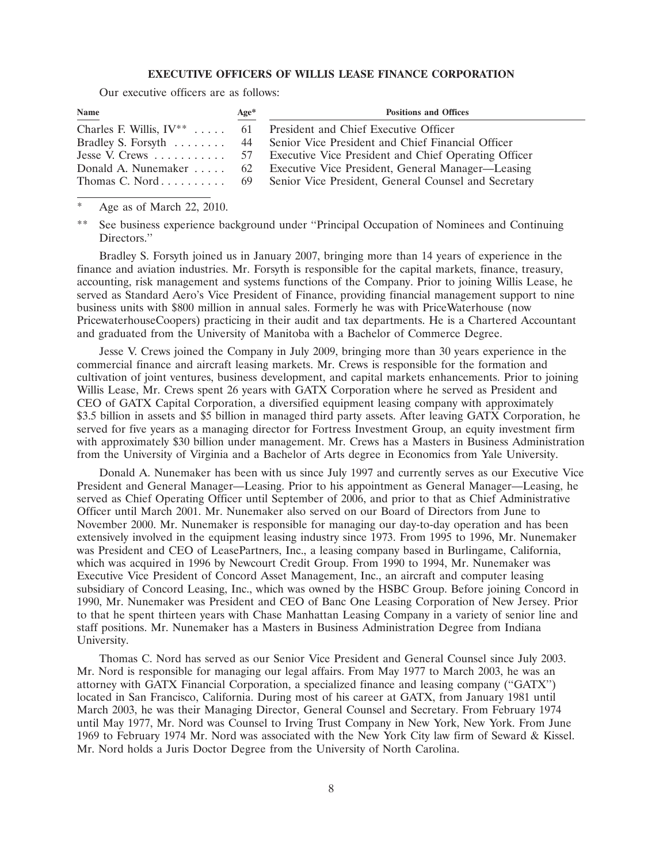## **EXECUTIVE OFFICERS OF WILLIS LEASE FINANCE CORPORATION**

Our executive officers are as follows:

| Name | $Age*$ | <b>Positions and Offices</b>                                              |
|------|--------|---------------------------------------------------------------------------|
|      |        | Charles F. Willis, $IV^{**}$ 61 President and Chief Executive Officer     |
|      |        | Bradley S. Forsyth  44 Senior Vice President and Chief Financial Officer  |
|      |        |                                                                           |
|      |        | Donald A. Nunemaker  62 Executive Vice President, General Manager—Leasing |
|      |        | Thomas C. Nord 69 Senior Vice President, General Counsel and Secretary    |

Age as of March 22, 2010.

Bradley S. Forsyth joined us in January 2007, bringing more than 14 years of experience in the finance and aviation industries. Mr. Forsyth is responsible for the capital markets, finance, treasury, accounting, risk management and systems functions of the Company. Prior to joining Willis Lease, he served as Standard Aero's Vice President of Finance, providing financial management support to nine business units with \$800 million in annual sales. Formerly he was with PriceWaterhouse (now PricewaterhouseCoopers) practicing in their audit and tax departments. He is a Chartered Accountant and graduated from the University of Manitoba with a Bachelor of Commerce Degree.

Jesse V. Crews joined the Company in July 2009, bringing more than 30 years experience in the commercial finance and aircraft leasing markets. Mr. Crews is responsible for the formation and cultivation of joint ventures, business development, and capital markets enhancements. Prior to joining Willis Lease, Mr. Crews spent 26 years with GATX Corporation where he served as President and CEO of GATX Capital Corporation, a diversified equipment leasing company with approximately \$3.5 billion in assets and \$5 billion in managed third party assets. After leaving GATX Corporation, he served for five years as a managing director for Fortress Investment Group, an equity investment firm with approximately \$30 billion under management. Mr. Crews has a Masters in Business Administration from the University of Virginia and a Bachelor of Arts degree in Economics from Yale University.

Donald A. Nunemaker has been with us since July 1997 and currently serves as our Executive Vice President and General Manager—Leasing. Prior to his appointment as General Manager—Leasing, he served as Chief Operating Officer until September of 2006, and prior to that as Chief Administrative Officer until March 2001. Mr. Nunemaker also served on our Board of Directors from June to November 2000. Mr. Nunemaker is responsible for managing our day-to-day operation and has been extensively involved in the equipment leasing industry since 1973. From 1995 to 1996, Mr. Nunemaker was President and CEO of LeasePartners, Inc., a leasing company based in Burlingame, California, which was acquired in 1996 by Newcourt Credit Group. From 1990 to 1994, Mr. Nunemaker was Executive Vice President of Concord Asset Management, Inc., an aircraft and computer leasing subsidiary of Concord Leasing, Inc., which was owned by the HSBC Group. Before joining Concord in 1990, Mr. Nunemaker was President and CEO of Banc One Leasing Corporation of New Jersey. Prior to that he spent thirteen years with Chase Manhattan Leasing Company in a variety of senior line and staff positions. Mr. Nunemaker has a Masters in Business Administration Degree from Indiana University.

Thomas C. Nord has served as our Senior Vice President and General Counsel since July 2003. Mr. Nord is responsible for managing our legal affairs. From May 1977 to March 2003, he was an attorney with GATX Financial Corporation, a specialized finance and leasing company (''GATX'') located in San Francisco, California. During most of his career at GATX, from January 1981 until March 2003, he was their Managing Director, General Counsel and Secretary. From February 1974 until May 1977, Mr. Nord was Counsel to Irving Trust Company in New York, New York. From June 1969 to February 1974 Mr. Nord was associated with the New York City law firm of Seward & Kissel. Mr. Nord holds a Juris Doctor Degree from the University of North Carolina.

<sup>\*\*</sup> See business experience background under ''Principal Occupation of Nominees and Continuing Directors."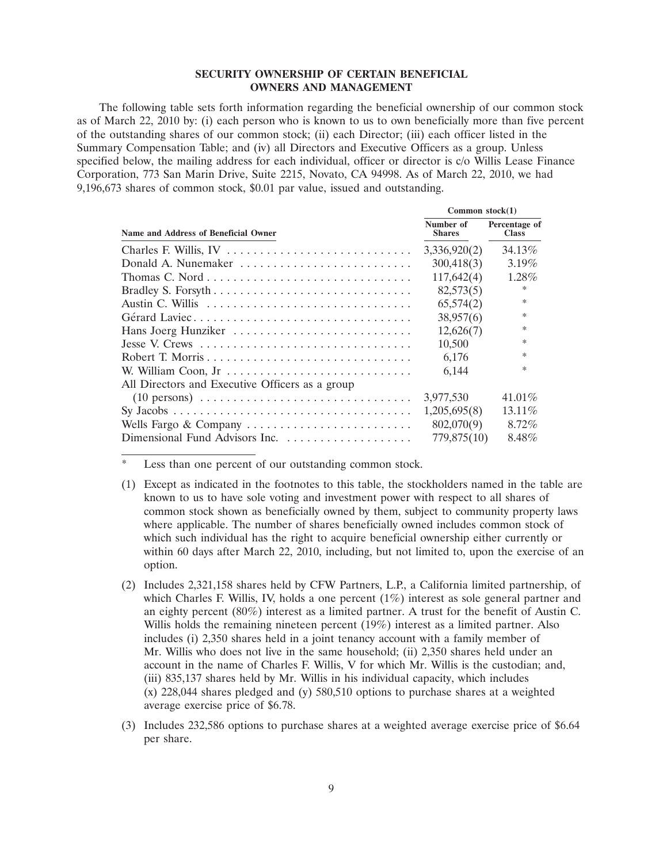### **SECURITY OWNERSHIP OF CERTAIN BENEFICIAL OWNERS AND MANAGEMENT**

The following table sets forth information regarding the beneficial ownership of our common stock as of March 22, 2010 by: (i) each person who is known to us to own beneficially more than five percent of the outstanding shares of our common stock; (ii) each Director; (iii) each officer listed in the Summary Compensation Table; and (iv) all Directors and Executive Officers as a group. Unless specified below, the mailing address for each individual, officer or director is c/o Willis Lease Finance Corporation, 773 San Marin Drive, Suite 2215, Novato, CA 94998. As of March 22, 2010, we had 9,196,673 shares of common stock, \$0.01 par value, issued and outstanding.

|                                                                                            | Common $stock(1)$          |                               |
|--------------------------------------------------------------------------------------------|----------------------------|-------------------------------|
| Name and Address of Beneficial Owner                                                       | Number of<br><b>Shares</b> | Percentage of<br><b>Class</b> |
|                                                                                            | 3,336,920(2)               | 34.13%                        |
| Donald A. Nunemaker                                                                        | 300,418(3)                 | $3.19\%$                      |
|                                                                                            | 117,642(4)                 | $1.28\%$                      |
|                                                                                            | 82,573(5)                  | ∗                             |
|                                                                                            | 65,574(2)                  | $\ast$                        |
| Gérard Laviec                                                                              | 38,957(6)                  | $\ast$                        |
| Hans Joerg Hunziker                                                                        | 12,626(7)                  | $\ast$                        |
|                                                                                            | 10,500                     | *                             |
|                                                                                            | 6,176                      | ∗                             |
| W. William Coon, Jr                                                                        | 6.144                      | ∗                             |
| All Directors and Executive Officers as a group                                            |                            |                               |
| $(10 \text{ persons}) \dots \dots \dots \dots \dots \dots \dots \dots \dots \dots \dots$   | 3,977,530                  | 41.01%                        |
| $Sy\ Jacobs\ \ldots \ldots \ldots \ldots \ldots \ldots \ldots \ldots \ldots \ldots \ldots$ | 1,205,695(8)               | $13.11\%$                     |
| Wells Fargo & Company                                                                      | 802,070(9)                 | $8.72\%$                      |
|                                                                                            | 779,875(10)                | 8.48%                         |

Less than one percent of our outstanding common stock.

- (1) Except as indicated in the footnotes to this table, the stockholders named in the table are known to us to have sole voting and investment power with respect to all shares of common stock shown as beneficially owned by them, subject to community property laws where applicable. The number of shares beneficially owned includes common stock of which such individual has the right to acquire beneficial ownership either currently or within 60 days after March 22, 2010, including, but not limited to, upon the exercise of an option.
- (2) Includes 2,321,158 shares held by CFW Partners, L.P., a California limited partnership, of which Charles F. Willis, IV, holds a one percent (1%) interest as sole general partner and an eighty percent (80%) interest as a limited partner. A trust for the benefit of Austin C. Willis holds the remaining nineteen percent (19%) interest as a limited partner. Also includes (i) 2,350 shares held in a joint tenancy account with a family member of Mr. Willis who does not live in the same household; (ii) 2,350 shares held under an account in the name of Charles F. Willis, V for which Mr. Willis is the custodian; and, (iii) 835,137 shares held by Mr. Willis in his individual capacity, which includes (x) 228,044 shares pledged and (y) 580,510 options to purchase shares at a weighted average exercise price of \$6.78.
- (3) Includes 232,586 options to purchase shares at a weighted average exercise price of \$6.64 per share.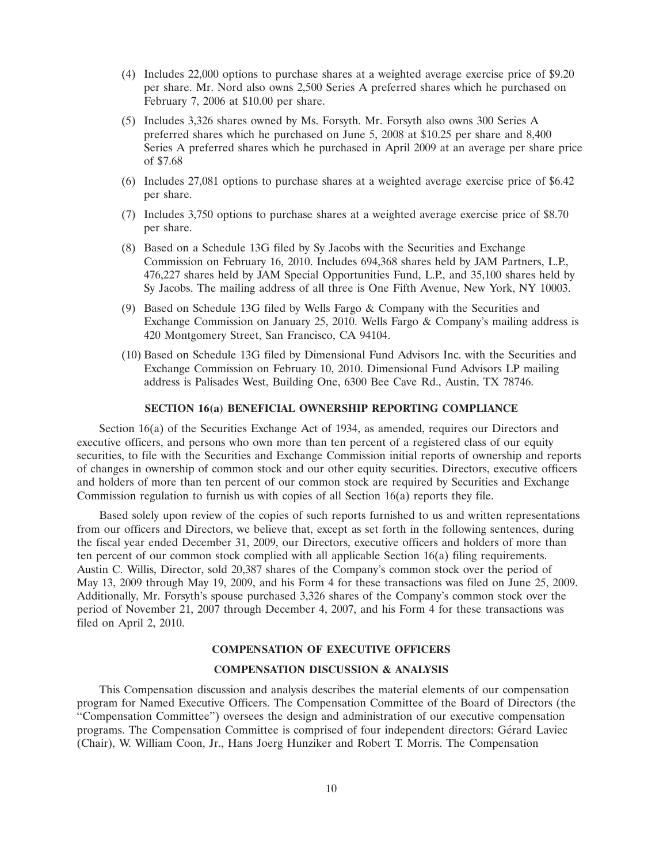- (4) Includes 22,000 options to purchase shares at a weighted average exercise price of \$9.20 per share. Mr. Nord also owns 2,500 Series A preferred shares which he purchased on February 7, 2006 at \$10.00 per share.
- (5) Includes 3,326 shares owned by Ms. Forsyth. Mr. Forsyth also owns 300 Series A preferred shares which he purchased on June 5, 2008 at \$10.25 per share and 8,400 Series A preferred shares which he purchased in April 2009 at an average per share price of \$7.68
- (6) Includes 27,081 options to purchase shares at a weighted average exercise price of \$6.42 per share.
- (7) Includes 3,750 options to purchase shares at a weighted average exercise price of \$8.70 per share.
- (8) Based on a Schedule 13G filed by Sy Jacobs with the Securities and Exchange Commission on February 16, 2010. Includes 694,368 shares held by JAM Partners, L.P., 476,227 shares held by JAM Special Opportunities Fund, L.P., and 35,100 shares held by Sy Jacobs. The mailing address of all three is One Fifth Avenue, New York, NY 10003.
- (9) Based on Schedule 13G filed by Wells Fargo & Company with the Securities and Exchange Commission on January 25, 2010. Wells Fargo & Company's mailing address is 420 Montgomery Street, San Francisco, CA 94104.
- (10) Based on Schedule 13G filed by Dimensional Fund Advisors Inc. with the Securities and Exchange Commission on February 10, 2010. Dimensional Fund Advisors LP mailing address is Palisades West, Building One, 6300 Bee Cave Rd., Austin, TX 78746.

#### **SECTION 16(a) BENEFICIAL OWNERSHIP REPORTING COMPLIANCE**

Section 16(a) of the Securities Exchange Act of 1934, as amended, requires our Directors and executive officers, and persons who own more than ten percent of a registered class of our equity securities, to file with the Securities and Exchange Commission initial reports of ownership and reports of changes in ownership of common stock and our other equity securities. Directors, executive officers and holders of more than ten percent of our common stock are required by Securities and Exchange Commission regulation to furnish us with copies of all Section 16(a) reports they file.

Based solely upon review of the copies of such reports furnished to us and written representations from our officers and Directors, we believe that, except as set forth in the following sentences, during the fiscal year ended December 31, 2009, our Directors, executive officers and holders of more than ten percent of our common stock complied with all applicable Section 16(a) filing requirements. Austin C. Willis, Director, sold 20,387 shares of the Company's common stock over the period of May 13, 2009 through May 19, 2009, and his Form 4 for these transactions was filed on June 25, 2009. Additionally, Mr. Forsyth's spouse purchased 3,326 shares of the Company's common stock over the period of November 21, 2007 through December 4, 2007, and his Form 4 for these transactions was filed on April 2, 2010.

#### **COMPENSATION OF EXECUTIVE OFFICERS**

## **COMPENSATION DISCUSSION & ANALYSIS**

This Compensation discussion and analysis describes the material elements of our compensation program for Named Executive Officers. The Compensation Committee of the Board of Directors (the ''Compensation Committee'') oversees the design and administration of our executive compensation programs. The Compensation Committee is comprised of four independent directors: Gerard Laviec ´ (Chair), W. William Coon, Jr., Hans Joerg Hunziker and Robert T. Morris. The Compensation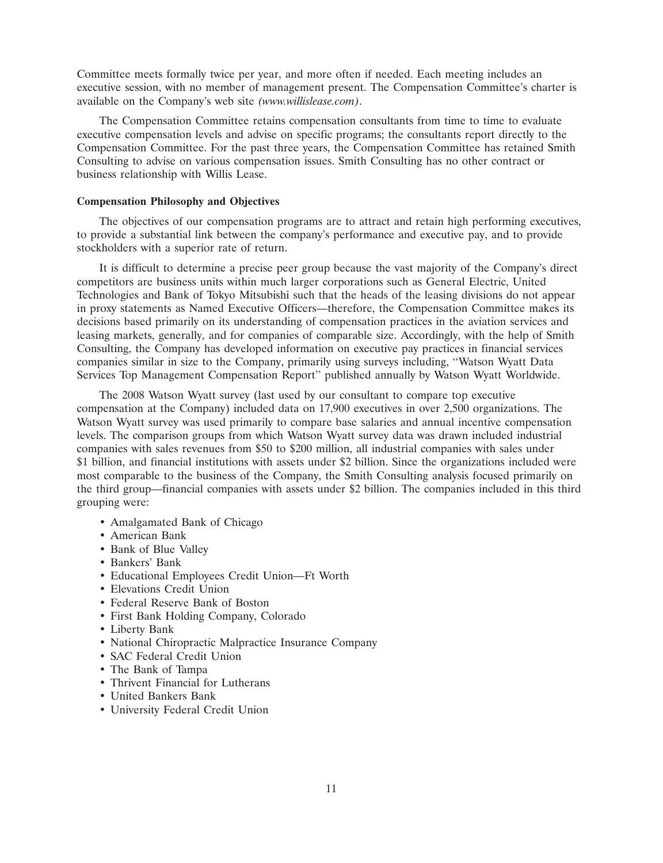Committee meets formally twice per year, and more often if needed. Each meeting includes an executive session, with no member of management present. The Compensation Committee's charter is available on the Company's web site *(www.willislease.com)*.

The Compensation Committee retains compensation consultants from time to time to evaluate executive compensation levels and advise on specific programs; the consultants report directly to the Compensation Committee. For the past three years, the Compensation Committee has retained Smith Consulting to advise on various compensation issues. Smith Consulting has no other contract or business relationship with Willis Lease.

## **Compensation Philosophy and Objectives**

The objectives of our compensation programs are to attract and retain high performing executives, to provide a substantial link between the company's performance and executive pay, and to provide stockholders with a superior rate of return.

It is difficult to determine a precise peer group because the vast majority of the Company's direct competitors are business units within much larger corporations such as General Electric, United Technologies and Bank of Tokyo Mitsubishi such that the heads of the leasing divisions do not appear in proxy statements as Named Executive Officers—therefore, the Compensation Committee makes its decisions based primarily on its understanding of compensation practices in the aviation services and leasing markets, generally, and for companies of comparable size. Accordingly, with the help of Smith Consulting, the Company has developed information on executive pay practices in financial services companies similar in size to the Company, primarily using surveys including, ''Watson Wyatt Data Services Top Management Compensation Report'' published annually by Watson Wyatt Worldwide.

The 2008 Watson Wyatt survey (last used by our consultant to compare top executive compensation at the Company) included data on 17,900 executives in over 2,500 organizations. The Watson Wyatt survey was used primarily to compare base salaries and annual incentive compensation levels. The comparison groups from which Watson Wyatt survey data was drawn included industrial companies with sales revenues from \$50 to \$200 million, all industrial companies with sales under \$1 billion, and financial institutions with assets under \$2 billion. Since the organizations included were most comparable to the business of the Company, the Smith Consulting analysis focused primarily on the third group—financial companies with assets under \$2 billion. The companies included in this third grouping were:

- Amalgamated Bank of Chicago
- American Bank
- Bank of Blue Valley
- Bankers' Bank
- Educational Employees Credit Union—Ft Worth
- Elevations Credit Union
- Federal Reserve Bank of Boston
- First Bank Holding Company, Colorado
- Liberty Bank
- National Chiropractic Malpractice Insurance Company
- SAC Federal Credit Union
- The Bank of Tampa
- Thrivent Financial for Lutherans
- United Bankers Bank
- University Federal Credit Union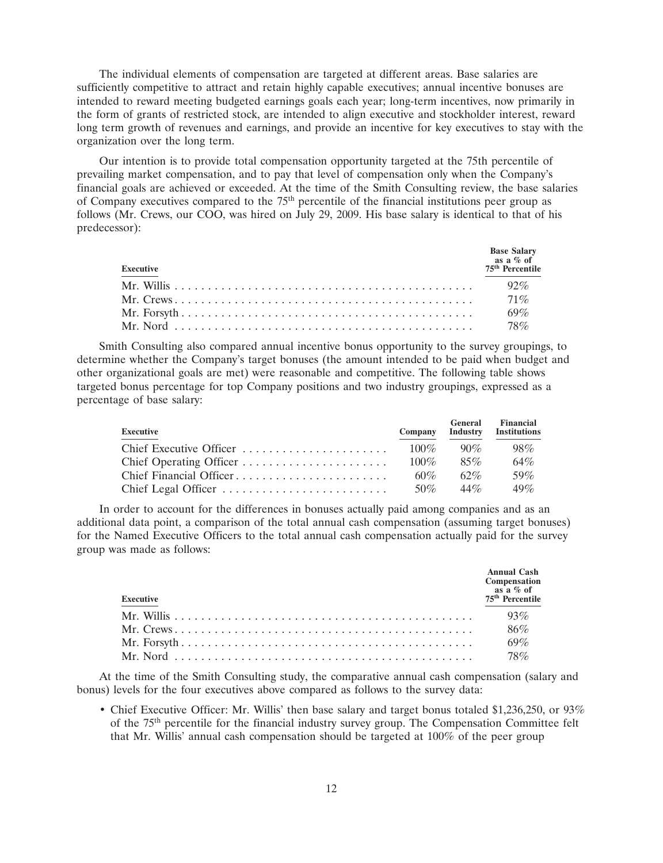The individual elements of compensation are targeted at different areas. Base salaries are sufficiently competitive to attract and retain highly capable executives; annual incentive bonuses are intended to reward meeting budgeted earnings goals each year; long-term incentives, now primarily in the form of grants of restricted stock, are intended to align executive and stockholder interest, reward long term growth of revenues and earnings, and provide an incentive for key executives to stay with the organization over the long term.

Our intention is to provide total compensation opportunity targeted at the 75th percentile of prevailing market compensation, and to pay that level of compensation only when the Company's financial goals are achieved or exceeded. At the time of the Smith Consulting review, the base salaries of Company executives compared to the 75<sup>th</sup> percentile of the financial institutions peer group as follows (Mr. Crews, our COO, was hired on July 29, 2009. His base salary is identical to that of his predecessor):

| <b>Executive</b> | <b>Base Salary</b><br>as a $\%$ of<br>75 <sup>th</sup> Percentile |
|------------------|-------------------------------------------------------------------|
|                  | 92%                                                               |
|                  | $71\%$                                                            |
|                  | $69\%$                                                            |
|                  | 78%                                                               |

Smith Consulting also compared annual incentive bonus opportunity to the survey groupings, to determine whether the Company's target bonuses (the amount intended to be paid when budget and other organizational goals are met) were reasonable and competitive. The following table shows targeted bonus percentage for top Company positions and two industry groupings, expressed as a percentage of base salary:

| Executive | Company | General     | Financial<br>Industry Institutions |
|-----------|---------|-------------|------------------------------------|
|           |         | $100\%$ 90% | $98\%$                             |
|           | $100\%$ | $85\%$      | $64\%$                             |
|           | $60\%$  | $62\%$      | .59%                               |
|           | 50\%    | $44\%$      | $49\%$                             |

In order to account for the differences in bonuses actually paid among companies and as an additional data point, a comparison of the total annual cash compensation (assuming target bonuses) for the Named Executive Officers to the total annual cash compensation actually paid for the survey group was made as follows:

| <b>Executive</b>                                                                                                     | <b>Annual Cash</b><br>Compensation<br>as a % of<br>75 <sup>th</sup> Percentile |
|----------------------------------------------------------------------------------------------------------------------|--------------------------------------------------------------------------------|
|                                                                                                                      | 93%                                                                            |
|                                                                                                                      | 86%                                                                            |
|                                                                                                                      | 69%                                                                            |
| Mr. Nord $\ldots$ $\ldots$ $\ldots$ $\ldots$ $\ldots$ $\ldots$ $\ldots$ $\ldots$ $\ldots$ $\ldots$ $\ldots$ $\ldots$ | 78%                                                                            |

At the time of the Smith Consulting study, the comparative annual cash compensation (salary and bonus) levels for the four executives above compared as follows to the survey data:

• Chief Executive Officer: Mr. Willis' then base salary and target bonus totaled \$1,236,250, or 93% of the 75th percentile for the financial industry survey group. The Compensation Committee felt that Mr. Willis' annual cash compensation should be targeted at 100% of the peer group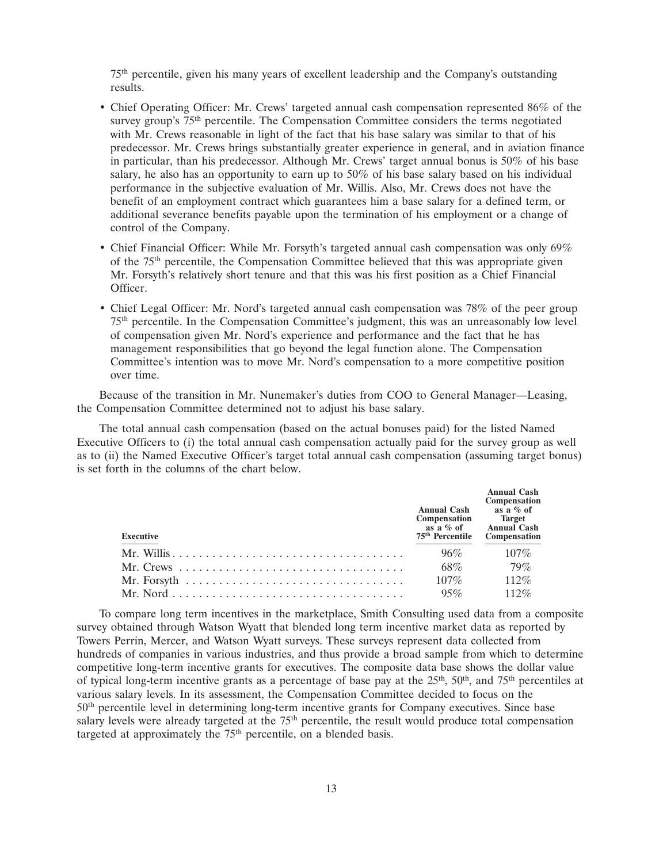75th percentile, given his many years of excellent leadership and the Company's outstanding results.

- Chief Operating Officer: Mr. Crews' targeted annual cash compensation represented 86% of the survey group's  $75<sup>th</sup>$  percentile. The Compensation Committee considers the terms negotiated with Mr. Crews reasonable in light of the fact that his base salary was similar to that of his predecessor. Mr. Crews brings substantially greater experience in general, and in aviation finance in particular, than his predecessor. Although Mr. Crews' target annual bonus is 50% of his base salary, he also has an opportunity to earn up to 50% of his base salary based on his individual performance in the subjective evaluation of Mr. Willis. Also, Mr. Crews does not have the benefit of an employment contract which guarantees him a base salary for a defined term, or additional severance benefits payable upon the termination of his employment or a change of control of the Company.
- Chief Financial Officer: While Mr. Forsyth's targeted annual cash compensation was only 69% of the 75th percentile, the Compensation Committee believed that this was appropriate given Mr. Forsyth's relatively short tenure and that this was his first position as a Chief Financial Officer.
- Chief Legal Officer: Mr. Nord's targeted annual cash compensation was 78% of the peer group 75th percentile. In the Compensation Committee's judgment, this was an unreasonably low level of compensation given Mr. Nord's experience and performance and the fact that he has management responsibilities that go beyond the legal function alone. The Compensation Committee's intention was to move Mr. Nord's compensation to a more competitive position over time.

Because of the transition in Mr. Nunemaker's duties from COO to General Manager—Leasing, the Compensation Committee determined not to adjust his base salary.

The total annual cash compensation (based on the actual bonuses paid) for the listed Named Executive Officers to (i) the total annual cash compensation actually paid for the survey group as well as to (ii) the Named Executive Officer's target total annual cash compensation (assuming target bonus) is set forth in the columns of the chart below.

| <b>Executive</b>                                                                    | <b>Annual Cash</b><br>Compensation Target<br>as a $\%$ of<br>75 <sup>th</sup> Percentile | <b>Annual Cash</b><br>Compensation<br>as a % of<br><b>Annual Cash</b><br>Compensation |
|-------------------------------------------------------------------------------------|------------------------------------------------------------------------------------------|---------------------------------------------------------------------------------------|
|                                                                                     | 96%                                                                                      | $107\%$                                                                               |
|                                                                                     | 68%                                                                                      | $79\%$                                                                                |
| Mr. Forsyth $\ldots \ldots \ldots \ldots \ldots \ldots \ldots \ldots \ldots \ldots$ | $107\%$                                                                                  | 112%                                                                                  |
|                                                                                     | 95%                                                                                      | $112\%$                                                                               |

To compare long term incentives in the marketplace, Smith Consulting used data from a composite survey obtained through Watson Wyatt that blended long term incentive market data as reported by Towers Perrin, Mercer, and Watson Wyatt surveys. These surveys represent data collected from hundreds of companies in various industries, and thus provide a broad sample from which to determine competitive long-term incentive grants for executives. The composite data base shows the dollar value of typical long-term incentive grants as a percentage of base pay at the  $25<sup>th</sup>$ ,  $50<sup>th</sup>$ , and  $75<sup>th</sup>$  percentiles at various salary levels. In its assessment, the Compensation Committee decided to focus on the 50th percentile level in determining long-term incentive grants for Company executives. Since base salary levels were already targeted at the 75<sup>th</sup> percentile, the result would produce total compensation targeted at approximately the 75<sup>th</sup> percentile, on a blended basis.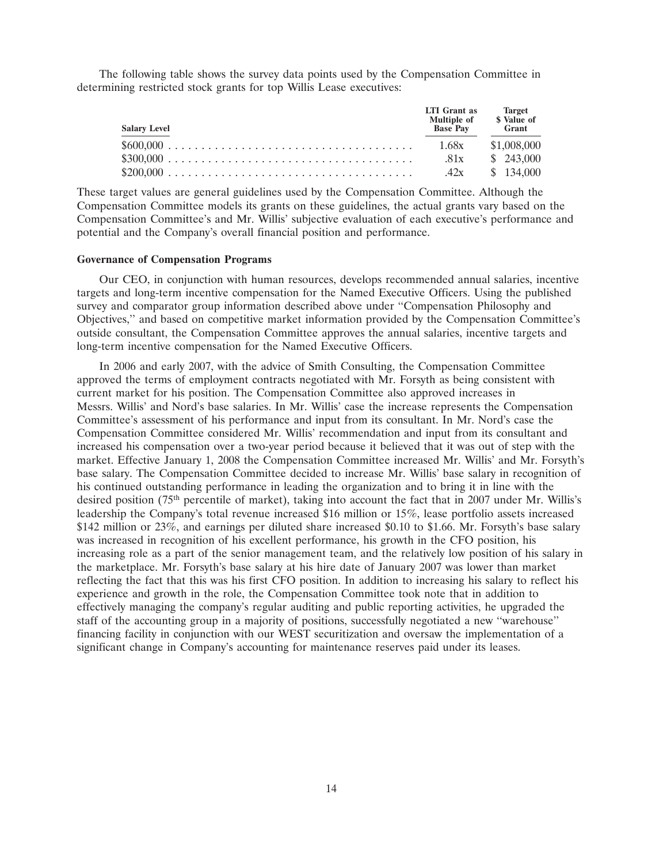The following table shows the survey data points used by the Compensation Committee in determining restricted stock grants for top Willis Lease executives:

| <b>Salary Level</b> | <b>LTI</b> Grant as<br><b>Multiple of</b><br><b>Base Pay</b> | <b>Target</b><br>\$ Value of<br>Grant |
|---------------------|--------------------------------------------------------------|---------------------------------------|
|                     | 1.68x                                                        | \$1,008,000                           |
|                     | .81x                                                         | \$243,000                             |
|                     | 42x                                                          | \$134.000                             |

These target values are general guidelines used by the Compensation Committee. Although the Compensation Committee models its grants on these guidelines, the actual grants vary based on the Compensation Committee's and Mr. Willis' subjective evaluation of each executive's performance and potential and the Company's overall financial position and performance.

#### **Governance of Compensation Programs**

Our CEO, in conjunction with human resources, develops recommended annual salaries, incentive targets and long-term incentive compensation for the Named Executive Officers. Using the published survey and comparator group information described above under ''Compensation Philosophy and Objectives,'' and based on competitive market information provided by the Compensation Committee's outside consultant, the Compensation Committee approves the annual salaries, incentive targets and long-term incentive compensation for the Named Executive Officers.

In 2006 and early 2007, with the advice of Smith Consulting, the Compensation Committee approved the terms of employment contracts negotiated with Mr. Forsyth as being consistent with current market for his position. The Compensation Committee also approved increases in Messrs. Willis' and Nord's base salaries. In Mr. Willis' case the increase represents the Compensation Committee's assessment of his performance and input from its consultant. In Mr. Nord's case the Compensation Committee considered Mr. Willis' recommendation and input from its consultant and increased his compensation over a two-year period because it believed that it was out of step with the market. Effective January 1, 2008 the Compensation Committee increased Mr. Willis' and Mr. Forsyth's base salary. The Compensation Committee decided to increase Mr. Willis' base salary in recognition of his continued outstanding performance in leading the organization and to bring it in line with the desired position (75<sup>th</sup> percentile of market), taking into account the fact that in 2007 under Mr. Willis's leadership the Company's total revenue increased \$16 million or 15%, lease portfolio assets increased \$142 million or 23%, and earnings per diluted share increased \$0.10 to \$1.66. Mr. Forsyth's base salary was increased in recognition of his excellent performance, his growth in the CFO position, his increasing role as a part of the senior management team, and the relatively low position of his salary in the marketplace. Mr. Forsyth's base salary at his hire date of January 2007 was lower than market reflecting the fact that this was his first CFO position. In addition to increasing his salary to reflect his experience and growth in the role, the Compensation Committee took note that in addition to effectively managing the company's regular auditing and public reporting activities, he upgraded the staff of the accounting group in a majority of positions, successfully negotiated a new ''warehouse'' financing facility in conjunction with our WEST securitization and oversaw the implementation of a significant change in Company's accounting for maintenance reserves paid under its leases.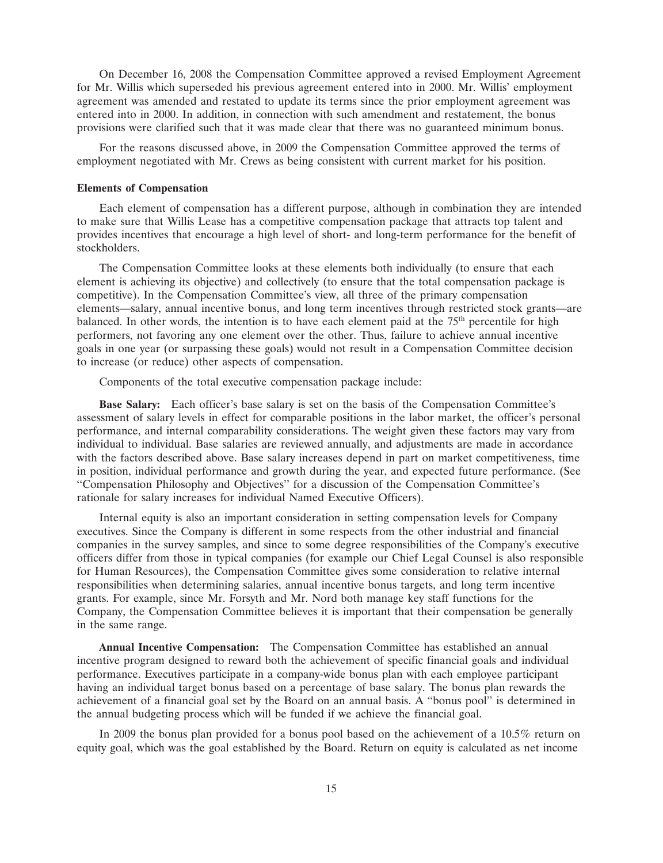On December 16, 2008 the Compensation Committee approved a revised Employment Agreement for Mr. Willis which superseded his previous agreement entered into in 2000. Mr. Willis' employment agreement was amended and restated to update its terms since the prior employment agreement was entered into in 2000. In addition, in connection with such amendment and restatement, the bonus provisions were clarified such that it was made clear that there was no guaranteed minimum bonus.

For the reasons discussed above, in 2009 the Compensation Committee approved the terms of employment negotiated with Mr. Crews as being consistent with current market for his position.

#### **Elements of Compensation**

Each element of compensation has a different purpose, although in combination they are intended to make sure that Willis Lease has a competitive compensation package that attracts top talent and provides incentives that encourage a high level of short- and long-term performance for the benefit of stockholders.

The Compensation Committee looks at these elements both individually (to ensure that each element is achieving its objective) and collectively (to ensure that the total compensation package is competitive). In the Compensation Committee's view, all three of the primary compensation elements—salary, annual incentive bonus, and long term incentives through restricted stock grants—are balanced. In other words, the intention is to have each element paid at the 75<sup>th</sup> percentile for high performers, not favoring any one element over the other. Thus, failure to achieve annual incentive goals in one year (or surpassing these goals) would not result in a Compensation Committee decision to increase (or reduce) other aspects of compensation.

Components of the total executive compensation package include:

**Base Salary:** Each officer's base salary is set on the basis of the Compensation Committee's assessment of salary levels in effect for comparable positions in the labor market, the officer's personal performance, and internal comparability considerations. The weight given these factors may vary from individual to individual. Base salaries are reviewed annually, and adjustments are made in accordance with the factors described above. Base salary increases depend in part on market competitiveness, time in position, individual performance and growth during the year, and expected future performance. (See ''Compensation Philosophy and Objectives'' for a discussion of the Compensation Committee's rationale for salary increases for individual Named Executive Officers).

Internal equity is also an important consideration in setting compensation levels for Company executives. Since the Company is different in some respects from the other industrial and financial companies in the survey samples, and since to some degree responsibilities of the Company's executive officers differ from those in typical companies (for example our Chief Legal Counsel is also responsible for Human Resources), the Compensation Committee gives some consideration to relative internal responsibilities when determining salaries, annual incentive bonus targets, and long term incentive grants. For example, since Mr. Forsyth and Mr. Nord both manage key staff functions for the Company, the Compensation Committee believes it is important that their compensation be generally in the same range.

**Annual Incentive Compensation:** The Compensation Committee has established an annual incentive program designed to reward both the achievement of specific financial goals and individual performance. Executives participate in a company-wide bonus plan with each employee participant having an individual target bonus based on a percentage of base salary. The bonus plan rewards the achievement of a financial goal set by the Board on an annual basis. A ''bonus pool'' is determined in the annual budgeting process which will be funded if we achieve the financial goal.

In 2009 the bonus plan provided for a bonus pool based on the achievement of a 10.5% return on equity goal, which was the goal established by the Board. Return on equity is calculated as net income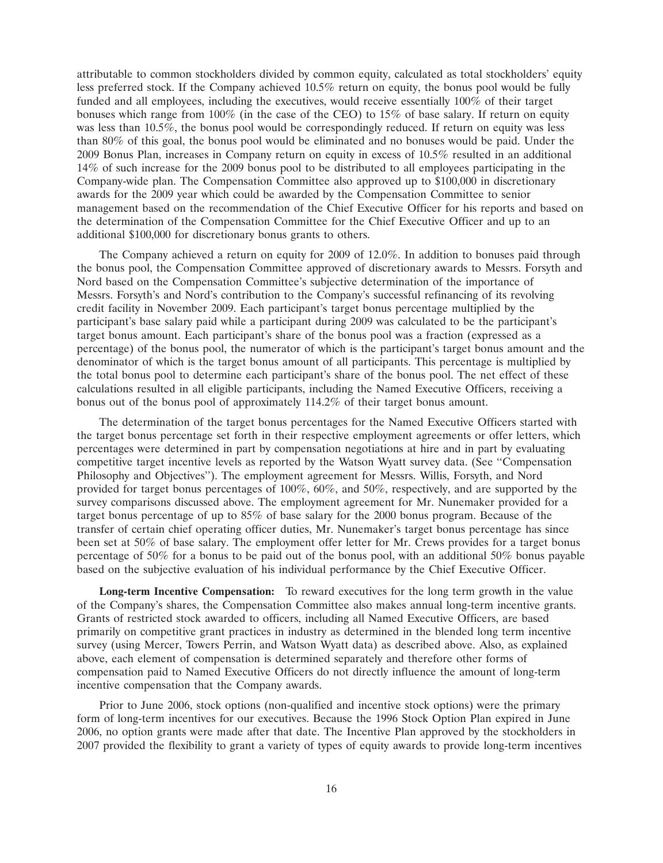attributable to common stockholders divided by common equity, calculated as total stockholders' equity less preferred stock. If the Company achieved 10.5% return on equity, the bonus pool would be fully funded and all employees, including the executives, would receive essentially 100% of their target bonuses which range from 100% (in the case of the CEO) to 15% of base salary. If return on equity was less than 10.5%, the bonus pool would be correspondingly reduced. If return on equity was less than 80% of this goal, the bonus pool would be eliminated and no bonuses would be paid. Under the 2009 Bonus Plan, increases in Company return on equity in excess of 10.5% resulted in an additional 14% of such increase for the 2009 bonus pool to be distributed to all employees participating in the Company-wide plan. The Compensation Committee also approved up to \$100,000 in discretionary awards for the 2009 year which could be awarded by the Compensation Committee to senior management based on the recommendation of the Chief Executive Officer for his reports and based on the determination of the Compensation Committee for the Chief Executive Officer and up to an additional \$100,000 for discretionary bonus grants to others.

The Company achieved a return on equity for 2009 of 12.0%. In addition to bonuses paid through the bonus pool, the Compensation Committee approved of discretionary awards to Messrs. Forsyth and Nord based on the Compensation Committee's subjective determination of the importance of Messrs. Forsyth's and Nord's contribution to the Company's successful refinancing of its revolving credit facility in November 2009. Each participant's target bonus percentage multiplied by the participant's base salary paid while a participant during 2009 was calculated to be the participant's target bonus amount. Each participant's share of the bonus pool was a fraction (expressed as a percentage) of the bonus pool, the numerator of which is the participant's target bonus amount and the denominator of which is the target bonus amount of all participants. This percentage is multiplied by the total bonus pool to determine each participant's share of the bonus pool. The net effect of these calculations resulted in all eligible participants, including the Named Executive Officers, receiving a bonus out of the bonus pool of approximately 114.2% of their target bonus amount.

The determination of the target bonus percentages for the Named Executive Officers started with the target bonus percentage set forth in their respective employment agreements or offer letters, which percentages were determined in part by compensation negotiations at hire and in part by evaluating competitive target incentive levels as reported by the Watson Wyatt survey data. (See "Compensation Philosophy and Objectives''). The employment agreement for Messrs. Willis, Forsyth, and Nord provided for target bonus percentages of 100%, 60%, and 50%, respectively, and are supported by the survey comparisons discussed above. The employment agreement for Mr. Nunemaker provided for a target bonus percentage of up to 85% of base salary for the 2000 bonus program. Because of the transfer of certain chief operating officer duties, Mr. Nunemaker's target bonus percentage has since been set at 50% of base salary. The employment offer letter for Mr. Crews provides for a target bonus percentage of 50% for a bonus to be paid out of the bonus pool, with an additional 50% bonus payable based on the subjective evaluation of his individual performance by the Chief Executive Officer.

**Long-term Incentive Compensation:** To reward executives for the long term growth in the value of the Company's shares, the Compensation Committee also makes annual long-term incentive grants. Grants of restricted stock awarded to officers, including all Named Executive Officers, are based primarily on competitive grant practices in industry as determined in the blended long term incentive survey (using Mercer, Towers Perrin, and Watson Wyatt data) as described above. Also, as explained above, each element of compensation is determined separately and therefore other forms of compensation paid to Named Executive Officers do not directly influence the amount of long-term incentive compensation that the Company awards.

Prior to June 2006, stock options (non-qualified and incentive stock options) were the primary form of long-term incentives for our executives. Because the 1996 Stock Option Plan expired in June 2006, no option grants were made after that date. The Incentive Plan approved by the stockholders in 2007 provided the flexibility to grant a variety of types of equity awards to provide long-term incentives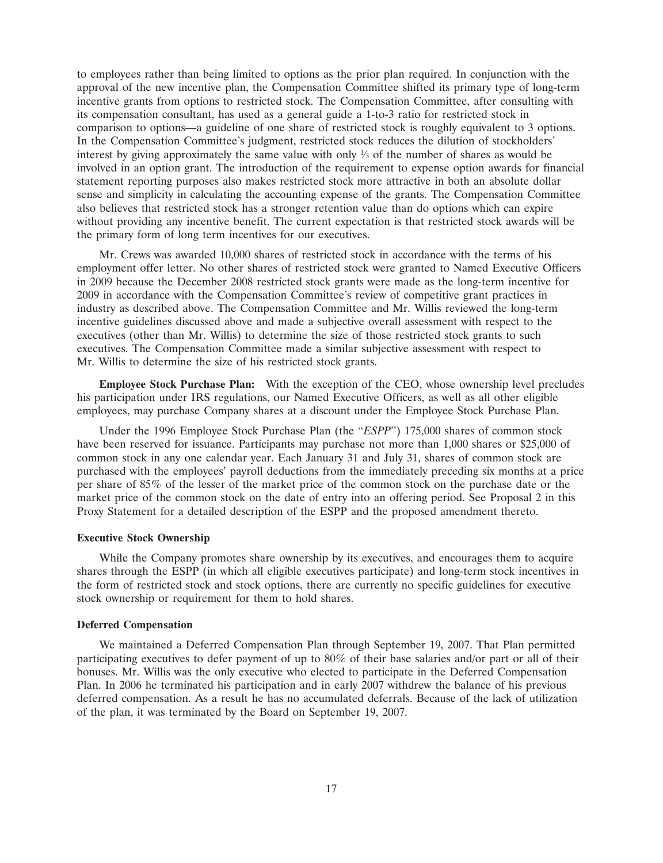to employees rather than being limited to options as the prior plan required. In conjunction with the approval of the new incentive plan, the Compensation Committee shifted its primary type of long-term incentive grants from options to restricted stock. The Compensation Committee, after consulting with its compensation consultant, has used as a general guide a 1-to-3 ratio for restricted stock in comparison to options—a guideline of one share of restricted stock is roughly equivalent to 3 options. In the Compensation Committee's judgment, restricted stock reduces the dilution of stockholders' interest by giving approximately the same value with only  $\frac{1}{3}$  of the number of shares as would be involved in an option grant. The introduction of the requirement to expense option awards for financial statement reporting purposes also makes restricted stock more attractive in both an absolute dollar sense and simplicity in calculating the accounting expense of the grants. The Compensation Committee also believes that restricted stock has a stronger retention value than do options which can expire without providing any incentive benefit. The current expectation is that restricted stock awards will be the primary form of long term incentives for our executives.

Mr. Crews was awarded 10,000 shares of restricted stock in accordance with the terms of his employment offer letter. No other shares of restricted stock were granted to Named Executive Officers in 2009 because the December 2008 restricted stock grants were made as the long-term incentive for 2009 in accordance with the Compensation Committee's review of competitive grant practices in industry as described above. The Compensation Committee and Mr. Willis reviewed the long-term incentive guidelines discussed above and made a subjective overall assessment with respect to the executives (other than Mr. Willis) to determine the size of those restricted stock grants to such executives. The Compensation Committee made a similar subjective assessment with respect to Mr. Willis to determine the size of his restricted stock grants.

**Employee Stock Purchase Plan:** With the exception of the CEO, whose ownership level precludes his participation under IRS regulations, our Named Executive Officers, as well as all other eligible employees, may purchase Company shares at a discount under the Employee Stock Purchase Plan.

Under the 1996 Employee Stock Purchase Plan (the ''*ESPP*'') 175,000 shares of common stock have been reserved for issuance. Participants may purchase not more than 1,000 shares or \$25,000 of common stock in any one calendar year. Each January 31 and July 31, shares of common stock are purchased with the employees' payroll deductions from the immediately preceding six months at a price per share of 85% of the lesser of the market price of the common stock on the purchase date or the market price of the common stock on the date of entry into an offering period. See Proposal 2 in this Proxy Statement for a detailed description of the ESPP and the proposed amendment thereto.

#### **Executive Stock Ownership**

While the Company promotes share ownership by its executives, and encourages them to acquire shares through the ESPP (in which all eligible executives participate) and long-term stock incentives in the form of restricted stock and stock options, there are currently no specific guidelines for executive stock ownership or requirement for them to hold shares.

#### **Deferred Compensation**

We maintained a Deferred Compensation Plan through September 19, 2007. That Plan permitted participating executives to defer payment of up to 80% of their base salaries and/or part or all of their bonuses. Mr. Willis was the only executive who elected to participate in the Deferred Compensation Plan. In 2006 he terminated his participation and in early 2007 withdrew the balance of his previous deferred compensation. As a result he has no accumulated deferrals. Because of the lack of utilization of the plan, it was terminated by the Board on September 19, 2007.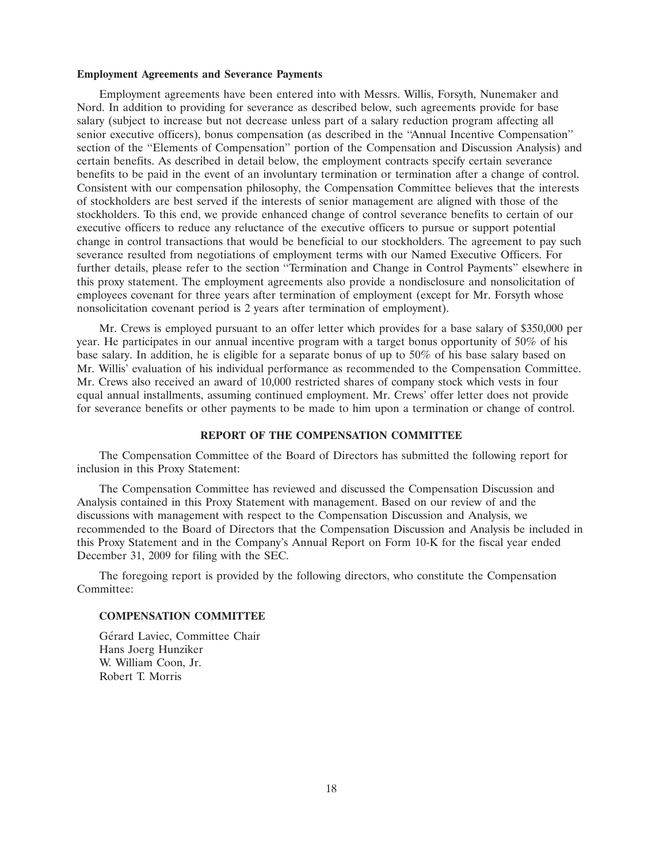#### **Employment Agreements and Severance Payments**

Employment agreements have been entered into with Messrs. Willis, Forsyth, Nunemaker and Nord. In addition to providing for severance as described below, such agreements provide for base salary (subject to increase but not decrease unless part of a salary reduction program affecting all senior executive officers), bonus compensation (as described in the ''Annual Incentive Compensation'' section of the ''Elements of Compensation'' portion of the Compensation and Discussion Analysis) and certain benefits. As described in detail below, the employment contracts specify certain severance benefits to be paid in the event of an involuntary termination or termination after a change of control. Consistent with our compensation philosophy, the Compensation Committee believes that the interests of stockholders are best served if the interests of senior management are aligned with those of the stockholders. To this end, we provide enhanced change of control severance benefits to certain of our executive officers to reduce any reluctance of the executive officers to pursue or support potential change in control transactions that would be beneficial to our stockholders. The agreement to pay such severance resulted from negotiations of employment terms with our Named Executive Officers. For further details, please refer to the section ''Termination and Change in Control Payments'' elsewhere in this proxy statement. The employment agreements also provide a nondisclosure and nonsolicitation of employees covenant for three years after termination of employment (except for Mr. Forsyth whose nonsolicitation covenant period is 2 years after termination of employment).

Mr. Crews is employed pursuant to an offer letter which provides for a base salary of \$350,000 per year. He participates in our annual incentive program with a target bonus opportunity of 50% of his base salary. In addition, he is eligible for a separate bonus of up to 50% of his base salary based on Mr. Willis' evaluation of his individual performance as recommended to the Compensation Committee. Mr. Crews also received an award of 10,000 restricted shares of company stock which vests in four equal annual installments, assuming continued employment. Mr. Crews' offer letter does not provide for severance benefits or other payments to be made to him upon a termination or change of control.

## **REPORT OF THE COMPENSATION COMMITTEE**

The Compensation Committee of the Board of Directors has submitted the following report for inclusion in this Proxy Statement:

The Compensation Committee has reviewed and discussed the Compensation Discussion and Analysis contained in this Proxy Statement with management. Based on our review of and the discussions with management with respect to the Compensation Discussion and Analysis, we recommended to the Board of Directors that the Compensation Discussion and Analysis be included in this Proxy Statement and in the Company's Annual Report on Form 10-K for the fiscal year ended December 31, 2009 for filing with the SEC.

The foregoing report is provided by the following directors, who constitute the Compensation Committee:

#### **COMPENSATION COMMITTEE**

Gérard Laviec, Committee Chair Hans Joerg Hunziker W. William Coon, Jr. Robert T. Morris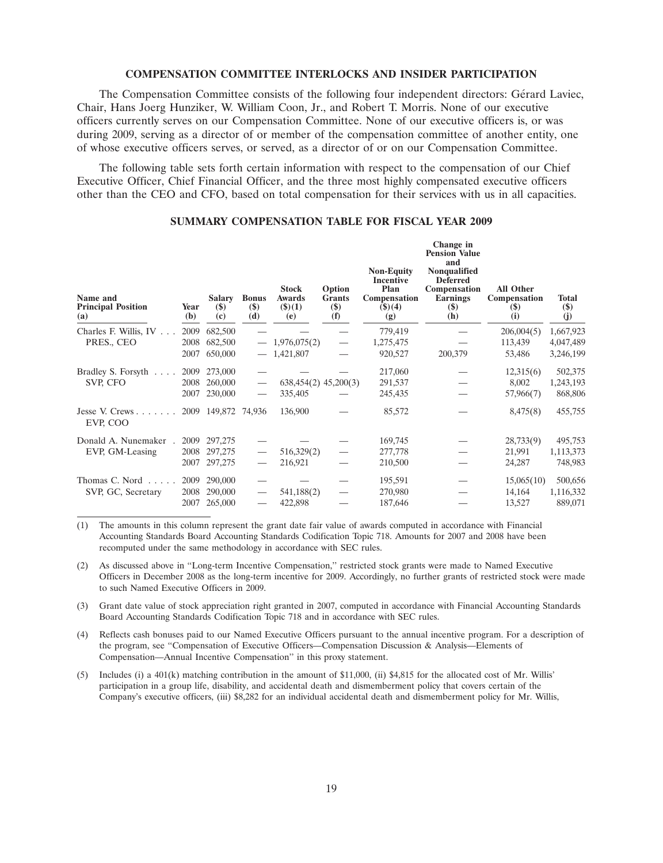#### **COMPENSATION COMMITTEE INTERLOCKS AND INSIDER PARTICIPATION**

The Compensation Committee consists of the following four independent directors: Gerard Laviec, ´ Chair, Hans Joerg Hunziker, W. William Coon, Jr., and Robert T. Morris. None of our executive officers currently serves on our Compensation Committee. None of our executive officers is, or was during 2009, serving as a director of or member of the compensation committee of another entity, one of whose executive officers serves, or served, as a director of or on our Compensation Committee.

The following table sets forth certain information with respect to the compensation of our Chief Executive Officer, Chief Financial Officer, and the three most highly compensated executive officers other than the CEO and CFO, based on total compensation for their services with us in all capacities.

| Name and<br><b>Principal Position</b><br>(a) | Year<br>(b) | <b>Salary</b><br>$\left( \mathbf{\$}\right)$<br>(c) | <b>Bonus</b><br>$(\$)$<br>(d) | <b>Stock</b><br><b>Awards</b><br>(3)(1)<br>(e) | Option<br><b>Grants</b><br>$(\$)$<br>(f) | <b>Non-Equity</b><br><b>Incentive</b><br>Plan<br>Compensation<br>\$)(4)<br>(g) | Change in<br><b>Pension Value</b><br>and<br><b>Nonqualified</b><br><b>Deferred</b><br>Compensation<br><b>Earnings</b><br>$($)$<br>(h) | All Other<br>Compensation<br>$(\$)$<br>(i) | <b>Total</b><br>$(\$)$<br>(j) |
|----------------------------------------------|-------------|-----------------------------------------------------|-------------------------------|------------------------------------------------|------------------------------------------|--------------------------------------------------------------------------------|---------------------------------------------------------------------------------------------------------------------------------------|--------------------------------------------|-------------------------------|
| Charles F. Willis, IV                        | 2009        | 682,500                                             |                               |                                                |                                          | 779,419                                                                        |                                                                                                                                       | 206,004(5)                                 | 1,667,923                     |
| PRES., CEO                                   | 2008        | 682,500                                             |                               | 1,976,075(2)                                   |                                          | 1,275,475                                                                      |                                                                                                                                       | 113,439                                    | 4,047,489                     |
|                                              | 2007        | 650,000                                             |                               | 1,421,807                                      |                                          | 920,527                                                                        | 200,379                                                                                                                               | 53,486                                     | 3,246,199                     |
| Bradley S. Forsyth<br>.                      | 2009        | 273,000                                             |                               |                                                |                                          | 217,060                                                                        |                                                                                                                                       | 12,315(6)                                  | 502,375                       |
| SVP, CFO                                     | 2008        | 260,000                                             |                               | $638,454(2)$ $45,200(3)$                       |                                          | 291,537                                                                        |                                                                                                                                       | 8,002                                      | 1,243,193                     |
|                                              | 2007        | 230,000                                             |                               | 335,405                                        |                                          | 245,435                                                                        |                                                                                                                                       | 57,966(7)                                  | 868,806                       |
| Jesse V. Crews<br>EVP, COO                   |             | 2009 149,872 74,936                                 |                               | 136,900                                        |                                          | 85,572                                                                         |                                                                                                                                       | 8,475(8)                                   | 455,755                       |
| Donald A. Nunemaker                          | 2009        | 297,275                                             |                               |                                                |                                          | 169,745                                                                        |                                                                                                                                       | 28,733(9)                                  | 495,753                       |
| EVP, GM-Leasing                              | 2008        | 297,275                                             |                               | 516,329(2)                                     |                                          | 277,778                                                                        |                                                                                                                                       | 21,991                                     | 1,113,373                     |
|                                              | 2007        | 297,275                                             |                               | 216,921                                        |                                          | 210,500                                                                        |                                                                                                                                       | 24,287                                     | 748,983                       |
| Thomas C. Nord                               | 2009        | 290,000                                             |                               |                                                |                                          | 195,591                                                                        |                                                                                                                                       | 15,065(10)                                 | 500,656                       |
| SVP, GC, Secretary                           | 2008        | 290,000                                             |                               | 541,188(2)                                     |                                          | 270,980                                                                        |                                                                                                                                       | 14,164                                     | 1,116,332                     |
|                                              | 2007        | 265,000                                             |                               | 422,898                                        |                                          | 187,646                                                                        |                                                                                                                                       | 13,527                                     | 889,071                       |

## **SUMMARY COMPENSATION TABLE FOR FISCAL YEAR 2009**

(1) The amounts in this column represent the grant date fair value of awards computed in accordance with Financial Accounting Standards Board Accounting Standards Codification Topic 718. Amounts for 2007 and 2008 have been recomputed under the same methodology in accordance with SEC rules.

(2) As discussed above in ''Long-term Incentive Compensation,'' restricted stock grants were made to Named Executive Officers in December 2008 as the long-term incentive for 2009. Accordingly, no further grants of restricted stock were made to such Named Executive Officers in 2009.

(3) Grant date value of stock appreciation right granted in 2007, computed in accordance with Financial Accounting Standards Board Accounting Standards Codification Topic 718 and in accordance with SEC rules.

(4) Reflects cash bonuses paid to our Named Executive Officers pursuant to the annual incentive program. For a description of the program, see "Compensation of Executive Officers—Compensation Discussion & Analysis—Elements of Compensation—Annual Incentive Compensation'' in this proxy statement.

(5) Includes (i) a 401(k) matching contribution in the amount of \$11,000, (ii) \$4,815 for the allocated cost of Mr. Willis' participation in a group life, disability, and accidental death and dismemberment policy that covers certain of the Company's executive officers, (iii) \$8,282 for an individual accidental death and dismemberment policy for Mr. Willis,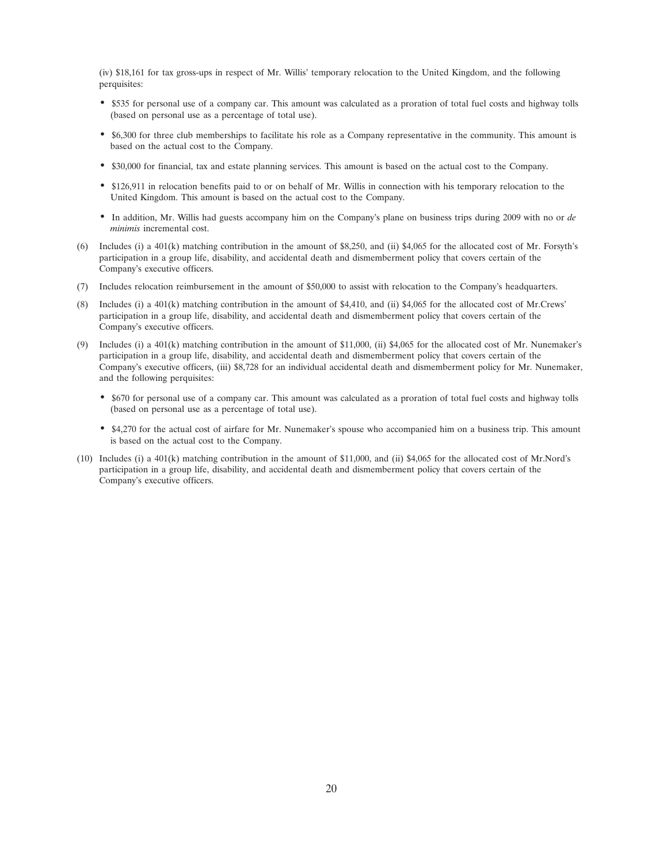(iv) \$18,161 for tax gross-ups in respect of Mr. Willis' temporary relocation to the United Kingdom, and the following perquisites:

- \$535 for personal use of a company car. This amount was calculated as a proration of total fuel costs and highway tolls (based on personal use as a percentage of total use).
- \$6,300 for three club memberships to facilitate his role as a Company representative in the community. This amount is based on the actual cost to the Company.
- \$30,000 for financial, tax and estate planning services. This amount is based on the actual cost to the Company.
- \$126,911 in relocation benefits paid to or on behalf of Mr. Willis in connection with his temporary relocation to the United Kingdom. This amount is based on the actual cost to the Company.
- In addition, Mr. Willis had guests accompany him on the Company's plane on business trips during 2009 with no or *de minimis* incremental cost.
- (6) Includes (i) a 401(k) matching contribution in the amount of \$8,250, and (ii) \$4,065 for the allocated cost of Mr. Forsyth's participation in a group life, disability, and accidental death and dismemberment policy that covers certain of the Company's executive officers.
- (7) Includes relocation reimbursement in the amount of \$50,000 to assist with relocation to the Company's headquarters.
- (8) Includes (i) a 401(k) matching contribution in the amount of \$4,410, and (ii) \$4,065 for the allocated cost of Mr.Crews' participation in a group life, disability, and accidental death and dismemberment policy that covers certain of the Company's executive officers.
- (9) Includes (i) a 401(k) matching contribution in the amount of \$11,000, (ii) \$4,065 for the allocated cost of Mr. Nunemaker's participation in a group life, disability, and accidental death and dismemberment policy that covers certain of the Company's executive officers, (iii) \$8,728 for an individual accidental death and dismemberment policy for Mr. Nunemaker, and the following perquisites:
	- \$670 for personal use of a company car. This amount was calculated as a proration of total fuel costs and highway tolls (based on personal use as a percentage of total use).
	- \$4,270 for the actual cost of airfare for Mr. Nunemaker's spouse who accompanied him on a business trip. This amount is based on the actual cost to the Company.
- (10) Includes (i) a 401(k) matching contribution in the amount of \$11,000, and (ii) \$4,065 for the allocated cost of Mr.Nord's participation in a group life, disability, and accidental death and dismemberment policy that covers certain of the Company's executive officers.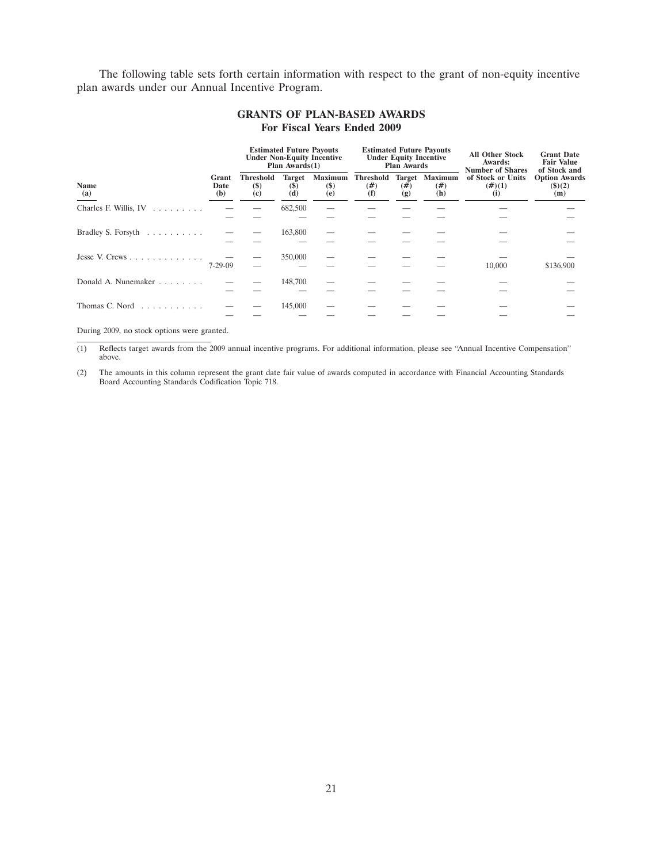The following table sets forth certain information with respect to the grant of non-equity incentive plan awards under our Annual Incentive Program.

|                           |                      | <b>Estimated Future Payouts</b><br><b>Under Non-Equity Incentive</b><br>Plan $Awards(1)$ |                                |                                      |                          | <b>Under Equity Incentive</b><br><b>Plan Awards</b> | <b>Estimated Future Payouts</b>      | <b>All Other Stock</b><br>Awards:<br><b>Number of Shares</b> | <b>Grant Date</b><br><b>Fair Value</b><br>of Stock and |
|---------------------------|----------------------|------------------------------------------------------------------------------------------|--------------------------------|--------------------------------------|--------------------------|-----------------------------------------------------|--------------------------------------|--------------------------------------------------------------|--------------------------------------------------------|
| <b>Name</b><br>(a)        | Grant<br>Date<br>(b) | <b>Threshold</b><br>$($)$<br>(c)                                                         | <b>Target</b><br>$(\$)$<br>(d) | <b>Maximum</b><br><b>(\$)</b><br>(e) | Threshold<br>(# )<br>(f) | (#)<br>(g)                                          | <b>Target Maximum</b><br>(# )<br>(h) | of Stock or Units<br>$(\#)(1)$<br>(i)                        | <b>Option Awards</b><br>$($ \$ $)(2)$<br>(m)           |
| Charles F. Willis, IV     |                      |                                                                                          | 682,500                        |                                      |                          |                                                     |                                      |                                                              |                                                        |
| Bradley S. Forsyth        |                      |                                                                                          | 163,800                        |                                      |                          |                                                     |                                      |                                                              |                                                        |
| Jesse V. Crews            | $7 - 29 - 09$        |                                                                                          | 350,000                        |                                      |                          |                                                     |                                      | 10,000                                                       | \$136,900                                              |
| Donald A. Nunemaker       |                      |                                                                                          | 148,700                        |                                      |                          |                                                     |                                      |                                                              |                                                        |
| Thomas C. Nord $\ldots$ , |                      |                                                                                          | 145,000                        |                                      |                          |                                                     |                                      |                                                              |                                                        |

## **GRANTS OF PLAN-BASED AWARDS For Fiscal Years Ended 2009**

During 2009, no stock options were granted.

(1) Reflects target awards from the 2009 annual incentive programs. For additional information, please see ''Annual Incentive Compensation'' above.

(2) The amounts in this column represent the grant date fair value of awards computed in accordance with Financial Accounting Standards Board Accounting Standards Codification Topic 718.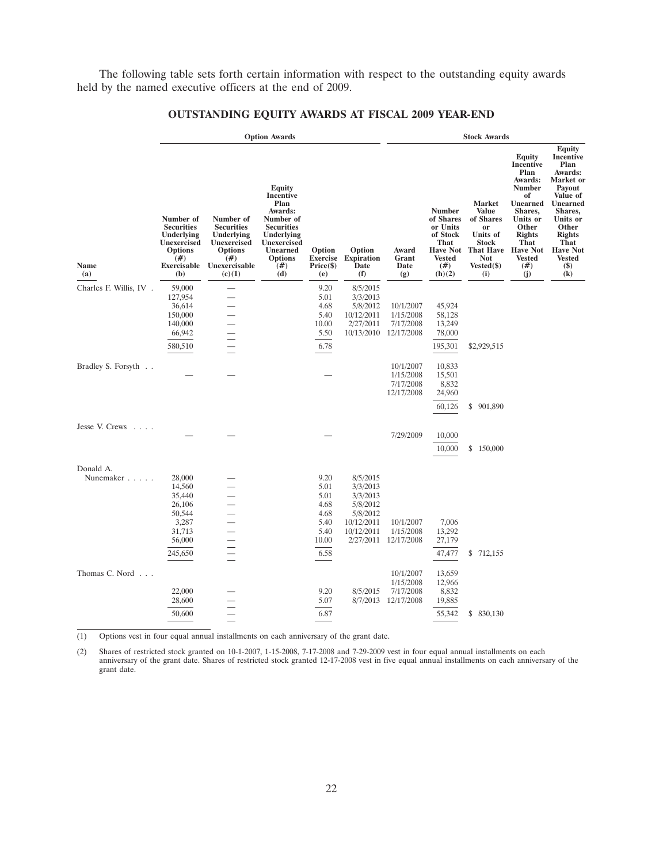The following table sets forth certain information with respect to the outstanding equity awards held by the named executive officers at the end of 2009.

|                                      |                                                                                                                           |                                                                                                                  | <b>Option Awards</b>                                                                                                                                      |                                               |                                            |                                                   |                                                                                                                        | <b>Stock Awards</b>                                                                                                                       |                                                                                                                                                                                                   |                                                                                                                                                                                                                            |
|--------------------------------------|---------------------------------------------------------------------------------------------------------------------------|------------------------------------------------------------------------------------------------------------------|-----------------------------------------------------------------------------------------------------------------------------------------------------------|-----------------------------------------------|--------------------------------------------|---------------------------------------------------|------------------------------------------------------------------------------------------------------------------------|-------------------------------------------------------------------------------------------------------------------------------------------|---------------------------------------------------------------------------------------------------------------------------------------------------------------------------------------------------|----------------------------------------------------------------------------------------------------------------------------------------------------------------------------------------------------------------------------|
| Name<br>(a)                          | Number of<br><b>Securities</b><br>Underlying<br><b>Unexercised</b><br><b>Options</b><br>(# )<br><b>Exercisable</b><br>(b) | Number of<br><b>Securities</b><br>Underlying<br>Unexercised<br><b>Options</b><br>(# )<br>Unexercisable<br>(c)(1) | <b>Equity</b><br>Incentive<br>Plan<br>Awards:<br>Number of<br><b>Securities</b><br>Underlying<br>Unexercised<br>Unearned<br><b>Options</b><br>(# )<br>(d) | Option<br><b>Exercise</b><br>Price(\$)<br>(e) | Option<br><b>Expiration</b><br>Date<br>(f) | Award<br>Grant<br>Date<br>(g)                     | <b>Number</b><br>of Shares<br>or Units<br>of Stock<br><b>That</b><br><b>Have Not</b><br><b>Vested</b><br>(#)<br>(h)(2) | <b>Market</b><br><b>Value</b><br>of Shares<br><sub>or</sub><br>Units of<br><b>Stock</b><br><b>That Have</b><br>Not<br>$Vested(\$)$<br>(i) | Equity<br>Incentive<br>Plan<br>Awards:<br><b>Number</b><br>of<br><b>Unearned</b><br>Shares,<br>Units or<br>Other<br><b>Rights</b><br><b>That</b><br><b>Have Not</b><br><b>Vested</b><br>#)<br>(j) | <b>Equity</b><br><b>Incentive</b><br>Plan<br>Awards:<br>Market or<br>Payout<br>Value of<br>Unearned<br>Shares,<br>Units or<br>Other<br><b>Rights</b><br><b>That</b><br><b>Have Not</b><br><b>Vested</b><br>$\binom{\$}{k}$ |
| Charles F. Willis, IV.               | 59,000                                                                                                                    |                                                                                                                  |                                                                                                                                                           | 9.20                                          | 8/5/2015                                   |                                                   |                                                                                                                        |                                                                                                                                           |                                                                                                                                                                                                   |                                                                                                                                                                                                                            |
|                                      | 127,954                                                                                                                   |                                                                                                                  |                                                                                                                                                           | 5.01                                          | 3/3/2013                                   |                                                   |                                                                                                                        |                                                                                                                                           |                                                                                                                                                                                                   |                                                                                                                                                                                                                            |
|                                      | 36,614                                                                                                                    |                                                                                                                  |                                                                                                                                                           | 4.68                                          | 5/8/2012                                   | 10/1/2007                                         | 45,924                                                                                                                 |                                                                                                                                           |                                                                                                                                                                                                   |                                                                                                                                                                                                                            |
|                                      | 150,000                                                                                                                   |                                                                                                                  |                                                                                                                                                           | 5.40                                          | 10/12/2011                                 | 1/15/2008                                         | 58,128                                                                                                                 |                                                                                                                                           |                                                                                                                                                                                                   |                                                                                                                                                                                                                            |
|                                      | 140,000                                                                                                                   |                                                                                                                  |                                                                                                                                                           | 10.00                                         | 2/27/2011                                  | 7/17/2008                                         | 13,249                                                                                                                 |                                                                                                                                           |                                                                                                                                                                                                   |                                                                                                                                                                                                                            |
|                                      | 66,942                                                                                                                    |                                                                                                                  |                                                                                                                                                           | 5.50                                          |                                            | 10/13/2010 12/17/2008                             | 78,000                                                                                                                 |                                                                                                                                           |                                                                                                                                                                                                   |                                                                                                                                                                                                                            |
|                                      | 580,510                                                                                                                   |                                                                                                                  |                                                                                                                                                           | 6.78                                          |                                            |                                                   | 195,301                                                                                                                | \$2,929,515                                                                                                                               |                                                                                                                                                                                                   |                                                                                                                                                                                                                            |
| Bradley S. Forsyth                   |                                                                                                                           |                                                                                                                  |                                                                                                                                                           |                                               |                                            | 10/1/2007<br>1/15/2008<br>7/17/2008<br>12/17/2008 | 10,833<br>15,501<br>8,832<br>24,960                                                                                    |                                                                                                                                           |                                                                                                                                                                                                   |                                                                                                                                                                                                                            |
|                                      |                                                                                                                           |                                                                                                                  |                                                                                                                                                           |                                               |                                            |                                                   | 60,126                                                                                                                 | \$901,890                                                                                                                                 |                                                                                                                                                                                                   |                                                                                                                                                                                                                            |
| Jesse V. Crews<br><b>Sand Street</b> |                                                                                                                           |                                                                                                                  |                                                                                                                                                           |                                               |                                            |                                                   |                                                                                                                        |                                                                                                                                           |                                                                                                                                                                                                   |                                                                                                                                                                                                                            |
|                                      |                                                                                                                           |                                                                                                                  |                                                                                                                                                           |                                               |                                            | 7/29/2009                                         | 10,000                                                                                                                 |                                                                                                                                           |                                                                                                                                                                                                   |                                                                                                                                                                                                                            |
|                                      |                                                                                                                           |                                                                                                                  |                                                                                                                                                           |                                               |                                            |                                                   | 10,000                                                                                                                 | \$150,000                                                                                                                                 |                                                                                                                                                                                                   |                                                                                                                                                                                                                            |
| Donald A.                            |                                                                                                                           |                                                                                                                  |                                                                                                                                                           |                                               |                                            |                                                   |                                                                                                                        |                                                                                                                                           |                                                                                                                                                                                                   |                                                                                                                                                                                                                            |
| Nunemaker                            | 28,000                                                                                                                    |                                                                                                                  |                                                                                                                                                           | 9.20                                          | 8/5/2015                                   |                                                   |                                                                                                                        |                                                                                                                                           |                                                                                                                                                                                                   |                                                                                                                                                                                                                            |
|                                      | 14,560                                                                                                                    |                                                                                                                  |                                                                                                                                                           | 5.01                                          | 3/3/2013                                   |                                                   |                                                                                                                        |                                                                                                                                           |                                                                                                                                                                                                   |                                                                                                                                                                                                                            |
|                                      | 35,440                                                                                                                    |                                                                                                                  |                                                                                                                                                           | 5.01                                          | 3/3/2013                                   |                                                   |                                                                                                                        |                                                                                                                                           |                                                                                                                                                                                                   |                                                                                                                                                                                                                            |
|                                      | 26,106                                                                                                                    |                                                                                                                  |                                                                                                                                                           | 4.68                                          | 5/8/2012                                   |                                                   |                                                                                                                        |                                                                                                                                           |                                                                                                                                                                                                   |                                                                                                                                                                                                                            |
|                                      | 50,544<br>3,287                                                                                                           |                                                                                                                  |                                                                                                                                                           | 4.68<br>5.40                                  | 5/8/2012<br>10/12/2011                     | 10/1/2007                                         | 7,006                                                                                                                  |                                                                                                                                           |                                                                                                                                                                                                   |                                                                                                                                                                                                                            |
|                                      | 31,713                                                                                                                    |                                                                                                                  |                                                                                                                                                           | 5.40                                          | 10/12/2011                                 | 1/15/2008                                         | 13,292                                                                                                                 |                                                                                                                                           |                                                                                                                                                                                                   |                                                                                                                                                                                                                            |
|                                      | 56,000                                                                                                                    |                                                                                                                  |                                                                                                                                                           | 10.00                                         | 2/27/2011                                  | 12/17/2008                                        | 27,179                                                                                                                 |                                                                                                                                           |                                                                                                                                                                                                   |                                                                                                                                                                                                                            |
|                                      |                                                                                                                           |                                                                                                                  |                                                                                                                                                           |                                               |                                            |                                                   |                                                                                                                        |                                                                                                                                           |                                                                                                                                                                                                   |                                                                                                                                                                                                                            |
|                                      | 245,650                                                                                                                   |                                                                                                                  |                                                                                                                                                           | 6.58                                          |                                            |                                                   | 47,477                                                                                                                 | \$ 712,155                                                                                                                                |                                                                                                                                                                                                   |                                                                                                                                                                                                                            |
| Thomas C. Nord                       |                                                                                                                           |                                                                                                                  |                                                                                                                                                           |                                               |                                            | 10/1/2007                                         | 13,659                                                                                                                 |                                                                                                                                           |                                                                                                                                                                                                   |                                                                                                                                                                                                                            |
|                                      | 22,000                                                                                                                    |                                                                                                                  |                                                                                                                                                           | 9.20                                          | 8/5/2015                                   | 1/15/2008                                         | 12,966<br>8,832                                                                                                        |                                                                                                                                           |                                                                                                                                                                                                   |                                                                                                                                                                                                                            |
|                                      | 28,600                                                                                                                    |                                                                                                                  |                                                                                                                                                           | 5.07                                          |                                            | 7/17/2008<br>8/7/2013 12/17/2008                  | 19,885                                                                                                                 |                                                                                                                                           |                                                                                                                                                                                                   |                                                                                                                                                                                                                            |
|                                      |                                                                                                                           |                                                                                                                  |                                                                                                                                                           |                                               |                                            |                                                   |                                                                                                                        |                                                                                                                                           |                                                                                                                                                                                                   |                                                                                                                                                                                                                            |
|                                      | 50,600                                                                                                                    |                                                                                                                  |                                                                                                                                                           | 6.87                                          |                                            |                                                   | 55,342                                                                                                                 | \$ 830,130                                                                                                                                |                                                                                                                                                                                                   |                                                                                                                                                                                                                            |
|                                      |                                                                                                                           |                                                                                                                  |                                                                                                                                                           |                                               |                                            |                                                   |                                                                                                                        |                                                                                                                                           |                                                                                                                                                                                                   |                                                                                                                                                                                                                            |

## **OUTSTANDING EQUITY AWARDS AT FISCAL 2009 YEAR-END**

(1) Options vest in four equal annual installments on each anniversary of the grant date.

(2) Shares of restricted stock granted on 10-1-2007, 1-15-2008, 7-17-2008 and 7-29-2009 vest in four equal annual installments on each anniversary of the grant date. Shares of restricted stock granted 12-17-2008 vest in five equal annual installments on each anniversary of the grant date.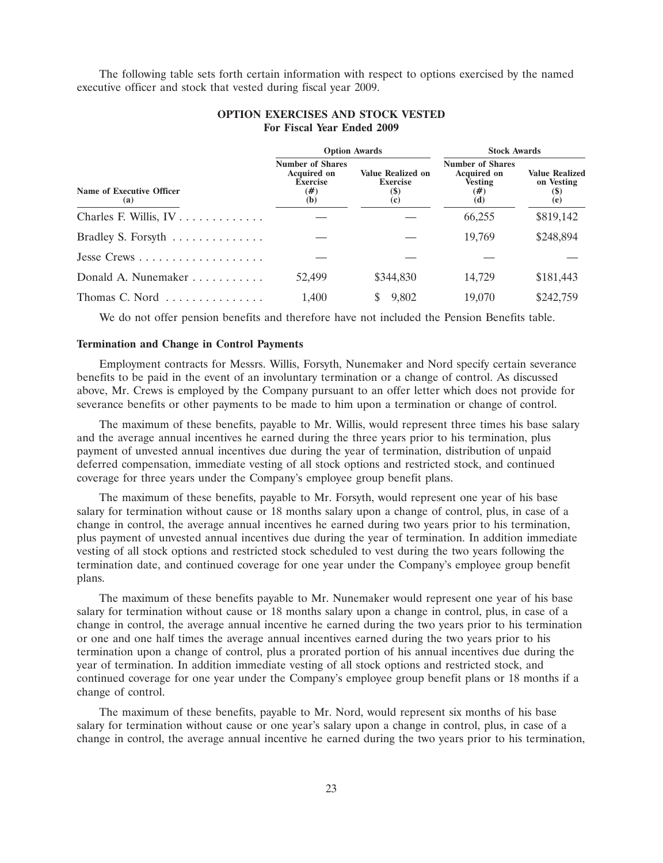The following table sets forth certain information with respect to options exercised by the named executive officer and stock that vested during fiscal year 2009.

|                                              | <b>Option Awards</b>                                                              |                                                           | <b>Stock Awards</b>                                                           |                                                           |  |
|----------------------------------------------|-----------------------------------------------------------------------------------|-----------------------------------------------------------|-------------------------------------------------------------------------------|-----------------------------------------------------------|--|
| Name of Executive Officer<br>(a)             | <b>Number of Shares</b><br><b>Acquired on</b><br><b>Exercise</b><br>$(\#)$<br>(b) | <b>Value Realized on</b><br><b>Exercise</b><br>(S)<br>(c) | <b>Number of Shares</b><br><b>Acquired on</b><br><b>Vesting</b><br>(#)<br>(d) | <b>Value Realized</b><br>on Vesting<br><b>(\$)</b><br>(e) |  |
| Charles F. Willis, $IV \ldots \ldots \ldots$ |                                                                                   |                                                           | 66,255                                                                        | \$819,142                                                 |  |
| Bradley S. Forsyth                           |                                                                                   |                                                           | 19,769                                                                        | \$248,894                                                 |  |
|                                              |                                                                                   |                                                           |                                                                               |                                                           |  |
| Donald A. Nunemaker                          | 52,499                                                                            | \$344,830                                                 | 14,729                                                                        | \$181,443                                                 |  |
| Thomas C. Nord                               | 1.400                                                                             | 9,802                                                     | 19,070                                                                        | \$242,759                                                 |  |

## **OPTION EXERCISES AND STOCK VESTED For Fiscal Year Ended 2009**

We do not offer pension benefits and therefore have not included the Pension Benefits table.

## **Termination and Change in Control Payments**

Employment contracts for Messrs. Willis, Forsyth, Nunemaker and Nord specify certain severance benefits to be paid in the event of an involuntary termination or a change of control. As discussed above, Mr. Crews is employed by the Company pursuant to an offer letter which does not provide for severance benefits or other payments to be made to him upon a termination or change of control.

The maximum of these benefits, payable to Mr. Willis, would represent three times his base salary and the average annual incentives he earned during the three years prior to his termination, plus payment of unvested annual incentives due during the year of termination, distribution of unpaid deferred compensation, immediate vesting of all stock options and restricted stock, and continued coverage for three years under the Company's employee group benefit plans.

The maximum of these benefits, payable to Mr. Forsyth, would represent one year of his base salary for termination without cause or 18 months salary upon a change of control, plus, in case of a change in control, the average annual incentives he earned during two years prior to his termination, plus payment of unvested annual incentives due during the year of termination. In addition immediate vesting of all stock options and restricted stock scheduled to vest during the two years following the termination date, and continued coverage for one year under the Company's employee group benefit plans.

The maximum of these benefits payable to Mr. Nunemaker would represent one year of his base salary for termination without cause or 18 months salary upon a change in control, plus, in case of a change in control, the average annual incentive he earned during the two years prior to his termination or one and one half times the average annual incentives earned during the two years prior to his termination upon a change of control, plus a prorated portion of his annual incentives due during the year of termination. In addition immediate vesting of all stock options and restricted stock, and continued coverage for one year under the Company's employee group benefit plans or 18 months if a change of control.

The maximum of these benefits, payable to Mr. Nord, would represent six months of his base salary for termination without cause or one year's salary upon a change in control, plus, in case of a change in control, the average annual incentive he earned during the two years prior to his termination,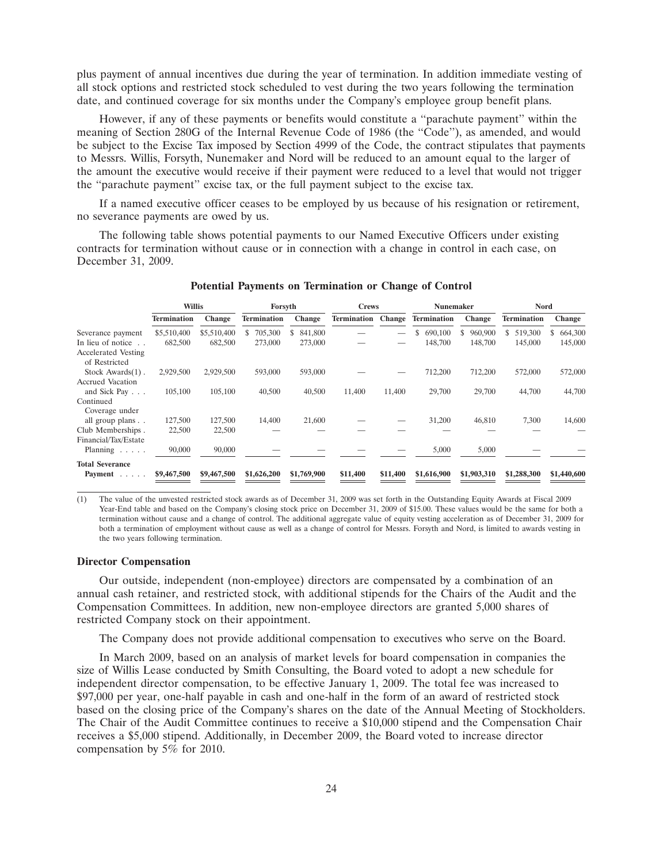plus payment of annual incentives due during the year of termination. In addition immediate vesting of all stock options and restricted stock scheduled to vest during the two years following the termination date, and continued coverage for six months under the Company's employee group benefit plans.

However, if any of these payments or benefits would constitute a ''parachute payment'' within the meaning of Section 280G of the Internal Revenue Code of 1986 (the ''Code''), as amended, and would be subject to the Excise Tax imposed by Section 4999 of the Code, the contract stipulates that payments to Messrs. Willis, Forsyth, Nunemaker and Nord will be reduced to an amount equal to the larger of the amount the executive would receive if their payment were reduced to a level that would not trigger the ''parachute payment'' excise tax, or the full payment subject to the excise tax.

If a named executive officer ceases to be employed by us because of his resignation or retirement, no severance payments are owed by us.

The following table shows potential payments to our Named Executive Officers under existing contracts for termination without cause or in connection with a change in control in each case, on December 31, 2009.

|                            | <b>Willis</b>      |               | Forsyth            |               | <b>Crews</b> |               | <b>Nunemaker</b>   |               | <b>Nord</b>   |               |
|----------------------------|--------------------|---------------|--------------------|---------------|--------------|---------------|--------------------|---------------|---------------|---------------|
|                            | <b>Termination</b> | <b>Change</b> | <b>Termination</b> | <b>Change</b> | Termination  | <b>Change</b> | <b>Termination</b> | <b>Change</b> | Termination   | <b>Change</b> |
| Severance payment          | \$5,510,400        | \$5,510,400   | 705,300            | 841,800<br>S  |              | —             | \$<br>690,100      | 960,900<br>\$ | 519,300<br>S. | 664,300       |
| In lieu of notice          | 682,500            | 682,500       | 273,000            | 273,000       |              |               | 148,700            | 148,700       | 145,000       | 145,000       |
| <b>Accelerated Vesting</b> |                    |               |                    |               |              |               |                    |               |               |               |
| of Restricted              |                    |               |                    |               |              |               |                    |               |               |               |
| Stock Awards $(1)$ .       | 2,929,500          | 2,929,500     | 593,000            | 593,000       |              |               | 712,200            | 712,200       | 572,000       | 572,000       |
| <b>Accrued Vacation</b>    |                    |               |                    |               |              |               |                    |               |               |               |
| and Sick Pay               | 105,100            | 105,100       | 40,500             | 40,500        | 11,400       | 11,400        | 29,700             | 29,700        | 44,700        | 44,700        |
| Continued                  |                    |               |                    |               |              |               |                    |               |               |               |
| Coverage under             |                    |               |                    |               |              |               |                    |               |               |               |
| all group plans            | 127,500            | 127,500       | 14,400             | 21,600        |              |               | 31,200             | 46,810        | 7,300         | 14,600        |
| Club Memberships.          | 22,500             | 22,500        |                    |               |              |               |                    |               |               |               |
| Financial/Tax/Estate       |                    |               |                    |               |              |               |                    |               |               |               |
| Planning $\ldots$ .        | 90,000             | 90,000        |                    |               |              |               | 5,000              | 5,000         |               |               |
| <b>Total Severance</b>     |                    |               |                    |               |              |               |                    |               |               |               |
| Payment                    | \$9,467,500        | \$9,467,500   | \$1,626,200        | \$1,769,900   | \$11,400     | \$11,400      | \$1,616,900        | \$1,903,310   | \$1,288,300   | \$1,440,600   |
|                            |                    |               |                    |               |              |               |                    |               |               |               |

### **Potential Payments on Termination or Change of Control**

(1) The value of the unvested restricted stock awards as of December 31, 2009 was set forth in the Outstanding Equity Awards at Fiscal 2009 Year-End table and based on the Company's closing stock price on December 31, 2009 of \$15.00. These values would be the same for both a termination without cause and a change of control. The additional aggregate value of equity vesting acceleration as of December 31, 2009 for both a termination of employment without cause as well as a change of control for Messrs. Forsyth and Nord, is limited to awards vesting in the two years following termination.

#### **Director Compensation**

Our outside, independent (non-employee) directors are compensated by a combination of an annual cash retainer, and restricted stock, with additional stipends for the Chairs of the Audit and the Compensation Committees. In addition, new non-employee directors are granted 5,000 shares of restricted Company stock on their appointment.

The Company does not provide additional compensation to executives who serve on the Board.

In March 2009, based on an analysis of market levels for board compensation in companies the size of Willis Lease conducted by Smith Consulting, the Board voted to adopt a new schedule for independent director compensation, to be effective January 1, 2009. The total fee was increased to \$97,000 per year, one-half payable in cash and one-half in the form of an award of restricted stock based on the closing price of the Company's shares on the date of the Annual Meeting of Stockholders. The Chair of the Audit Committee continues to receive a \$10,000 stipend and the Compensation Chair receives a \$5,000 stipend. Additionally, in December 2009, the Board voted to increase director compensation by 5% for 2010.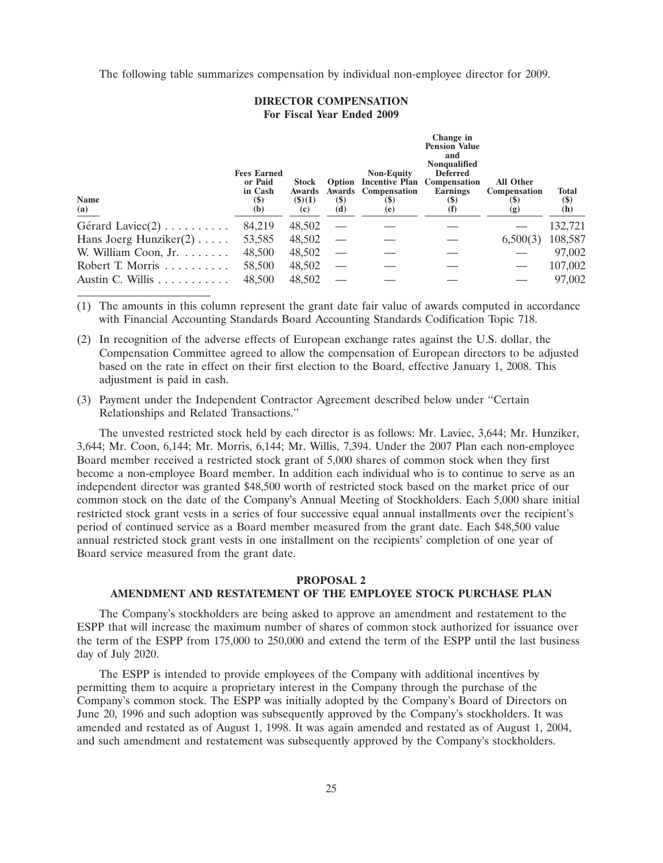The following table summarizes compensation by individual non-employee director for 2009.

### **DIRECTOR COMPENSATION For Fiscal Year Ended 2009**

| <b>Name</b><br>(a)             | <b>Fees Earned</b><br>or Paid<br>in Cash<br>$(\$)$<br>(b) | <b>Stock</b><br><b>Awards</b><br>(3)(1)<br>(c) | $(\$)$<br>(d) | <b>Non-Equity</b><br>Option Incentive Plan Compensation<br>Awards Compensation<br><b>(\$)</b><br>(e) | Change in<br><b>Pension Value</b><br>and<br><b>Nonqualified</b><br><b>Deferred</b><br><b>Earnings</b><br>$\left( \mathcal{S} \right)$<br>$\bf (I)$ | <b>All Other</b><br>Compensation<br><b>(\$)</b><br>(g) | <b>Total</b><br>$(\$)$<br>(h) |
|--------------------------------|-----------------------------------------------------------|------------------------------------------------|---------------|------------------------------------------------------------------------------------------------------|----------------------------------------------------------------------------------------------------------------------------------------------------|--------------------------------------------------------|-------------------------------|
| Gérard Laviec $(2)$            | 84,219                                                    | 48,502                                         |               |                                                                                                      |                                                                                                                                                    |                                                        | 132,721                       |
| Hans Joerg Hunziker $(2)$      | 53,585                                                    | 48,502                                         |               |                                                                                                      |                                                                                                                                                    | 6,500(3)                                               | 108,587                       |
| W. William Coon, Jr.           | 48,500                                                    | 48,502                                         |               |                                                                                                      |                                                                                                                                                    |                                                        | 97,002                        |
| Robert T. Morris $\dots \dots$ | 58,500                                                    | 48,502                                         |               |                                                                                                      |                                                                                                                                                    |                                                        | 107,002                       |
| Austin C. Willis               | 48,500                                                    | 48,502                                         |               |                                                                                                      |                                                                                                                                                    |                                                        | 97,002                        |

(1) The amounts in this column represent the grant date fair value of awards computed in accordance with Financial Accounting Standards Board Accounting Standards Codification Topic 718.

- (2) In recognition of the adverse effects of European exchange rates against the U.S. dollar, the Compensation Committee agreed to allow the compensation of European directors to be adjusted based on the rate in effect on their first election to the Board, effective January 1, 2008. This adjustment is paid in cash.
- (3) Payment under the Independent Contractor Agreement described below under ''Certain Relationships and Related Transactions.''

The unvested restricted stock held by each director is as follows: Mr. Laviec, 3,644; Mr. Hunziker, 3,644; Mr. Coon, 6,144; Mr. Morris, 6,144; Mr. Willis, 7,394. Under the 2007 Plan each non-employee Board member received a restricted stock grant of 5,000 shares of common stock when they first become a non-employee Board member. In addition each individual who is to continue to serve as an independent director was granted \$48,500 worth of restricted stock based on the market price of our common stock on the date of the Company's Annual Meeting of Stockholders. Each 5,000 share initial restricted stock grant vests in a series of four successive equal annual installments over the recipient's period of continued service as a Board member measured from the grant date. Each \$48,500 value annual restricted stock grant vests in one installment on the recipients' completion of one year of Board service measured from the grant date.

## **PROPOSAL 2 AMENDMENT AND RESTATEMENT OF THE EMPLOYEE STOCK PURCHASE PLAN**

The Company's stockholders are being asked to approve an amendment and restatement to the ESPP that will increase the maximum number of shares of common stock authorized for issuance over the term of the ESPP from 175,000 to 250,000 and extend the term of the ESPP until the last business day of July 2020.

The ESPP is intended to provide employees of the Company with additional incentives by permitting them to acquire a proprietary interest in the Company through the purchase of the Company's common stock. The ESPP was initially adopted by the Company's Board of Directors on June 20, 1996 and such adoption was subsequently approved by the Company's stockholders. It was amended and restated as of August 1, 1998. It was again amended and restated as of August 1, 2004, and such amendment and restatement was subsequently approved by the Company's stockholders.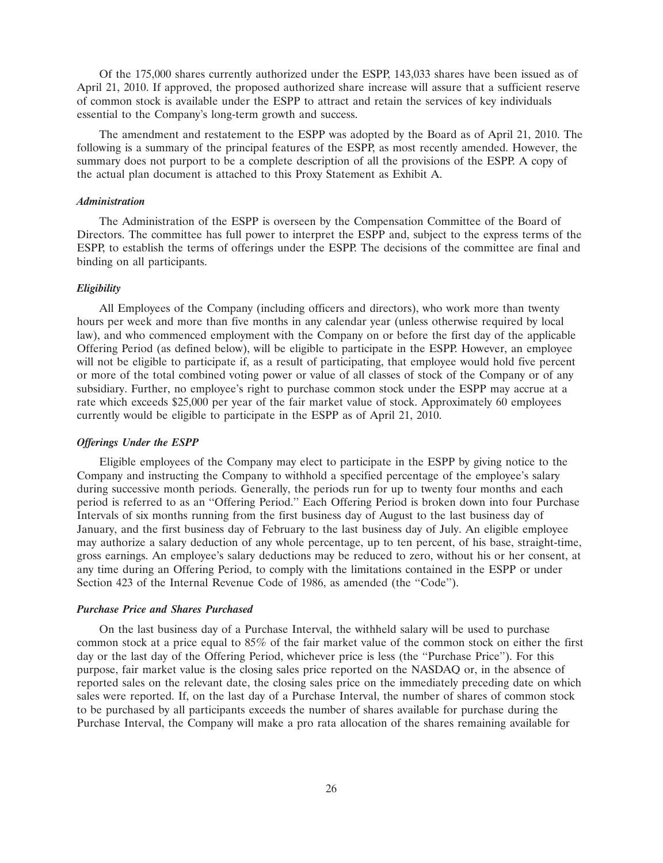Of the 175,000 shares currently authorized under the ESPP, 143,033 shares have been issued as of April 21, 2010. If approved, the proposed authorized share increase will assure that a sufficient reserve of common stock is available under the ESPP to attract and retain the services of key individuals essential to the Company's long-term growth and success.

The amendment and restatement to the ESPP was adopted by the Board as of April 21, 2010. The following is a summary of the principal features of the ESPP, as most recently amended. However, the summary does not purport to be a complete description of all the provisions of the ESPP. A copy of the actual plan document is attached to this Proxy Statement as Exhibit A.

#### *Administration*

The Administration of the ESPP is overseen by the Compensation Committee of the Board of Directors. The committee has full power to interpret the ESPP and, subject to the express terms of the ESPP, to establish the terms of offerings under the ESPP. The decisions of the committee are final and binding on all participants.

## *Eligibility*

All Employees of the Company (including officers and directors), who work more than twenty hours per week and more than five months in any calendar year (unless otherwise required by local law), and who commenced employment with the Company on or before the first day of the applicable Offering Period (as defined below), will be eligible to participate in the ESPP. However, an employee will not be eligible to participate if, as a result of participating, that employee would hold five percent or more of the total combined voting power or value of all classes of stock of the Company or of any subsidiary. Further, no employee's right to purchase common stock under the ESPP may accrue at a rate which exceeds \$25,000 per year of the fair market value of stock. Approximately 60 employees currently would be eligible to participate in the ESPP as of April 21, 2010.

#### *Offerings Under the ESPP*

Eligible employees of the Company may elect to participate in the ESPP by giving notice to the Company and instructing the Company to withhold a specified percentage of the employee's salary during successive month periods. Generally, the periods run for up to twenty four months and each period is referred to as an ''Offering Period.'' Each Offering Period is broken down into four Purchase Intervals of six months running from the first business day of August to the last business day of January, and the first business day of February to the last business day of July. An eligible employee may authorize a salary deduction of any whole percentage, up to ten percent, of his base, straight-time, gross earnings. An employee's salary deductions may be reduced to zero, without his or her consent, at any time during an Offering Period, to comply with the limitations contained in the ESPP or under Section 423 of the Internal Revenue Code of 1986, as amended (the "Code").

### *Purchase Price and Shares Purchased*

On the last business day of a Purchase Interval, the withheld salary will be used to purchase common stock at a price equal to 85% of the fair market value of the common stock on either the first day or the last day of the Offering Period, whichever price is less (the ''Purchase Price''). For this purpose, fair market value is the closing sales price reported on the NASDAQ or, in the absence of reported sales on the relevant date, the closing sales price on the immediately preceding date on which sales were reported. If, on the last day of a Purchase Interval, the number of shares of common stock to be purchased by all participants exceeds the number of shares available for purchase during the Purchase Interval, the Company will make a pro rata allocation of the shares remaining available for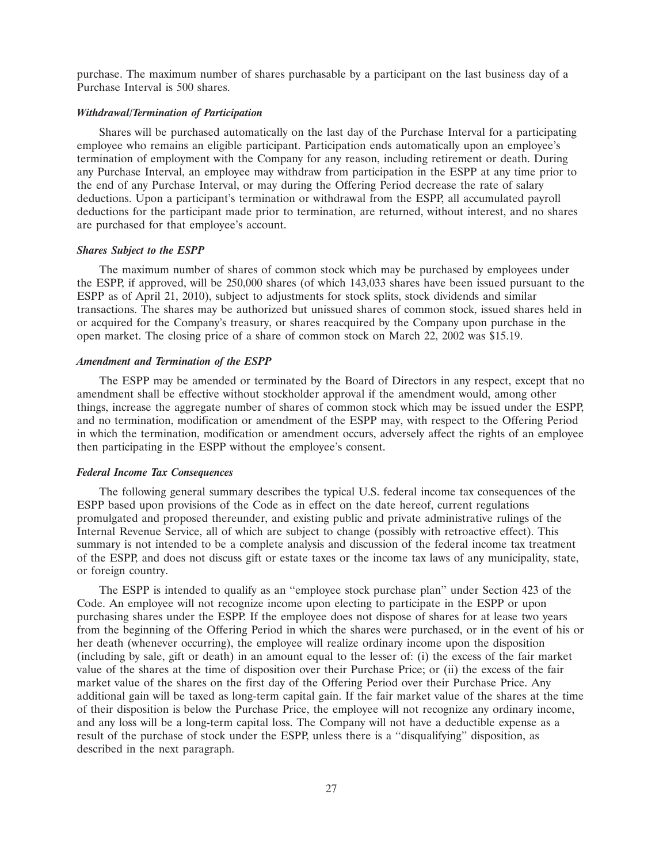purchase. The maximum number of shares purchasable by a participant on the last business day of a Purchase Interval is 500 shares.

## *Withdrawal/Termination of Participation*

Shares will be purchased automatically on the last day of the Purchase Interval for a participating employee who remains an eligible participant. Participation ends automatically upon an employee's termination of employment with the Company for any reason, including retirement or death. During any Purchase Interval, an employee may withdraw from participation in the ESPP at any time prior to the end of any Purchase Interval, or may during the Offering Period decrease the rate of salary deductions. Upon a participant's termination or withdrawal from the ESPP, all accumulated payroll deductions for the participant made prior to termination, are returned, without interest, and no shares are purchased for that employee's account.

#### *Shares Subject to the ESPP*

The maximum number of shares of common stock which may be purchased by employees under the ESPP, if approved, will be 250,000 shares (of which 143,033 shares have been issued pursuant to the ESPP as of April 21, 2010), subject to adjustments for stock splits, stock dividends and similar transactions. The shares may be authorized but unissued shares of common stock, issued shares held in or acquired for the Company's treasury, or shares reacquired by the Company upon purchase in the open market. The closing price of a share of common stock on March 22, 2002 was \$15.19.

### *Amendment and Termination of the ESPP*

The ESPP may be amended or terminated by the Board of Directors in any respect, except that no amendment shall be effective without stockholder approval if the amendment would, among other things, increase the aggregate number of shares of common stock which may be issued under the ESPP, and no termination, modification or amendment of the ESPP may, with respect to the Offering Period in which the termination, modification or amendment occurs, adversely affect the rights of an employee then participating in the ESPP without the employee's consent.

#### *Federal Income Tax Consequences*

The following general summary describes the typical U.S. federal income tax consequences of the ESPP based upon provisions of the Code as in effect on the date hereof, current regulations promulgated and proposed thereunder, and existing public and private administrative rulings of the Internal Revenue Service, all of which are subject to change (possibly with retroactive effect). This summary is not intended to be a complete analysis and discussion of the federal income tax treatment of the ESPP, and does not discuss gift or estate taxes or the income tax laws of any municipality, state, or foreign country.

The ESPP is intended to qualify as an ''employee stock purchase plan'' under Section 423 of the Code. An employee will not recognize income upon electing to participate in the ESPP or upon purchasing shares under the ESPP. If the employee does not dispose of shares for at lease two years from the beginning of the Offering Period in which the shares were purchased, or in the event of his or her death (whenever occurring), the employee will realize ordinary income upon the disposition (including by sale, gift or death) in an amount equal to the lesser of: (i) the excess of the fair market value of the shares at the time of disposition over their Purchase Price; or (ii) the excess of the fair market value of the shares on the first day of the Offering Period over their Purchase Price. Any additional gain will be taxed as long-term capital gain. If the fair market value of the shares at the time of their disposition is below the Purchase Price, the employee will not recognize any ordinary income, and any loss will be a long-term capital loss. The Company will not have a deductible expense as a result of the purchase of stock under the ESPP, unless there is a ''disqualifying'' disposition, as described in the next paragraph.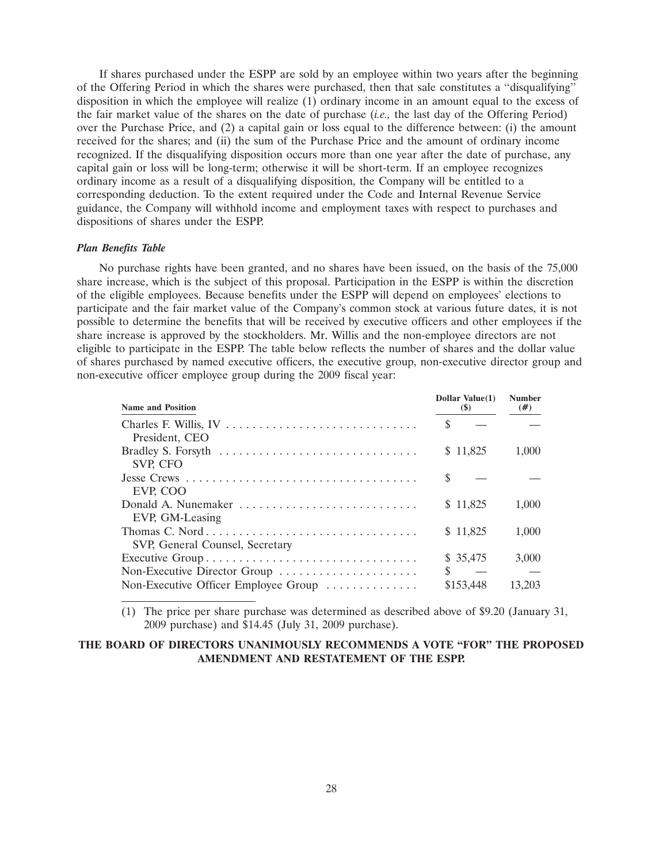If shares purchased under the ESPP are sold by an employee within two years after the beginning of the Offering Period in which the shares were purchased, then that sale constitutes a ''disqualifying'' disposition in which the employee will realize (1) ordinary income in an amount equal to the excess of the fair market value of the shares on the date of purchase (*i.e.,* the last day of the Offering Period) over the Purchase Price, and (2) a capital gain or loss equal to the difference between: (i) the amount received for the shares; and (ii) the sum of the Purchase Price and the amount of ordinary income recognized. If the disqualifying disposition occurs more than one year after the date of purchase, any capital gain or loss will be long-term; otherwise it will be short-term. If an employee recognizes ordinary income as a result of a disqualifying disposition, the Company will be entitled to a corresponding deduction. To the extent required under the Code and Internal Revenue Service guidance, the Company will withhold income and employment taxes with respect to purchases and dispositions of shares under the ESPP.

## *Plan Benefits Table*

No purchase rights have been granted, and no shares have been issued, on the basis of the 75,000 share increase, which is the subject of this proposal. Participation in the ESPP is within the discretion of the eligible employees. Because benefits under the ESPP will depend on employees' elections to participate and the fair market value of the Company's common stock at various future dates, it is not possible to determine the benefits that will be received by executive officers and other employees if the share increase is approved by the stockholders. Mr. Willis and the non-employee directors are not eligible to participate in the ESPP. The table below reflects the number of shares and the dollar value of shares purchased by named executive officers, the executive group, non-executive director group and non-executive officer employee group during the 2009 fiscal year:

| <b>Name and Position</b>                                                                               |   | Dollar Value(1)<br>$(\$)$ | <b>Number</b><br>$(\#)$ |
|--------------------------------------------------------------------------------------------------------|---|---------------------------|-------------------------|
| President, CEO                                                                                         | S |                           |                         |
| Bradley S. Forsyth $\ldots \ldots \ldots \ldots \ldots \ldots \ldots \ldots \ldots$<br><b>SVP, CFO</b> |   | \$11,825                  | 1,000                   |
| EVP, COO                                                                                               | S |                           |                         |
| EVP, GM-Leasing                                                                                        |   | \$11,825                  | 1,000                   |
| Thomas C. Nord<br>SVP, General Counsel, Secretary                                                      |   | \$11,825                  | 1,000                   |
| Executive Group                                                                                        |   | \$35,475                  | 3,000                   |
| Non-Executive Director Group                                                                           | S |                           |                         |
| Non-Executive Officer Employee Group                                                                   |   | \$153,448                 | 13.203                  |

(1) The price per share purchase was determined as described above of \$9.20 (January 31, 2009 purchase) and \$14.45 (July 31, 2009 purchase).

## **THE BOARD OF DIRECTORS UNANIMOUSLY RECOMMENDS A VOTE ''FOR'' THE PROPOSED AMENDMENT AND RESTATEMENT OF THE ESPP.**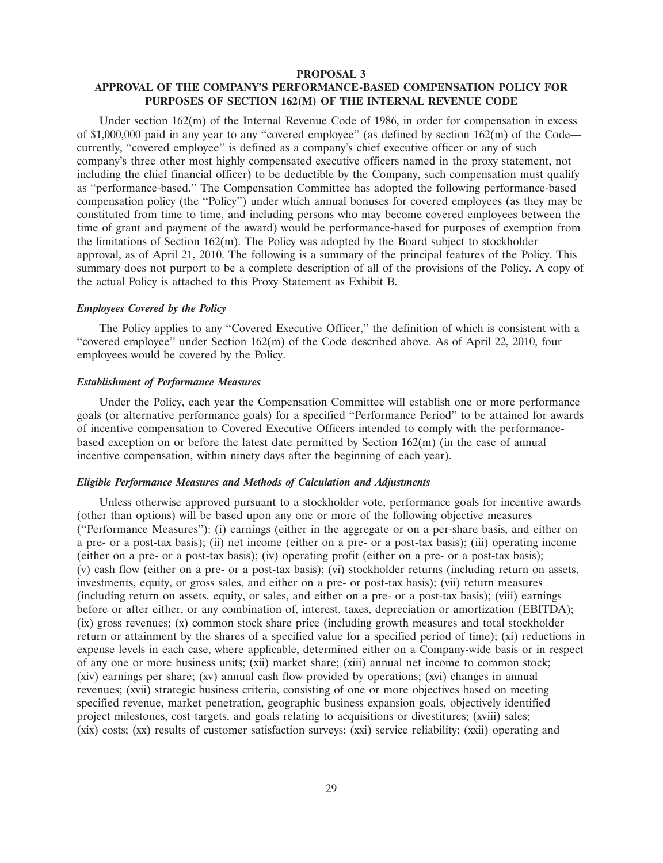#### **PROPOSAL 3**

## **APPROVAL OF THE COMPANY'S PERFORMANCE-BASED COMPENSATION POLICY FOR PURPOSES OF SECTION 162(M) OF THE INTERNAL REVENUE CODE**

Under section 162(m) of the Internal Revenue Code of 1986, in order for compensation in excess of \$1,000,000 paid in any year to any "covered employee" (as defined by section  $162(m)$  of the Code currently, ''covered employee'' is defined as a company's chief executive officer or any of such company's three other most highly compensated executive officers named in the proxy statement, not including the chief financial officer) to be deductible by the Company, such compensation must qualify as ''performance-based.'' The Compensation Committee has adopted the following performance-based compensation policy (the ''Policy'') under which annual bonuses for covered employees (as they may be constituted from time to time, and including persons who may become covered employees between the time of grant and payment of the award) would be performance-based for purposes of exemption from the limitations of Section 162(m). The Policy was adopted by the Board subject to stockholder approval, as of April 21, 2010. The following is a summary of the principal features of the Policy. This summary does not purport to be a complete description of all of the provisions of the Policy. A copy of the actual Policy is attached to this Proxy Statement as Exhibit B.

## *Employees Covered by the Policy*

The Policy applies to any ''Covered Executive Officer,'' the definition of which is consistent with a ''covered employee'' under Section 162(m) of the Code described above. As of April 22, 2010, four employees would be covered by the Policy.

### *Establishment of Performance Measures*

Under the Policy, each year the Compensation Committee will establish one or more performance goals (or alternative performance goals) for a specified ''Performance Period'' to be attained for awards of incentive compensation to Covered Executive Officers intended to comply with the performancebased exception on or before the latest date permitted by Section 162(m) (in the case of annual incentive compensation, within ninety days after the beginning of each year).

#### *Eligible Performance Measures and Methods of Calculation and Adjustments*

Unless otherwise approved pursuant to a stockholder vote, performance goals for incentive awards (other than options) will be based upon any one or more of the following objective measures (''Performance Measures''): (i) earnings (either in the aggregate or on a per-share basis, and either on a pre- or a post-tax basis); (ii) net income (either on a pre- or a post-tax basis); (iii) operating income (either on a pre- or a post-tax basis); (iv) operating profit (either on a pre- or a post-tax basis); (v) cash flow (either on a pre- or a post-tax basis); (vi) stockholder returns (including return on assets, investments, equity, or gross sales, and either on a pre- or post-tax basis); (vii) return measures (including return on assets, equity, or sales, and either on a pre- or a post-tax basis); (viii) earnings before or after either, or any combination of, interest, taxes, depreciation or amortization (EBITDA); (ix) gross revenues; (x) common stock share price (including growth measures and total stockholder return or attainment by the shares of a specified value for a specified period of time); (xi) reductions in expense levels in each case, where applicable, determined either on a Company-wide basis or in respect of any one or more business units; (xii) market share; (xiii) annual net income to common stock; (xiv) earnings per share; (xv) annual cash flow provided by operations; (xvi) changes in annual revenues; (xvii) strategic business criteria, consisting of one or more objectives based on meeting specified revenue, market penetration, geographic business expansion goals, objectively identified project milestones, cost targets, and goals relating to acquisitions or divestitures; (xviii) sales; (xix) costs; (xx) results of customer satisfaction surveys; (xxi) service reliability; (xxii) operating and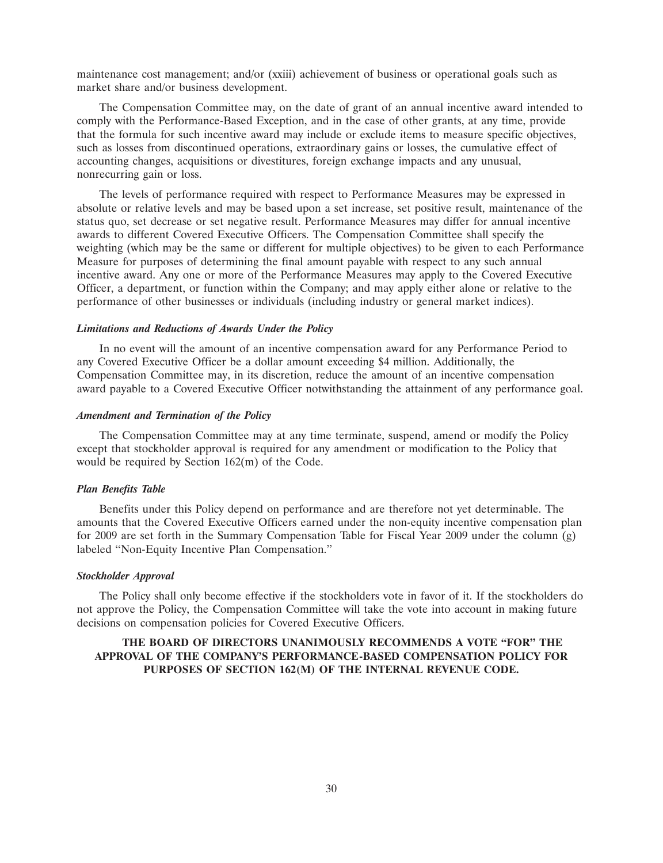maintenance cost management; and/or (xxiii) achievement of business or operational goals such as market share and/or business development.

The Compensation Committee may, on the date of grant of an annual incentive award intended to comply with the Performance-Based Exception, and in the case of other grants, at any time, provide that the formula for such incentive award may include or exclude items to measure specific objectives, such as losses from discontinued operations, extraordinary gains or losses, the cumulative effect of accounting changes, acquisitions or divestitures, foreign exchange impacts and any unusual, nonrecurring gain or loss.

The levels of performance required with respect to Performance Measures may be expressed in absolute or relative levels and may be based upon a set increase, set positive result, maintenance of the status quo, set decrease or set negative result. Performance Measures may differ for annual incentive awards to different Covered Executive Officers. The Compensation Committee shall specify the weighting (which may be the same or different for multiple objectives) to be given to each Performance Measure for purposes of determining the final amount payable with respect to any such annual incentive award. Any one or more of the Performance Measures may apply to the Covered Executive Officer, a department, or function within the Company; and may apply either alone or relative to the performance of other businesses or individuals (including industry or general market indices).

#### *Limitations and Reductions of Awards Under the Policy*

In no event will the amount of an incentive compensation award for any Performance Period to any Covered Executive Officer be a dollar amount exceeding \$4 million. Additionally, the Compensation Committee may, in its discretion, reduce the amount of an incentive compensation award payable to a Covered Executive Officer notwithstanding the attainment of any performance goal.

#### *Amendment and Termination of the Policy*

The Compensation Committee may at any time terminate, suspend, amend or modify the Policy except that stockholder approval is required for any amendment or modification to the Policy that would be required by Section 162(m) of the Code.

### *Plan Benefits Table*

Benefits under this Policy depend on performance and are therefore not yet determinable. The amounts that the Covered Executive Officers earned under the non-equity incentive compensation plan for 2009 are set forth in the Summary Compensation Table for Fiscal Year 2009 under the column (g) labeled ''Non-Equity Incentive Plan Compensation.''

## *Stockholder Approval*

The Policy shall only become effective if the stockholders vote in favor of it. If the stockholders do not approve the Policy, the Compensation Committee will take the vote into account in making future decisions on compensation policies for Covered Executive Officers.

## **THE BOARD OF DIRECTORS UNANIMOUSLY RECOMMENDS A VOTE ''FOR'' THE APPROVAL OF THE COMPANY'S PERFORMANCE-BASED COMPENSATION POLICY FOR PURPOSES OF SECTION 162(M) OF THE INTERNAL REVENUE CODE.**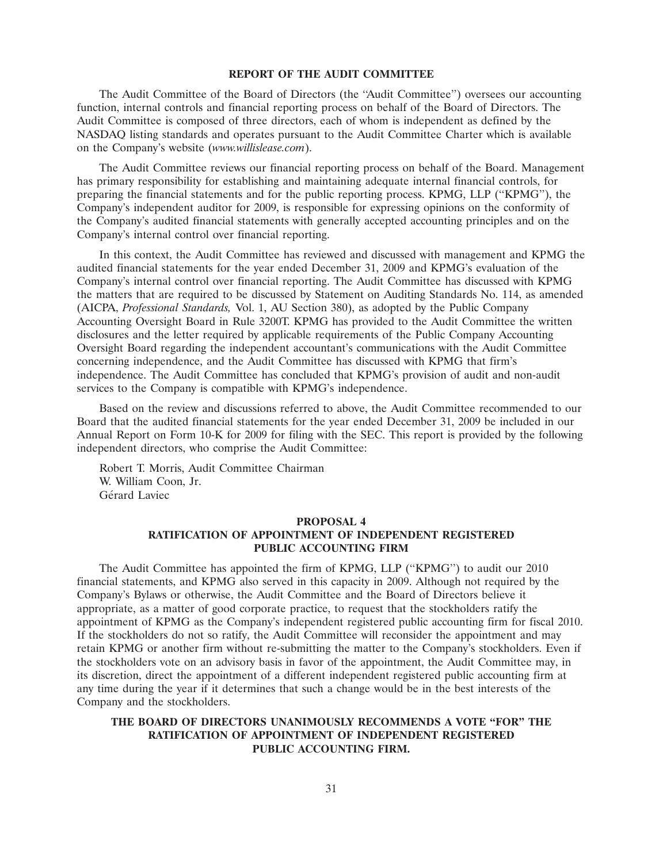#### **REPORT OF THE AUDIT COMMITTEE**

The Audit Committee of the Board of Directors (the ''Audit Committee'') oversees our accounting function, internal controls and financial reporting process on behalf of the Board of Directors. The Audit Committee is composed of three directors, each of whom is independent as defined by the NASDAQ listing standards and operates pursuant to the Audit Committee Charter which is available on the Company's website (*www.willislease.com*).

The Audit Committee reviews our financial reporting process on behalf of the Board. Management has primary responsibility for establishing and maintaining adequate internal financial controls, for preparing the financial statements and for the public reporting process. KPMG, LLP (''KPMG''), the Company's independent auditor for 2009, is responsible for expressing opinions on the conformity of the Company's audited financial statements with generally accepted accounting principles and on the Company's internal control over financial reporting.

In this context, the Audit Committee has reviewed and discussed with management and KPMG the audited financial statements for the year ended December 31, 2009 and KPMG's evaluation of the Company's internal control over financial reporting. The Audit Committee has discussed with KPMG the matters that are required to be discussed by Statement on Auditing Standards No. 114, as amended (AICPA, *Professional Standards,* Vol. 1, AU Section 380), as adopted by the Public Company Accounting Oversight Board in Rule 3200T. KPMG has provided to the Audit Committee the written disclosures and the letter required by applicable requirements of the Public Company Accounting Oversight Board regarding the independent accountant's communications with the Audit Committee concerning independence, and the Audit Committee has discussed with KPMG that firm's independence. The Audit Committee has concluded that KPMG's provision of audit and non-audit services to the Company is compatible with KPMG's independence.

Based on the review and discussions referred to above, the Audit Committee recommended to our Board that the audited financial statements for the year ended December 31, 2009 be included in our Annual Report on Form 10-K for 2009 for filing with the SEC. This report is provided by the following independent directors, who comprise the Audit Committee:

Robert T. Morris, Audit Committee Chairman W. William Coon, Jr. Gérard Laviec

#### **PROPOSAL 4**

## **RATIFICATION OF APPOINTMENT OF INDEPENDENT REGISTERED PUBLIC ACCOUNTING FIRM**

The Audit Committee has appointed the firm of KPMG, LLP (''KPMG'') to audit our 2010 financial statements, and KPMG also served in this capacity in 2009. Although not required by the Company's Bylaws or otherwise, the Audit Committee and the Board of Directors believe it appropriate, as a matter of good corporate practice, to request that the stockholders ratify the appointment of KPMG as the Company's independent registered public accounting firm for fiscal 2010. If the stockholders do not so ratify, the Audit Committee will reconsider the appointment and may retain KPMG or another firm without re-submitting the matter to the Company's stockholders. Even if the stockholders vote on an advisory basis in favor of the appointment, the Audit Committee may, in its discretion, direct the appointment of a different independent registered public accounting firm at any time during the year if it determines that such a change would be in the best interests of the Company and the stockholders.

## **THE BOARD OF DIRECTORS UNANIMOUSLY RECOMMENDS A VOTE ''FOR'' THE RATIFICATION OF APPOINTMENT OF INDEPENDENT REGISTERED PUBLIC ACCOUNTING FIRM.**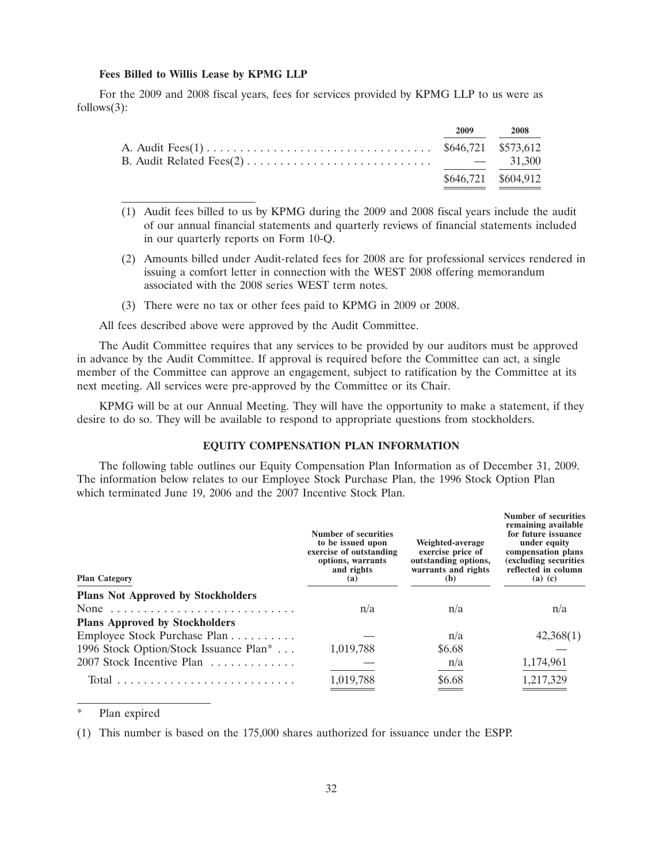#### **Fees Billed to Willis Lease by KPMG LLP**

For the 2009 and 2008 fiscal years, fees for services provided by KPMG LLP to us were as follows(3):

| 2009 — | 2008                |
|--------|---------------------|
|        |                     |
|        |                     |
|        | \$646,721 \$604,912 |

- (1) Audit fees billed to us by KPMG during the 2009 and 2008 fiscal years include the audit of our annual financial statements and quarterly reviews of financial statements included in our quarterly reports on Form 10-Q.
- (2) Amounts billed under Audit-related fees for 2008 are for professional services rendered in issuing a comfort letter in connection with the WEST 2008 offering memorandum associated with the 2008 series WEST term notes.
- (3) There were no tax or other fees paid to KPMG in 2009 or 2008.

All fees described above were approved by the Audit Committee.

The Audit Committee requires that any services to be provided by our auditors must be approved in advance by the Audit Committee. If approval is required before the Committee can act, a single member of the Committee can approve an engagement, subject to ratification by the Committee at its next meeting. All services were pre-approved by the Committee or its Chair.

KPMG will be at our Annual Meeting. They will have the opportunity to make a statement, if they desire to do so. They will be available to respond to appropriate questions from stockholders.

### **EQUITY COMPENSATION PLAN INFORMATION**

The following table outlines our Equity Compensation Plan Information as of December 31, 2009. The information below relates to our Employee Stock Purchase Plan, the 1996 Stock Option Plan which terminated June 19, 2006 and the 2007 Incentive Stock Plan.

| <b>Plan Category</b>                               | Number of securities<br>to be issued upon<br>exercise of outstanding<br>options, warrants<br>and rights<br>(a) | Weighted-average<br>exercise price of<br>outstanding options,<br>warrants and rights<br>(b) | Number of securities<br>remaining available<br>for future issuance<br>under equity<br>compensation plans<br>(excluding securities)<br>reflected in column<br>$(a)$ $(c)$ |
|----------------------------------------------------|----------------------------------------------------------------------------------------------------------------|---------------------------------------------------------------------------------------------|--------------------------------------------------------------------------------------------------------------------------------------------------------------------------|
| <b>Plans Not Approved by Stockholders</b>          |                                                                                                                |                                                                                             |                                                                                                                                                                          |
|                                                    | n/a                                                                                                            | n/a                                                                                         | n/a                                                                                                                                                                      |
| <b>Plans Approved by Stockholders</b>              |                                                                                                                |                                                                                             |                                                                                                                                                                          |
| Employee Stock Purchase Plan                       |                                                                                                                | n/a                                                                                         | 42,368(1)                                                                                                                                                                |
| 1996 Stock Option/Stock Issuance Plan <sup>*</sup> | 1,019,788                                                                                                      | \$6.68                                                                                      |                                                                                                                                                                          |
| 2007 Stock Incentive Plan                          |                                                                                                                | n/a                                                                                         | 1,174,961                                                                                                                                                                |
|                                                    | 1,019,788                                                                                                      | \$6.68                                                                                      | 1,217,329                                                                                                                                                                |
|                                                    |                                                                                                                |                                                                                             |                                                                                                                                                                          |

Plan expired

(1) This number is based on the 175,000 shares authorized for issuance under the ESPP.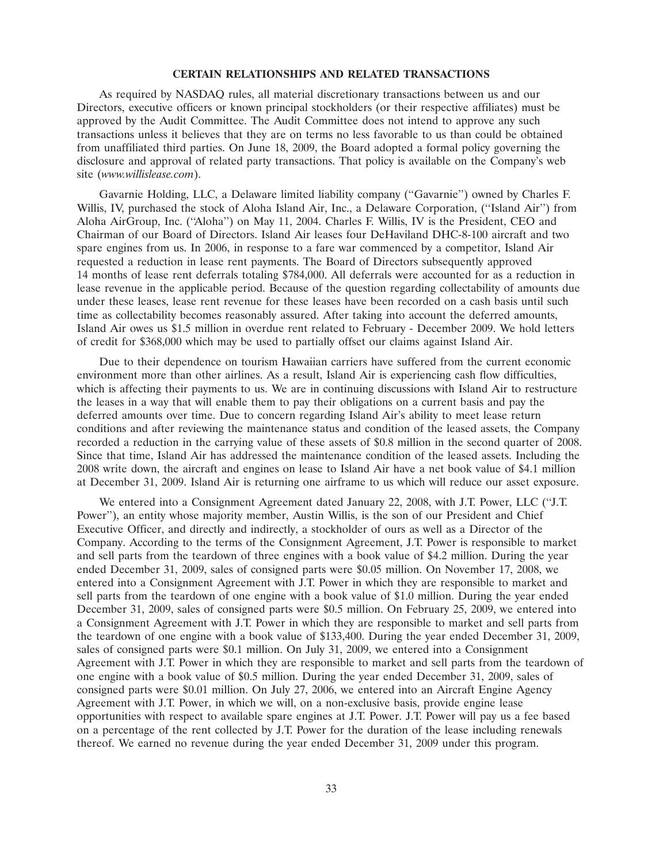#### **CERTAIN RELATIONSHIPS AND RELATED TRANSACTIONS**

As required by NASDAQ rules, all material discretionary transactions between us and our Directors, executive officers or known principal stockholders (or their respective affiliates) must be approved by the Audit Committee. The Audit Committee does not intend to approve any such transactions unless it believes that they are on terms no less favorable to us than could be obtained from unaffiliated third parties. On June 18, 2009, the Board adopted a formal policy governing the disclosure and approval of related party transactions. That policy is available on the Company's web site (*www.willislease.com*).

Gavarnie Holding, LLC, a Delaware limited liability company (''Gavarnie'') owned by Charles F. Willis, IV, purchased the stock of Aloha Island Air, Inc., a Delaware Corporation, (''Island Air'') from Aloha AirGroup, Inc. (''Aloha'') on May 11, 2004. Charles F. Willis, IV is the President, CEO and Chairman of our Board of Directors. Island Air leases four DeHaviland DHC-8-100 aircraft and two spare engines from us. In 2006, in response to a fare war commenced by a competitor, Island Air requested a reduction in lease rent payments. The Board of Directors subsequently approved 14 months of lease rent deferrals totaling \$784,000. All deferrals were accounted for as a reduction in lease revenue in the applicable period. Because of the question regarding collectability of amounts due under these leases, lease rent revenue for these leases have been recorded on a cash basis until such time as collectability becomes reasonably assured. After taking into account the deferred amounts, Island Air owes us \$1.5 million in overdue rent related to February - December 2009. We hold letters of credit for \$368,000 which may be used to partially offset our claims against Island Air.

Due to their dependence on tourism Hawaiian carriers have suffered from the current economic environment more than other airlines. As a result, Island Air is experiencing cash flow difficulties, which is affecting their payments to us. We are in continuing discussions with Island Air to restructure the leases in a way that will enable them to pay their obligations on a current basis and pay the deferred amounts over time. Due to concern regarding Island Air's ability to meet lease return conditions and after reviewing the maintenance status and condition of the leased assets, the Company recorded a reduction in the carrying value of these assets of \$0.8 million in the second quarter of 2008. Since that time, Island Air has addressed the maintenance condition of the leased assets. Including the 2008 write down, the aircraft and engines on lease to Island Air have a net book value of \$4.1 million at December 31, 2009. Island Air is returning one airframe to us which will reduce our asset exposure.

We entered into a Consignment Agreement dated January 22, 2008, with J.T. Power, LLC ("J.T. Power''), an entity whose majority member, Austin Willis, is the son of our President and Chief Executive Officer, and directly and indirectly, a stockholder of ours as well as a Director of the Company. According to the terms of the Consignment Agreement, J.T. Power is responsible to market and sell parts from the teardown of three engines with a book value of \$4.2 million. During the year ended December 31, 2009, sales of consigned parts were \$0.05 million. On November 17, 2008, we entered into a Consignment Agreement with J.T. Power in which they are responsible to market and sell parts from the teardown of one engine with a book value of \$1.0 million. During the year ended December 31, 2009, sales of consigned parts were \$0.5 million. On February 25, 2009, we entered into a Consignment Agreement with J.T. Power in which they are responsible to market and sell parts from the teardown of one engine with a book value of \$133,400. During the year ended December 31, 2009, sales of consigned parts were \$0.1 million. On July 31, 2009, we entered into a Consignment Agreement with J.T. Power in which they are responsible to market and sell parts from the teardown of one engine with a book value of \$0.5 million. During the year ended December 31, 2009, sales of consigned parts were \$0.01 million. On July 27, 2006, we entered into an Aircraft Engine Agency Agreement with J.T. Power, in which we will, on a non-exclusive basis, provide engine lease opportunities with respect to available spare engines at J.T. Power. J.T. Power will pay us a fee based on a percentage of the rent collected by J.T. Power for the duration of the lease including renewals thereof. We earned no revenue during the year ended December 31, 2009 under this program.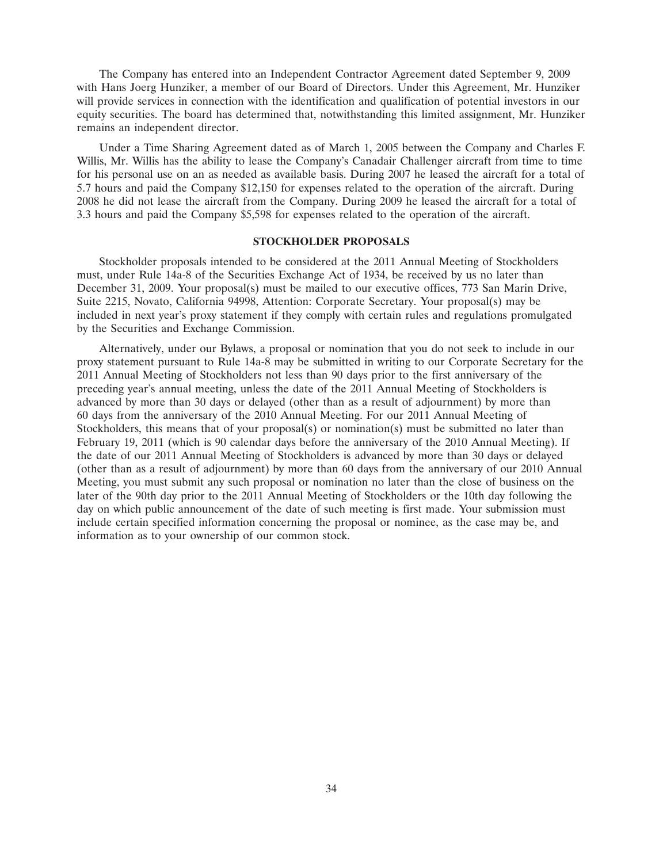The Company has entered into an Independent Contractor Agreement dated September 9, 2009 with Hans Joerg Hunziker, a member of our Board of Directors. Under this Agreement, Mr. Hunziker will provide services in connection with the identification and qualification of potential investors in our equity securities. The board has determined that, notwithstanding this limited assignment, Mr. Hunziker remains an independent director.

Under a Time Sharing Agreement dated as of March 1, 2005 between the Company and Charles F. Willis, Mr. Willis has the ability to lease the Company's Canadair Challenger aircraft from time to time for his personal use on an as needed as available basis. During 2007 he leased the aircraft for a total of 5.7 hours and paid the Company \$12,150 for expenses related to the operation of the aircraft. During 2008 he did not lease the aircraft from the Company. During 2009 he leased the aircraft for a total of 3.3 hours and paid the Company \$5,598 for expenses related to the operation of the aircraft.

## **STOCKHOLDER PROPOSALS**

Stockholder proposals intended to be considered at the 2011 Annual Meeting of Stockholders must, under Rule 14a-8 of the Securities Exchange Act of 1934, be received by us no later than December 31, 2009. Your proposal(s) must be mailed to our executive offices, 773 San Marin Drive, Suite 2215, Novato, California 94998, Attention: Corporate Secretary. Your proposal(s) may be included in next year's proxy statement if they comply with certain rules and regulations promulgated by the Securities and Exchange Commission.

Alternatively, under our Bylaws, a proposal or nomination that you do not seek to include in our proxy statement pursuant to Rule 14a-8 may be submitted in writing to our Corporate Secretary for the 2011 Annual Meeting of Stockholders not less than 90 days prior to the first anniversary of the preceding year's annual meeting, unless the date of the 2011 Annual Meeting of Stockholders is advanced by more than 30 days or delayed (other than as a result of adjournment) by more than 60 days from the anniversary of the 2010 Annual Meeting. For our 2011 Annual Meeting of Stockholders, this means that of your proposal(s) or nomination(s) must be submitted no later than February 19, 2011 (which is 90 calendar days before the anniversary of the 2010 Annual Meeting). If the date of our 2011 Annual Meeting of Stockholders is advanced by more than 30 days or delayed (other than as a result of adjournment) by more than 60 days from the anniversary of our 2010 Annual Meeting, you must submit any such proposal or nomination no later than the close of business on the later of the 90th day prior to the 2011 Annual Meeting of Stockholders or the 10th day following the day on which public announcement of the date of such meeting is first made. Your submission must include certain specified information concerning the proposal or nominee, as the case may be, and information as to your ownership of our common stock.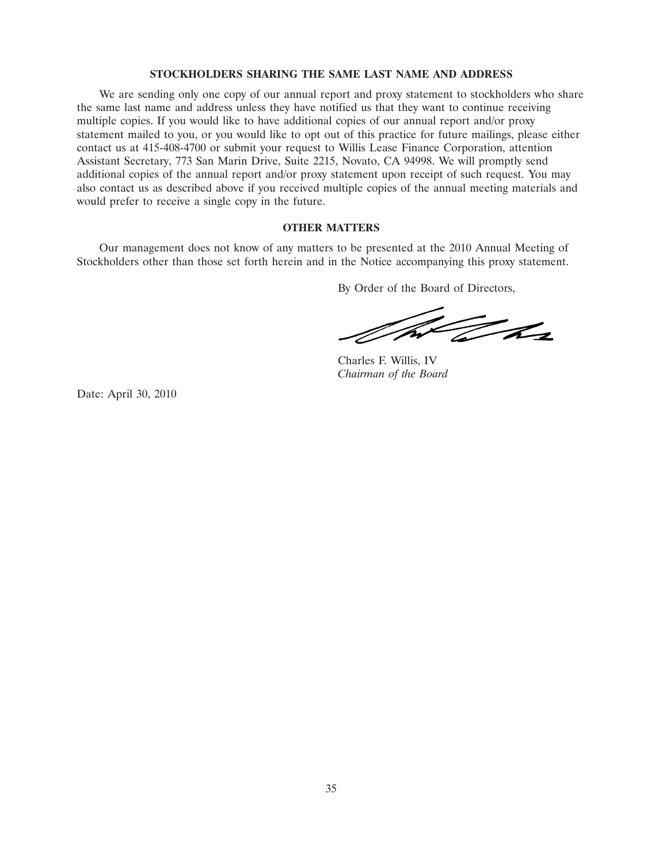## **STOCKHOLDERS SHARING THE SAME LAST NAME AND ADDRESS**

We are sending only one copy of our annual report and proxy statement to stockholders who share the same last name and address unless they have notified us that they want to continue receiving multiple copies. If you would like to have additional copies of our annual report and/or proxy statement mailed to you, or you would like to opt out of this practice for future mailings, please either contact us at 415-408-4700 or submit your request to Willis Lease Finance Corporation, attention Assistant Secretary, 773 San Marin Drive, Suite 2215, Novato, CA 94998. We will promptly send additional copies of the annual report and/or proxy statement upon receipt of such request. You may also contact us as described above if you received multiple copies of the annual meeting materials and would prefer to receive a single copy in the future.

## **OTHER MATTERS**

Our management does not know of any matters to be presented at the 2010 Annual Meeting of Stockholders other than those set forth herein and in the Notice accompanying this proxy statement.

By Order of the Board of Directors,

NN The

Charles F. Willis, IV *Chairman of the Board*

Date: April 30, 2010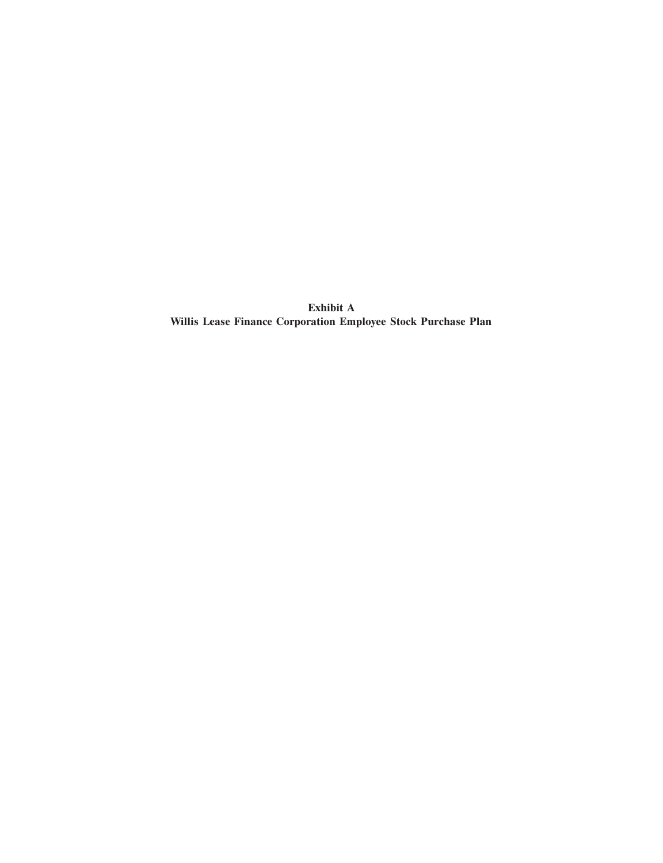**Exhibit A Willis Lease Finance Corporation Employee Stock Purchase Plan**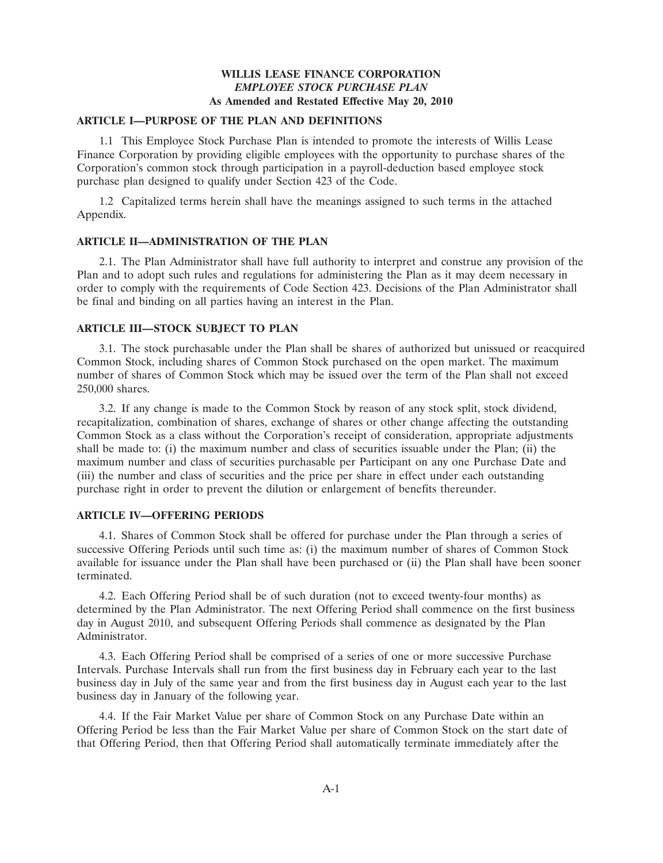## **WILLIS LEASE FINANCE CORPORATION** *EMPLOYEE STOCK PURCHASE PLAN* **As Amended and Restated Effective May 20, 2010**

## **ARTICLE I—PURPOSE OF THE PLAN AND DEFINITIONS**

1.1 This Employee Stock Purchase Plan is intended to promote the interests of Willis Lease Finance Corporation by providing eligible employees with the opportunity to purchase shares of the Corporation's common stock through participation in a payroll-deduction based employee stock purchase plan designed to qualify under Section 423 of the Code.

1.2 Capitalized terms herein shall have the meanings assigned to such terms in the attached Appendix.

## **ARTICLE II—ADMINISTRATION OF THE PLAN**

2.1. The Plan Administrator shall have full authority to interpret and construe any provision of the Plan and to adopt such rules and regulations for administering the Plan as it may deem necessary in order to comply with the requirements of Code Section 423. Decisions of the Plan Administrator shall be final and binding on all parties having an interest in the Plan.

## **ARTICLE III—STOCK SUBJECT TO PLAN**

3.1. The stock purchasable under the Plan shall be shares of authorized but unissued or reacquired Common Stock, including shares of Common Stock purchased on the open market. The maximum number of shares of Common Stock which may be issued over the term of the Plan shall not exceed 250,000 shares.

3.2. If any change is made to the Common Stock by reason of any stock split, stock dividend, recapitalization, combination of shares, exchange of shares or other change affecting the outstanding Common Stock as a class without the Corporation's receipt of consideration, appropriate adjustments shall be made to: (i) the maximum number and class of securities issuable under the Plan; (ii) the maximum number and class of securities purchasable per Participant on any one Purchase Date and (iii) the number and class of securities and the price per share in effect under each outstanding purchase right in order to prevent the dilution or enlargement of benefits thereunder.

## **ARTICLE IV—OFFERING PERIODS**

4.1. Shares of Common Stock shall be offered for purchase under the Plan through a series of successive Offering Periods until such time as: (i) the maximum number of shares of Common Stock available for issuance under the Plan shall have been purchased or (ii) the Plan shall have been sooner terminated.

4.2. Each Offering Period shall be of such duration (not to exceed twenty-four months) as determined by the Plan Administrator. The next Offering Period shall commence on the first business day in August 2010, and subsequent Offering Periods shall commence as designated by the Plan Administrator.

4.3. Each Offering Period shall be comprised of a series of one or more successive Purchase Intervals. Purchase Intervals shall run from the first business day in February each year to the last business day in July of the same year and from the first business day in August each year to the last business day in January of the following year.

4.4. If the Fair Market Value per share of Common Stock on any Purchase Date within an Offering Period be less than the Fair Market Value per share of Common Stock on the start date of that Offering Period, then that Offering Period shall automatically terminate immediately after the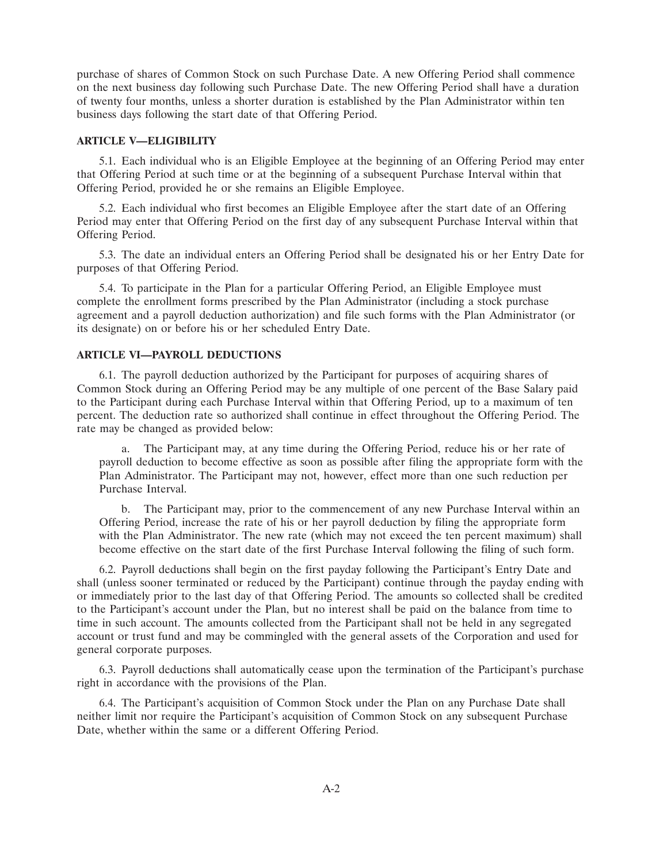purchase of shares of Common Stock on such Purchase Date. A new Offering Period shall commence on the next business day following such Purchase Date. The new Offering Period shall have a duration of twenty four months, unless a shorter duration is established by the Plan Administrator within ten business days following the start date of that Offering Period.

## **ARTICLE V—ELIGIBILITY**

5.1. Each individual who is an Eligible Employee at the beginning of an Offering Period may enter that Offering Period at such time or at the beginning of a subsequent Purchase Interval within that Offering Period, provided he or she remains an Eligible Employee.

5.2. Each individual who first becomes an Eligible Employee after the start date of an Offering Period may enter that Offering Period on the first day of any subsequent Purchase Interval within that Offering Period.

5.3. The date an individual enters an Offering Period shall be designated his or her Entry Date for purposes of that Offering Period.

5.4. To participate in the Plan for a particular Offering Period, an Eligible Employee must complete the enrollment forms prescribed by the Plan Administrator (including a stock purchase agreement and a payroll deduction authorization) and file such forms with the Plan Administrator (or its designate) on or before his or her scheduled Entry Date.

## **ARTICLE VI—PAYROLL DEDUCTIONS**

6.1. The payroll deduction authorized by the Participant for purposes of acquiring shares of Common Stock during an Offering Period may be any multiple of one percent of the Base Salary paid to the Participant during each Purchase Interval within that Offering Period, up to a maximum of ten percent. The deduction rate so authorized shall continue in effect throughout the Offering Period. The rate may be changed as provided below:

a. The Participant may, at any time during the Offering Period, reduce his or her rate of payroll deduction to become effective as soon as possible after filing the appropriate form with the Plan Administrator. The Participant may not, however, effect more than one such reduction per Purchase Interval.

b. The Participant may, prior to the commencement of any new Purchase Interval within an Offering Period, increase the rate of his or her payroll deduction by filing the appropriate form with the Plan Administrator. The new rate (which may not exceed the ten percent maximum) shall become effective on the start date of the first Purchase Interval following the filing of such form.

6.2. Payroll deductions shall begin on the first payday following the Participant's Entry Date and shall (unless sooner terminated or reduced by the Participant) continue through the payday ending with or immediately prior to the last day of that Offering Period. The amounts so collected shall be credited to the Participant's account under the Plan, but no interest shall be paid on the balance from time to time in such account. The amounts collected from the Participant shall not be held in any segregated account or trust fund and may be commingled with the general assets of the Corporation and used for general corporate purposes.

6.3. Payroll deductions shall automatically cease upon the termination of the Participant's purchase right in accordance with the provisions of the Plan.

6.4. The Participant's acquisition of Common Stock under the Plan on any Purchase Date shall neither limit nor require the Participant's acquisition of Common Stock on any subsequent Purchase Date, whether within the same or a different Offering Period.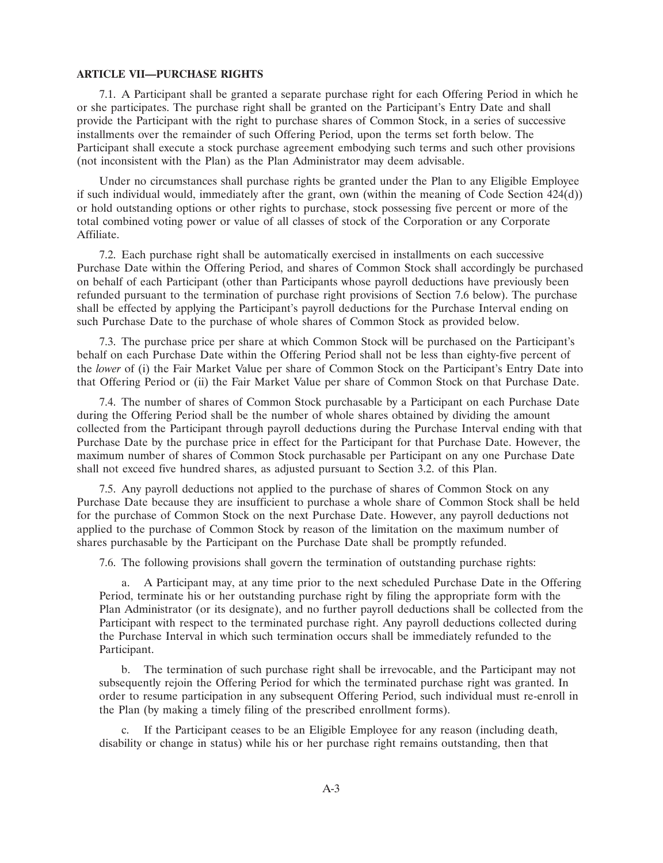#### **ARTICLE VII—PURCHASE RIGHTS**

7.1. A Participant shall be granted a separate purchase right for each Offering Period in which he or she participates. The purchase right shall be granted on the Participant's Entry Date and shall provide the Participant with the right to purchase shares of Common Stock, in a series of successive installments over the remainder of such Offering Period, upon the terms set forth below. The Participant shall execute a stock purchase agreement embodying such terms and such other provisions (not inconsistent with the Plan) as the Plan Administrator may deem advisable.

Under no circumstances shall purchase rights be granted under the Plan to any Eligible Employee if such individual would, immediately after the grant, own (within the meaning of Code Section 424(d)) or hold outstanding options or other rights to purchase, stock possessing five percent or more of the total combined voting power or value of all classes of stock of the Corporation or any Corporate Affiliate.

7.2. Each purchase right shall be automatically exercised in installments on each successive Purchase Date within the Offering Period, and shares of Common Stock shall accordingly be purchased on behalf of each Participant (other than Participants whose payroll deductions have previously been refunded pursuant to the termination of purchase right provisions of Section 7.6 below). The purchase shall be effected by applying the Participant's payroll deductions for the Purchase Interval ending on such Purchase Date to the purchase of whole shares of Common Stock as provided below.

7.3. The purchase price per share at which Common Stock will be purchased on the Participant's behalf on each Purchase Date within the Offering Period shall not be less than eighty-five percent of the *lower* of (i) the Fair Market Value per share of Common Stock on the Participant's Entry Date into that Offering Period or (ii) the Fair Market Value per share of Common Stock on that Purchase Date.

7.4. The number of shares of Common Stock purchasable by a Participant on each Purchase Date during the Offering Period shall be the number of whole shares obtained by dividing the amount collected from the Participant through payroll deductions during the Purchase Interval ending with that Purchase Date by the purchase price in effect for the Participant for that Purchase Date. However, the maximum number of shares of Common Stock purchasable per Participant on any one Purchase Date shall not exceed five hundred shares, as adjusted pursuant to Section 3.2. of this Plan.

7.5. Any payroll deductions not applied to the purchase of shares of Common Stock on any Purchase Date because they are insufficient to purchase a whole share of Common Stock shall be held for the purchase of Common Stock on the next Purchase Date. However, any payroll deductions not applied to the purchase of Common Stock by reason of the limitation on the maximum number of shares purchasable by the Participant on the Purchase Date shall be promptly refunded.

7.6. The following provisions shall govern the termination of outstanding purchase rights:

a. A Participant may, at any time prior to the next scheduled Purchase Date in the Offering Period, terminate his or her outstanding purchase right by filing the appropriate form with the Plan Administrator (or its designate), and no further payroll deductions shall be collected from the Participant with respect to the terminated purchase right. Any payroll deductions collected during the Purchase Interval in which such termination occurs shall be immediately refunded to the Participant.

b. The termination of such purchase right shall be irrevocable, and the Participant may not subsequently rejoin the Offering Period for which the terminated purchase right was granted. In order to resume participation in any subsequent Offering Period, such individual must re-enroll in the Plan (by making a timely filing of the prescribed enrollment forms).

c. If the Participant ceases to be an Eligible Employee for any reason (including death, disability or change in status) while his or her purchase right remains outstanding, then that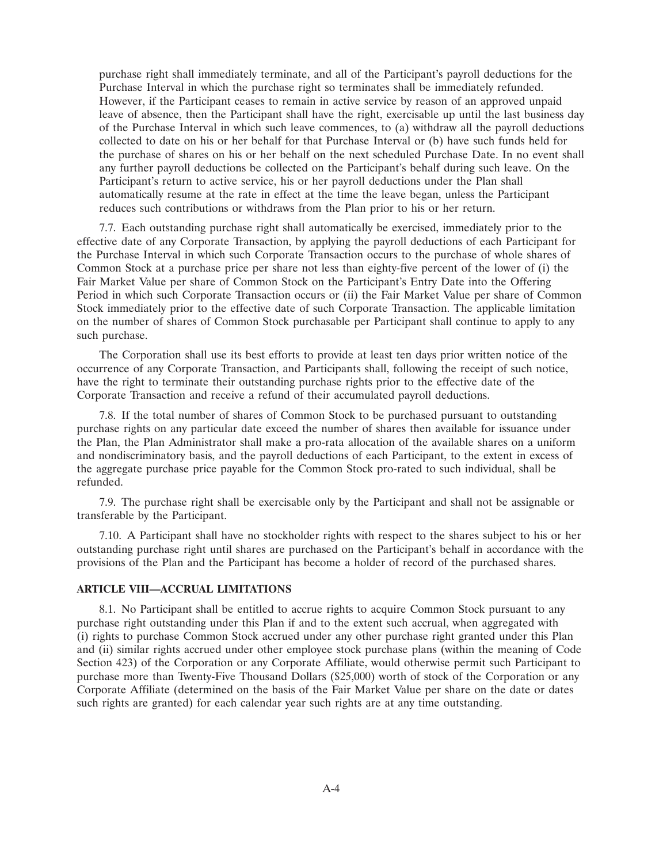purchase right shall immediately terminate, and all of the Participant's payroll deductions for the Purchase Interval in which the purchase right so terminates shall be immediately refunded. However, if the Participant ceases to remain in active service by reason of an approved unpaid leave of absence, then the Participant shall have the right, exercisable up until the last business day of the Purchase Interval in which such leave commences, to (a) withdraw all the payroll deductions collected to date on his or her behalf for that Purchase Interval or (b) have such funds held for the purchase of shares on his or her behalf on the next scheduled Purchase Date. In no event shall any further payroll deductions be collected on the Participant's behalf during such leave. On the Participant's return to active service, his or her payroll deductions under the Plan shall automatically resume at the rate in effect at the time the leave began, unless the Participant reduces such contributions or withdraws from the Plan prior to his or her return.

7.7. Each outstanding purchase right shall automatically be exercised, immediately prior to the effective date of any Corporate Transaction, by applying the payroll deductions of each Participant for the Purchase Interval in which such Corporate Transaction occurs to the purchase of whole shares of Common Stock at a purchase price per share not less than eighty-five percent of the lower of (i) the Fair Market Value per share of Common Stock on the Participant's Entry Date into the Offering Period in which such Corporate Transaction occurs or (ii) the Fair Market Value per share of Common Stock immediately prior to the effective date of such Corporate Transaction. The applicable limitation on the number of shares of Common Stock purchasable per Participant shall continue to apply to any such purchase.

The Corporation shall use its best efforts to provide at least ten days prior written notice of the occurrence of any Corporate Transaction, and Participants shall, following the receipt of such notice, have the right to terminate their outstanding purchase rights prior to the effective date of the Corporate Transaction and receive a refund of their accumulated payroll deductions.

7.8. If the total number of shares of Common Stock to be purchased pursuant to outstanding purchase rights on any particular date exceed the number of shares then available for issuance under the Plan, the Plan Administrator shall make a pro-rata allocation of the available shares on a uniform and nondiscriminatory basis, and the payroll deductions of each Participant, to the extent in excess of the aggregate purchase price payable for the Common Stock pro-rated to such individual, shall be refunded.

7.9. The purchase right shall be exercisable only by the Participant and shall not be assignable or transferable by the Participant.

7.10. A Participant shall have no stockholder rights with respect to the shares subject to his or her outstanding purchase right until shares are purchased on the Participant's behalf in accordance with the provisions of the Plan and the Participant has become a holder of record of the purchased shares.

## **ARTICLE VIII—ACCRUAL LIMITATIONS**

8.1. No Participant shall be entitled to accrue rights to acquire Common Stock pursuant to any purchase right outstanding under this Plan if and to the extent such accrual, when aggregated with (i) rights to purchase Common Stock accrued under any other purchase right granted under this Plan and (ii) similar rights accrued under other employee stock purchase plans (within the meaning of Code Section 423) of the Corporation or any Corporate Affiliate, would otherwise permit such Participant to purchase more than Twenty-Five Thousand Dollars (\$25,000) worth of stock of the Corporation or any Corporate Affiliate (determined on the basis of the Fair Market Value per share on the date or dates such rights are granted) for each calendar year such rights are at any time outstanding.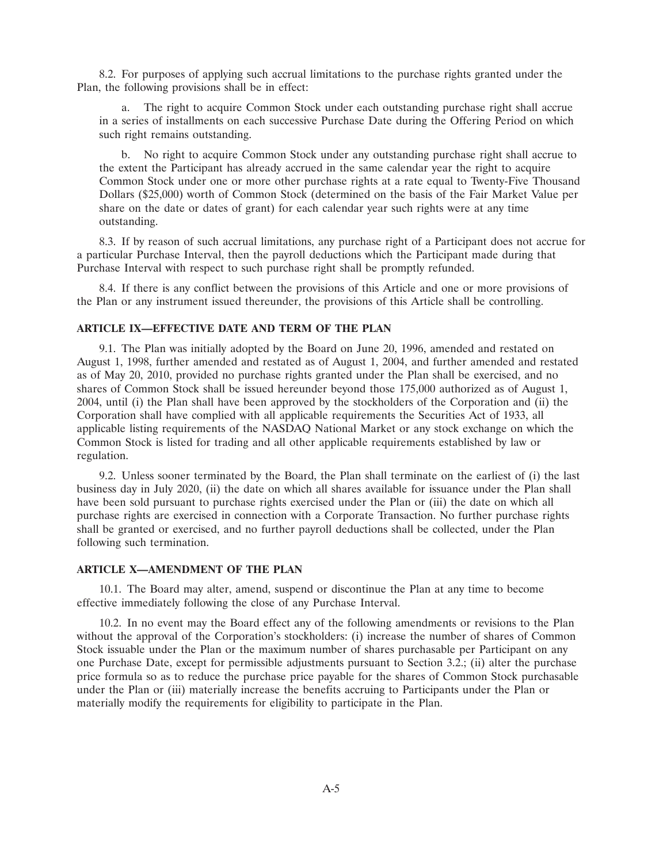8.2. For purposes of applying such accrual limitations to the purchase rights granted under the Plan, the following provisions shall be in effect:

a. The right to acquire Common Stock under each outstanding purchase right shall accrue in a series of installments on each successive Purchase Date during the Offering Period on which such right remains outstanding.

b. No right to acquire Common Stock under any outstanding purchase right shall accrue to the extent the Participant has already accrued in the same calendar year the right to acquire Common Stock under one or more other purchase rights at a rate equal to Twenty-Five Thousand Dollars (\$25,000) worth of Common Stock (determined on the basis of the Fair Market Value per share on the date or dates of grant) for each calendar year such rights were at any time outstanding.

8.3. If by reason of such accrual limitations, any purchase right of a Participant does not accrue for a particular Purchase Interval, then the payroll deductions which the Participant made during that Purchase Interval with respect to such purchase right shall be promptly refunded.

8.4. If there is any conflict between the provisions of this Article and one or more provisions of the Plan or any instrument issued thereunder, the provisions of this Article shall be controlling.

### **ARTICLE IX—EFFECTIVE DATE AND TERM OF THE PLAN**

9.1. The Plan was initially adopted by the Board on June 20, 1996, amended and restated on August 1, 1998, further amended and restated as of August 1, 2004, and further amended and restated as of May 20, 2010, provided no purchase rights granted under the Plan shall be exercised, and no shares of Common Stock shall be issued hereunder beyond those 175,000 authorized as of August 1, 2004, until (i) the Plan shall have been approved by the stockholders of the Corporation and (ii) the Corporation shall have complied with all applicable requirements the Securities Act of 1933, all applicable listing requirements of the NASDAQ National Market or any stock exchange on which the Common Stock is listed for trading and all other applicable requirements established by law or regulation.

9.2. Unless sooner terminated by the Board, the Plan shall terminate on the earliest of (i) the last business day in July 2020, (ii) the date on which all shares available for issuance under the Plan shall have been sold pursuant to purchase rights exercised under the Plan or (iii) the date on which all purchase rights are exercised in connection with a Corporate Transaction. No further purchase rights shall be granted or exercised, and no further payroll deductions shall be collected, under the Plan following such termination.

#### **ARTICLE X—AMENDMENT OF THE PLAN**

10.1. The Board may alter, amend, suspend or discontinue the Plan at any time to become effective immediately following the close of any Purchase Interval.

10.2. In no event may the Board effect any of the following amendments or revisions to the Plan without the approval of the Corporation's stockholders: (i) increase the number of shares of Common Stock issuable under the Plan or the maximum number of shares purchasable per Participant on any one Purchase Date, except for permissible adjustments pursuant to Section 3.2.; (ii) alter the purchase price formula so as to reduce the purchase price payable for the shares of Common Stock purchasable under the Plan or (iii) materially increase the benefits accruing to Participants under the Plan or materially modify the requirements for eligibility to participate in the Plan.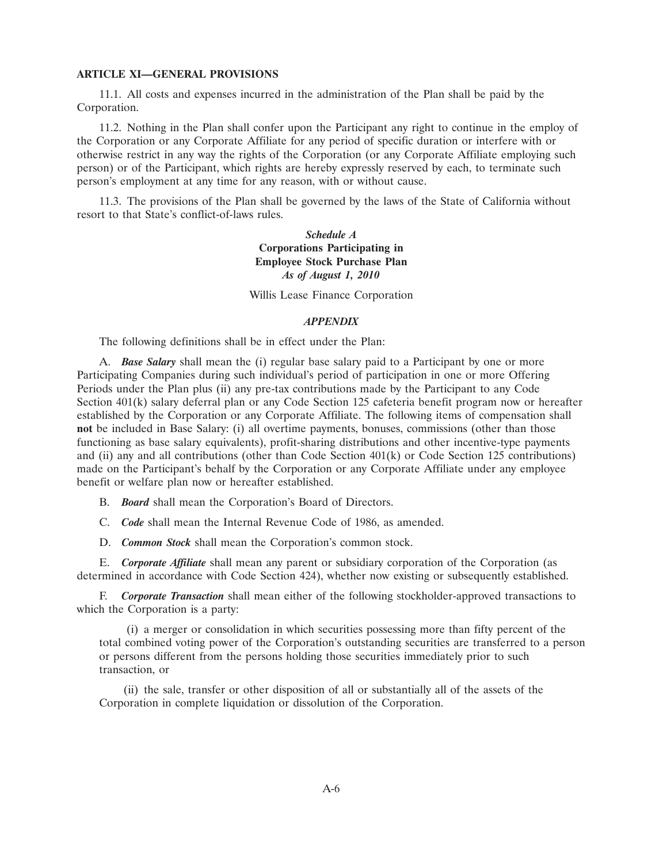#### **ARTICLE XI—GENERAL PROVISIONS**

11.1. All costs and expenses incurred in the administration of the Plan shall be paid by the Corporation.

11.2. Nothing in the Plan shall confer upon the Participant any right to continue in the employ of the Corporation or any Corporate Affiliate for any period of specific duration or interfere with or otherwise restrict in any way the rights of the Corporation (or any Corporate Affiliate employing such person) or of the Participant, which rights are hereby expressly reserved by each, to terminate such person's employment at any time for any reason, with or without cause.

11.3. The provisions of the Plan shall be governed by the laws of the State of California without resort to that State's conflict-of-laws rules.

## *Schedule A* **Corporations Participating in Employee Stock Purchase Plan** *As of August 1, 2010*

Willis Lease Finance Corporation

#### *APPENDIX*

The following definitions shall be in effect under the Plan:

A. *Base Salary* shall mean the (i) regular base salary paid to a Participant by one or more Participating Companies during such individual's period of participation in one or more Offering Periods under the Plan plus (ii) any pre-tax contributions made by the Participant to any Code Section 401(k) salary deferral plan or any Code Section 125 cafeteria benefit program now or hereafter established by the Corporation or any Corporate Affiliate. The following items of compensation shall **not** be included in Base Salary: (i) all overtime payments, bonuses, commissions (other than those functioning as base salary equivalents), profit-sharing distributions and other incentive-type payments and (ii) any and all contributions (other than Code Section 401(k) or Code Section 125 contributions) made on the Participant's behalf by the Corporation or any Corporate Affiliate under any employee benefit or welfare plan now or hereafter established.

B. *Board* shall mean the Corporation's Board of Directors.

C. *Code* shall mean the Internal Revenue Code of 1986, as amended.

D. *Common Stock* shall mean the Corporation's common stock.

E. *Corporate Affiliate* shall mean any parent or subsidiary corporation of the Corporation (as determined in accordance with Code Section 424), whether now existing or subsequently established.

F. *Corporate Transaction* shall mean either of the following stockholder-approved transactions to which the Corporation is a party:

(i) a merger or consolidation in which securities possessing more than fifty percent of the total combined voting power of the Corporation's outstanding securities are transferred to a person or persons different from the persons holding those securities immediately prior to such transaction, or

(ii) the sale, transfer or other disposition of all or substantially all of the assets of the Corporation in complete liquidation or dissolution of the Corporation.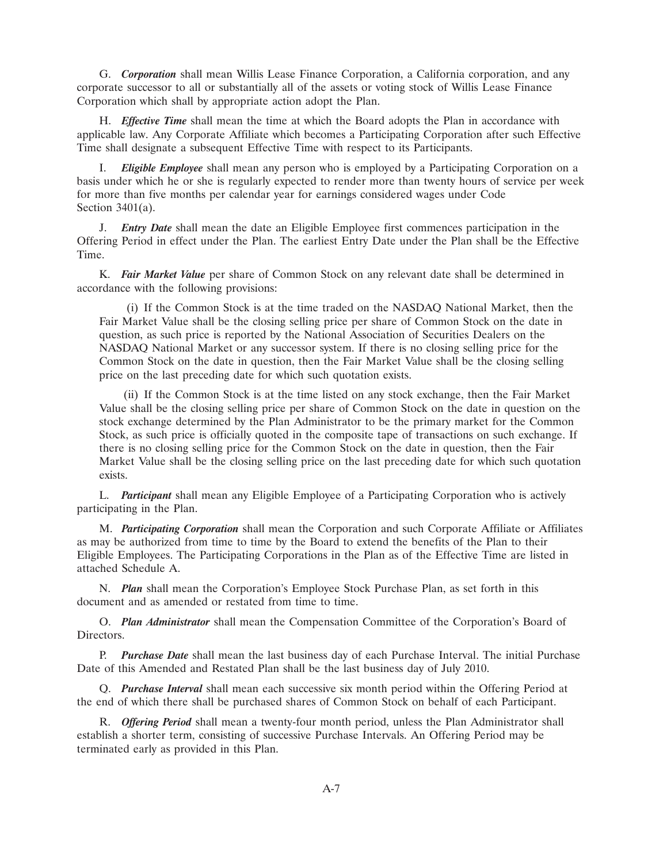G. *Corporation* shall mean Willis Lease Finance Corporation, a California corporation, and any corporate successor to all or substantially all of the assets or voting stock of Willis Lease Finance Corporation which shall by appropriate action adopt the Plan.

H. *Effective Time* shall mean the time at which the Board adopts the Plan in accordance with applicable law. Any Corporate Affiliate which becomes a Participating Corporation after such Effective Time shall designate a subsequent Effective Time with respect to its Participants.

I. *Eligible Employee* shall mean any person who is employed by a Participating Corporation on a basis under which he or she is regularly expected to render more than twenty hours of service per week for more than five months per calendar year for earnings considered wages under Code Section 3401(a).

J. *Entry Date* shall mean the date an Eligible Employee first commences participation in the Offering Period in effect under the Plan. The earliest Entry Date under the Plan shall be the Effective Time.

K. *Fair Market Value* per share of Common Stock on any relevant date shall be determined in accordance with the following provisions:

(i) If the Common Stock is at the time traded on the NASDAQ National Market, then the Fair Market Value shall be the closing selling price per share of Common Stock on the date in question, as such price is reported by the National Association of Securities Dealers on the NASDAQ National Market or any successor system. If there is no closing selling price for the Common Stock on the date in question, then the Fair Market Value shall be the closing selling price on the last preceding date for which such quotation exists.

(ii) If the Common Stock is at the time listed on any stock exchange, then the Fair Market Value shall be the closing selling price per share of Common Stock on the date in question on the stock exchange determined by the Plan Administrator to be the primary market for the Common Stock, as such price is officially quoted in the composite tape of transactions on such exchange. If there is no closing selling price for the Common Stock on the date in question, then the Fair Market Value shall be the closing selling price on the last preceding date for which such quotation exists.

L. *Participant* shall mean any Eligible Employee of a Participating Corporation who is actively participating in the Plan.

M. *Participating Corporation* shall mean the Corporation and such Corporate Affiliate or Affiliates as may be authorized from time to time by the Board to extend the benefits of the Plan to their Eligible Employees. The Participating Corporations in the Plan as of the Effective Time are listed in attached Schedule A.

N. *Plan* shall mean the Corporation's Employee Stock Purchase Plan, as set forth in this document and as amended or restated from time to time.

O. *Plan Administrator* shall mean the Compensation Committee of the Corporation's Board of Directors.

P. *Purchase Date* shall mean the last business day of each Purchase Interval. The initial Purchase Date of this Amended and Restated Plan shall be the last business day of July 2010.

Q. *Purchase Interval* shall mean each successive six month period within the Offering Period at the end of which there shall be purchased shares of Common Stock on behalf of each Participant.

R. *Offering Period* shall mean a twenty-four month period, unless the Plan Administrator shall establish a shorter term, consisting of successive Purchase Intervals. An Offering Period may be terminated early as provided in this Plan.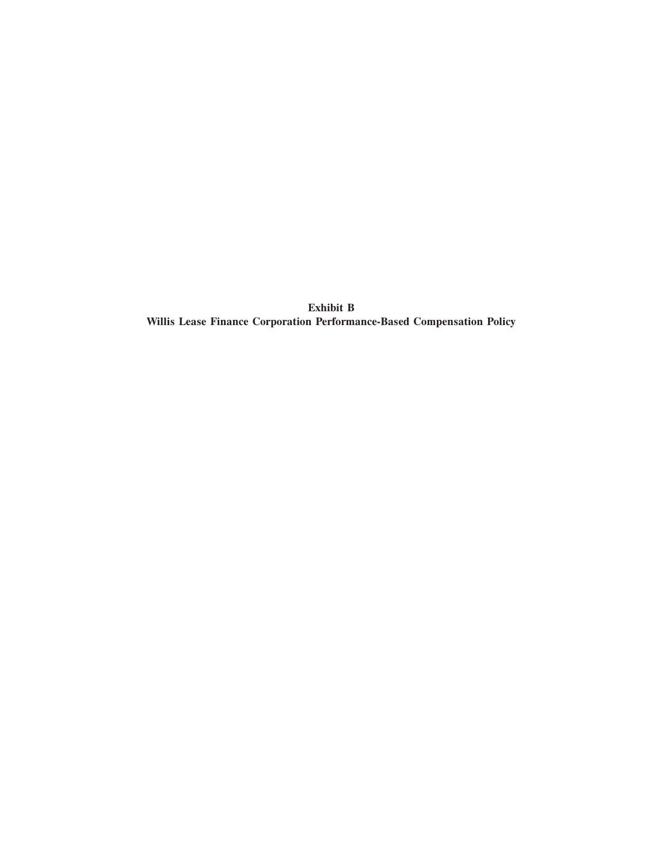**Exhibit B Willis Lease Finance Corporation Performance-Based Compensation Policy**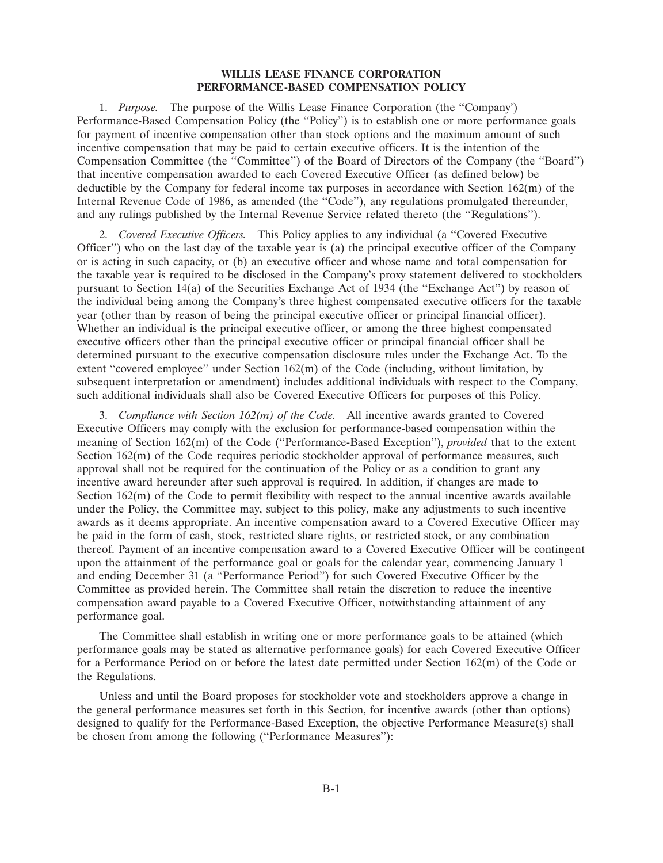### **WILLIS LEASE FINANCE CORPORATION PERFORMANCE-BASED COMPENSATION POLICY**

1. *Purpose.* The purpose of the Willis Lease Finance Corporation (the ''Company') Performance-Based Compensation Policy (the ''Policy'') is to establish one or more performance goals for payment of incentive compensation other than stock options and the maximum amount of such incentive compensation that may be paid to certain executive officers. It is the intention of the Compensation Committee (the ''Committee'') of the Board of Directors of the Company (the ''Board'') that incentive compensation awarded to each Covered Executive Officer (as defined below) be deductible by the Company for federal income tax purposes in accordance with Section 162(m) of the Internal Revenue Code of 1986, as amended (the ''Code''), any regulations promulgated thereunder, and any rulings published by the Internal Revenue Service related thereto (the ''Regulations'').

2. *Covered Executive Officers.* This Policy applies to any individual (a ''Covered Executive Officer'') who on the last day of the taxable year is (a) the principal executive officer of the Company or is acting in such capacity, or (b) an executive officer and whose name and total compensation for the taxable year is required to be disclosed in the Company's proxy statement delivered to stockholders pursuant to Section 14(a) of the Securities Exchange Act of 1934 (the ''Exchange Act'') by reason of the individual being among the Company's three highest compensated executive officers for the taxable year (other than by reason of being the principal executive officer or principal financial officer). Whether an individual is the principal executive officer, or among the three highest compensated executive officers other than the principal executive officer or principal financial officer shall be determined pursuant to the executive compensation disclosure rules under the Exchange Act. To the extent "covered employee" under Section 162(m) of the Code (including, without limitation, by subsequent interpretation or amendment) includes additional individuals with respect to the Company, such additional individuals shall also be Covered Executive Officers for purposes of this Policy.

3. *Compliance with Section 162(m) of the Code.* All incentive awards granted to Covered Executive Officers may comply with the exclusion for performance-based compensation within the meaning of Section 162(m) of the Code (''Performance-Based Exception''), *provided* that to the extent Section 162(m) of the Code requires periodic stockholder approval of performance measures, such approval shall not be required for the continuation of the Policy or as a condition to grant any incentive award hereunder after such approval is required. In addition, if changes are made to Section 162(m) of the Code to permit flexibility with respect to the annual incentive awards available under the Policy, the Committee may, subject to this policy, make any adjustments to such incentive awards as it deems appropriate. An incentive compensation award to a Covered Executive Officer may be paid in the form of cash, stock, restricted share rights, or restricted stock, or any combination thereof. Payment of an incentive compensation award to a Covered Executive Officer will be contingent upon the attainment of the performance goal or goals for the calendar year, commencing January 1 and ending December 31 (a ''Performance Period'') for such Covered Executive Officer by the Committee as provided herein. The Committee shall retain the discretion to reduce the incentive compensation award payable to a Covered Executive Officer, notwithstanding attainment of any performance goal.

The Committee shall establish in writing one or more performance goals to be attained (which performance goals may be stated as alternative performance goals) for each Covered Executive Officer for a Performance Period on or before the latest date permitted under Section 162(m) of the Code or the Regulations.

Unless and until the Board proposes for stockholder vote and stockholders approve a change in the general performance measures set forth in this Section, for incentive awards (other than options) designed to qualify for the Performance-Based Exception, the objective Performance Measure(s) shall be chosen from among the following ("Performance Measures"):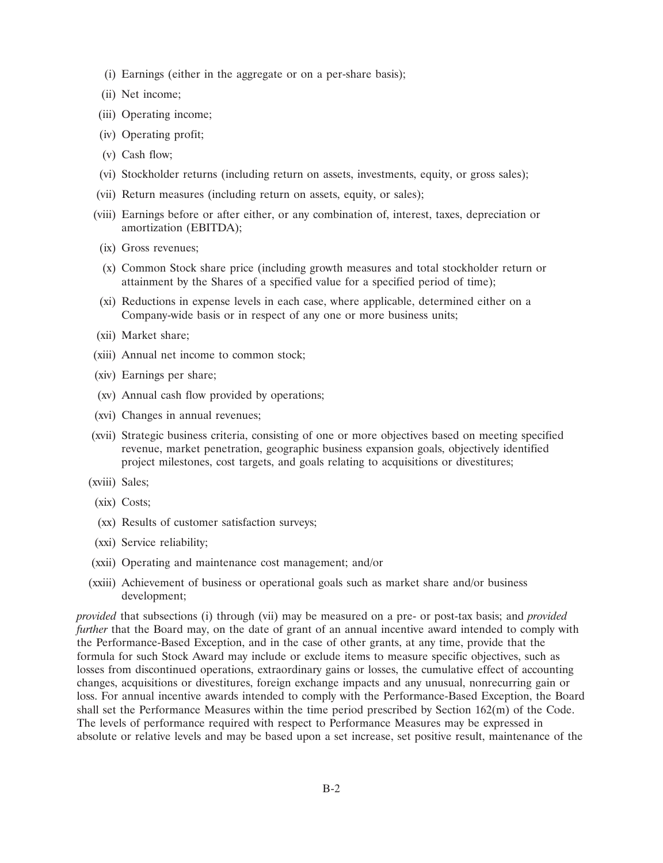- (i) Earnings (either in the aggregate or on a per-share basis);
- (ii) Net income;
- (iii) Operating income;
- (iv) Operating profit;
- (v) Cash flow;
- (vi) Stockholder returns (including return on assets, investments, equity, or gross sales);
- (vii) Return measures (including return on assets, equity, or sales);
- (viii) Earnings before or after either, or any combination of, interest, taxes, depreciation or amortization (EBITDA);
- (ix) Gross revenues;
- (x) Common Stock share price (including growth measures and total stockholder return or attainment by the Shares of a specified value for a specified period of time);
- (xi) Reductions in expense levels in each case, where applicable, determined either on a Company-wide basis or in respect of any one or more business units;
- (xii) Market share;
- (xiii) Annual net income to common stock;
- (xiv) Earnings per share;
- (xv) Annual cash flow provided by operations;
- (xvi) Changes in annual revenues;
- (xvii) Strategic business criteria, consisting of one or more objectives based on meeting specified revenue, market penetration, geographic business expansion goals, objectively identified project milestones, cost targets, and goals relating to acquisitions or divestitures;
- (xviii) Sales;
- (xix) Costs;
- (xx) Results of customer satisfaction surveys;
- (xxi) Service reliability;
- (xxii) Operating and maintenance cost management; and/or
- (xxiii) Achievement of business or operational goals such as market share and/or business development;

*provided* that subsections (i) through (vii) may be measured on a pre- or post-tax basis; and *provided further* that the Board may, on the date of grant of an annual incentive award intended to comply with the Performance-Based Exception, and in the case of other grants, at any time, provide that the formula for such Stock Award may include or exclude items to measure specific objectives, such as losses from discontinued operations, extraordinary gains or losses, the cumulative effect of accounting changes, acquisitions or divestitures, foreign exchange impacts and any unusual, nonrecurring gain or loss. For annual incentive awards intended to comply with the Performance-Based Exception, the Board shall set the Performance Measures within the time period prescribed by Section 162(m) of the Code. The levels of performance required with respect to Performance Measures may be expressed in absolute or relative levels and may be based upon a set increase, set positive result, maintenance of the